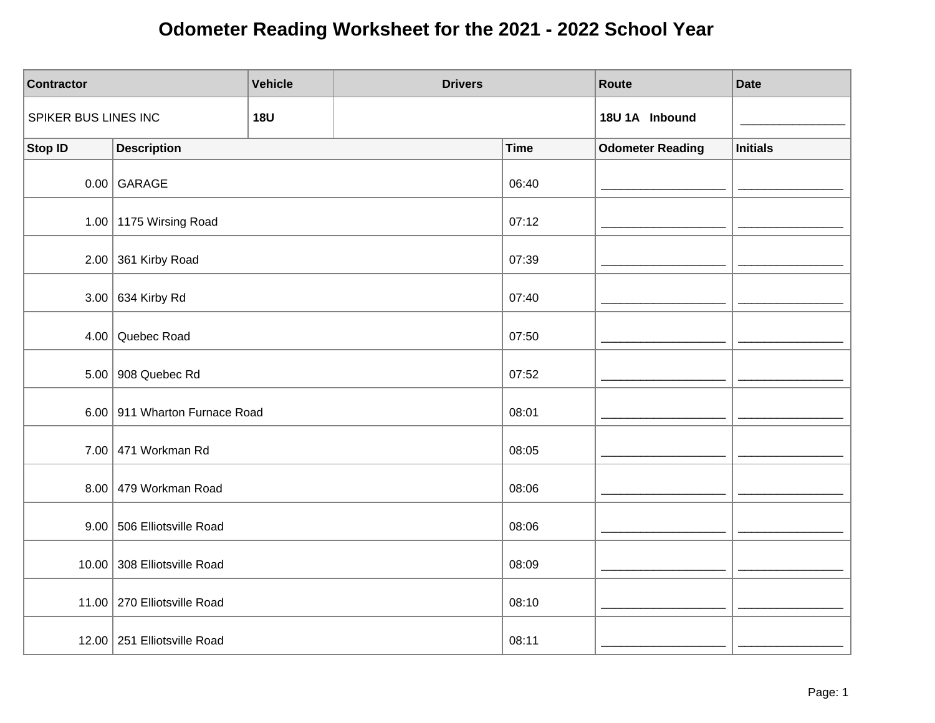| <b>Contractor</b>    |                               | <b>Vehicle</b> | <b>Drivers</b> |             | Route                   | <b>Date</b>     |
|----------------------|-------------------------------|----------------|----------------|-------------|-------------------------|-----------------|
| SPIKER BUS LINES INC |                               | <b>18U</b>     |                |             | 18U 1A Inbound          |                 |
| Stop ID              | <b>Description</b>            |                |                | <b>Time</b> | <b>Odometer Reading</b> | <b>Initials</b> |
|                      | $0.00$ GARAGE                 |                |                | 06:40       |                         |                 |
|                      | 1.00   1175 Wirsing Road      |                |                | 07:12       |                         |                 |
|                      | 2.00 361 Kirby Road           |                |                | 07:39       |                         |                 |
|                      | 3.00 634 Kirby Rd             |                |                | 07:40       |                         |                 |
| 4.00                 | Quebec Road                   |                |                | 07:50       |                         |                 |
|                      | 5.00 908 Quebec Rd            |                |                | 07:52       |                         |                 |
|                      | 6.00 911 Wharton Furnace Road |                |                | 08:01       |                         |                 |
|                      | 7.00 471 Workman Rd           |                |                | 08:05       |                         |                 |
|                      | 8.00 479 Workman Road         |                |                | 08:06       |                         |                 |
|                      | 9.00 506 Elliotsville Road    |                |                | 08:06       |                         |                 |
|                      | 10.00 308 Elliotsville Road   |                |                | 08:09       |                         |                 |
|                      | 11.00   270 Elliotsville Road |                |                | 08:10       |                         |                 |
|                      | 12.00 251 Elliotsville Road   |                |                | 08:11       |                         |                 |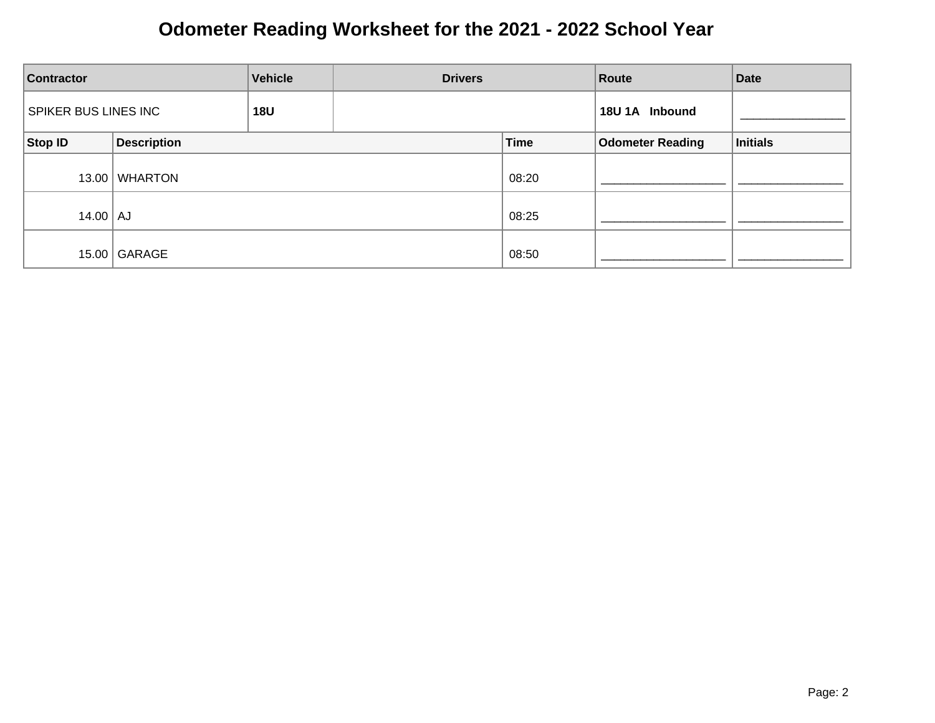| <b>Contractor</b>  |                                    | <b>Vehicle</b> | <b>Drivers</b> |                | Route                   | <b>Date</b> |
|--------------------|------------------------------------|----------------|----------------|----------------|-------------------------|-------------|
|                    | SPIKER BUS LINES INC<br><b>18U</b> |                |                | 18U 1A Inbound |                         |             |
| Stop ID            | <b>Description</b>                 |                |                | <b>Time</b>    | <b>Odometer Reading</b> | Initials    |
| 13.00              | <b>WHARTON</b>                     |                |                | 08:20          |                         |             |
| $14.00$ $\vert$ AJ |                                    |                |                | 08:25          |                         |             |
| 15.00              | GARAGE                             |                |                | 08:50          |                         |             |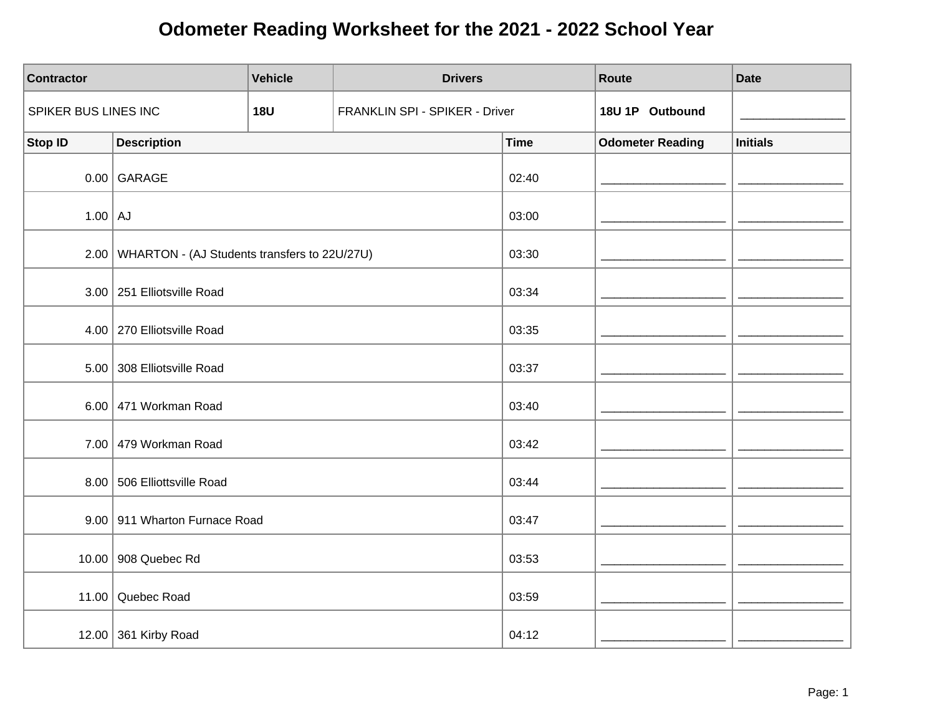| <b>Contractor</b>    |                                                     | <b>Vehicle</b> | <b>Drivers</b>                 |             | Route                   | <b>Date</b>     |
|----------------------|-----------------------------------------------------|----------------|--------------------------------|-------------|-------------------------|-----------------|
| SPIKER BUS LINES INC |                                                     | <b>18U</b>     | FRANKLIN SPI - SPIKER - Driver |             | 18U 1P Outbound         |                 |
| <b>Stop ID</b>       | <b>Description</b>                                  |                |                                | <b>Time</b> | <b>Odometer Reading</b> | <b>Initials</b> |
|                      | $0.00$ GARAGE                                       |                |                                | 02:40       |                         |                 |
| $1.00$ AJ            |                                                     |                |                                | 03:00       |                         |                 |
|                      | 2.00   WHARTON - (AJ Students transfers to 22U/27U) |                |                                | 03:30       |                         |                 |
|                      | 3.00 251 Elliotsville Road                          |                |                                | 03:34       |                         |                 |
|                      | 4.00   270 Elliotsville Road                        |                |                                | 03:35       |                         |                 |
|                      | 5.00 308 Elliotsville Road                          |                |                                | 03:37       |                         |                 |
|                      | 6.00 471 Workman Road                               |                |                                | 03:40       |                         |                 |
|                      | 7.00 479 Workman Road                               |                |                                | 03:42       |                         |                 |
|                      | 8.00 506 Elliottsville Road                         |                |                                | 03:44       |                         |                 |
|                      | 9.00 911 Wharton Furnace Road                       |                |                                | 03:47       |                         |                 |
|                      | 10.00 908 Quebec Rd                                 |                |                                | 03:53       |                         |                 |
|                      | 11.00 Quebec Road                                   |                |                                | 03:59       |                         |                 |
|                      | 12.00 361 Kirby Road                                |                |                                | 04:12       |                         |                 |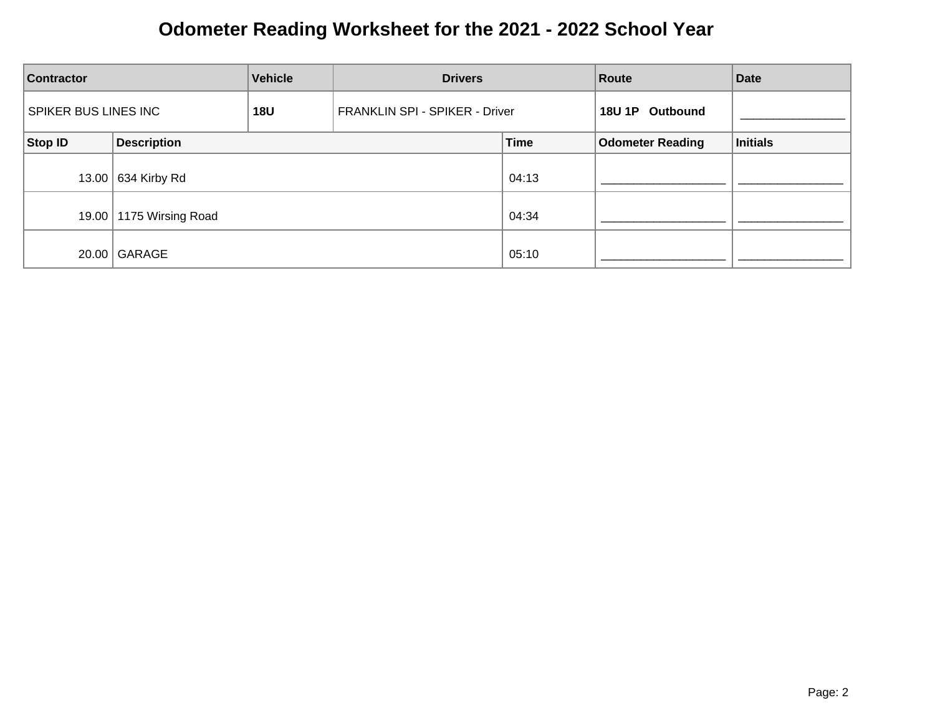| Vehicle<br><b>Contractor</b>              |                         | <b>Drivers</b> |                                | Route       | <b>Date</b>             |                 |
|-------------------------------------------|-------------------------|----------------|--------------------------------|-------------|-------------------------|-----------------|
| <b>SPIKER BUS LINES INC</b><br><b>18U</b> |                         |                | FRANKLIN SPI - SPIKER - Driver |             | 18U 1P Outbound         |                 |
| Stop ID                                   | <b>Description</b>      |                |                                | <b>Time</b> | <b>Odometer Reading</b> | <b>Initials</b> |
|                                           | 13.00 634 Kirby Rd      |                |                                | 04:13       |                         |                 |
|                                           | 19.00 1175 Wirsing Road |                |                                | 04:34       |                         |                 |
|                                           | $20.00$ GARAGE          |                |                                | 05:10       |                         |                 |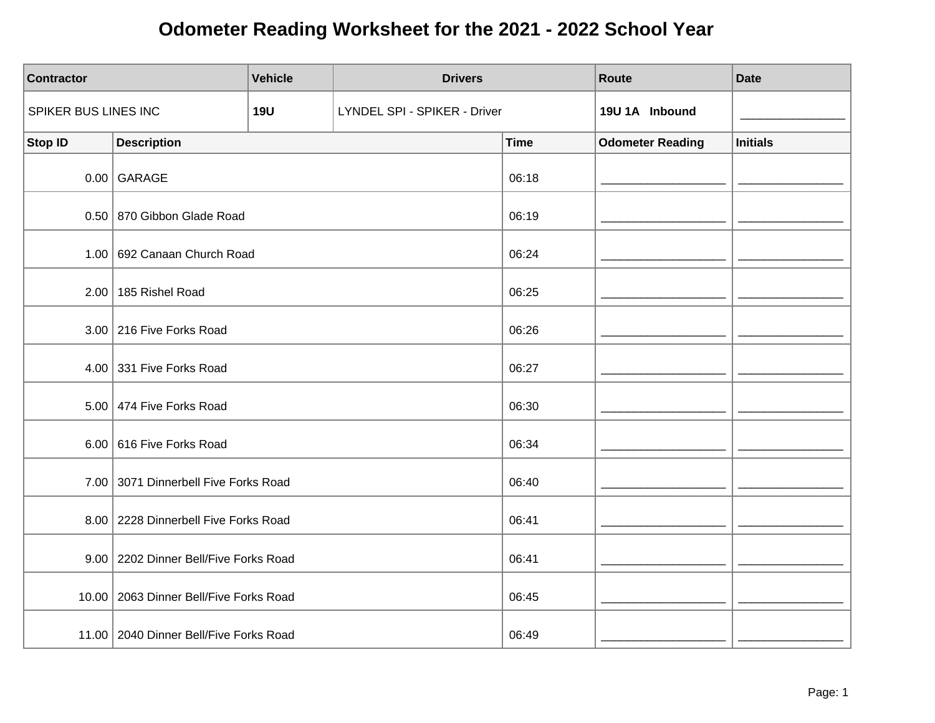| <b>Contractor</b>    |                                          | <b>Vehicle</b> | <b>Drivers</b>               |             | Route                   | <b>Date</b>     |
|----------------------|------------------------------------------|----------------|------------------------------|-------------|-------------------------|-----------------|
| SPIKER BUS LINES INC |                                          | <b>19U</b>     | LYNDEL SPI - SPIKER - Driver |             | 19U 1A Inbound          |                 |
| Stop ID              | <b>Description</b>                       |                |                              | <b>Time</b> | <b>Odometer Reading</b> | <b>Initials</b> |
|                      | $0.00$ GARAGE                            |                |                              | 06:18       |                         |                 |
|                      | 0.50 870 Gibbon Glade Road               |                |                              | 06:19       |                         |                 |
|                      | 1.00 692 Canaan Church Road              |                |                              | 06:24       |                         |                 |
|                      | 2.00 185 Rishel Road                     |                |                              | 06:25       |                         |                 |
|                      | 3.00 216 Five Forks Road                 |                |                              | 06:26       |                         |                 |
|                      | 4.00 331 Five Forks Road                 |                |                              | 06:27       |                         |                 |
|                      | 5.00 474 Five Forks Road                 |                |                              | 06:30       |                         |                 |
|                      | 6.00 616 Five Forks Road                 |                |                              | 06:34       |                         |                 |
|                      | 7.00 3071 Dinnerbell Five Forks Road     |                |                              | 06:40       |                         |                 |
|                      | 8.00 2228 Dinnerbell Five Forks Road     |                |                              | 06:41       |                         |                 |
|                      | 9.00   2202 Dinner Bell/Five Forks Road  |                |                              | 06:41       |                         |                 |
|                      | 10.00   2063 Dinner Bell/Five Forks Road |                |                              | 06:45       |                         |                 |
|                      | 11.00   2040 Dinner Bell/Five Forks Road |                |                              | 06:49       |                         |                 |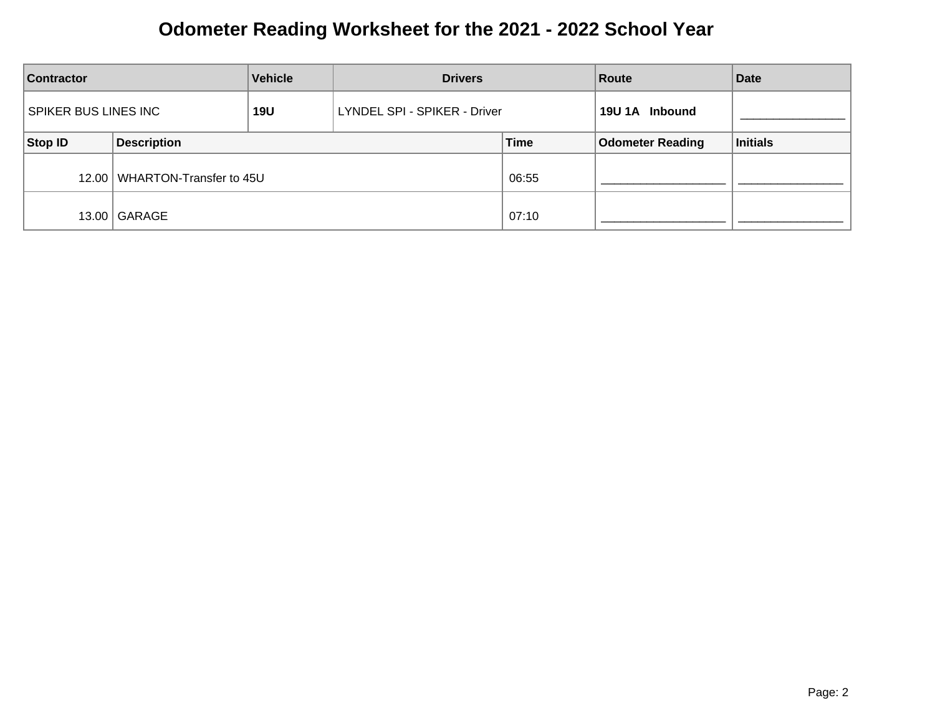| <b>Vehicle</b><br><b>Contractor</b>       |                                 | <b>Drivers</b>               |  | Route          | <b>Date</b>             |          |
|-------------------------------------------|---------------------------------|------------------------------|--|----------------|-------------------------|----------|
| <b>SPIKER BUS LINES INC</b><br><b>19U</b> |                                 | LYNDEL SPI - SPIKER - Driver |  | 19U 1A Inbound |                         |          |
| <b>Stop ID</b>                            | <b>Description</b>              |                              |  | <b>Time</b>    | <b>Odometer Reading</b> | Initials |
|                                           | 12.00   WHARTON-Transfer to 45U |                              |  | 06:55          |                         |          |
|                                           | 13.00   GARAGE                  |                              |  | 07:10          |                         |          |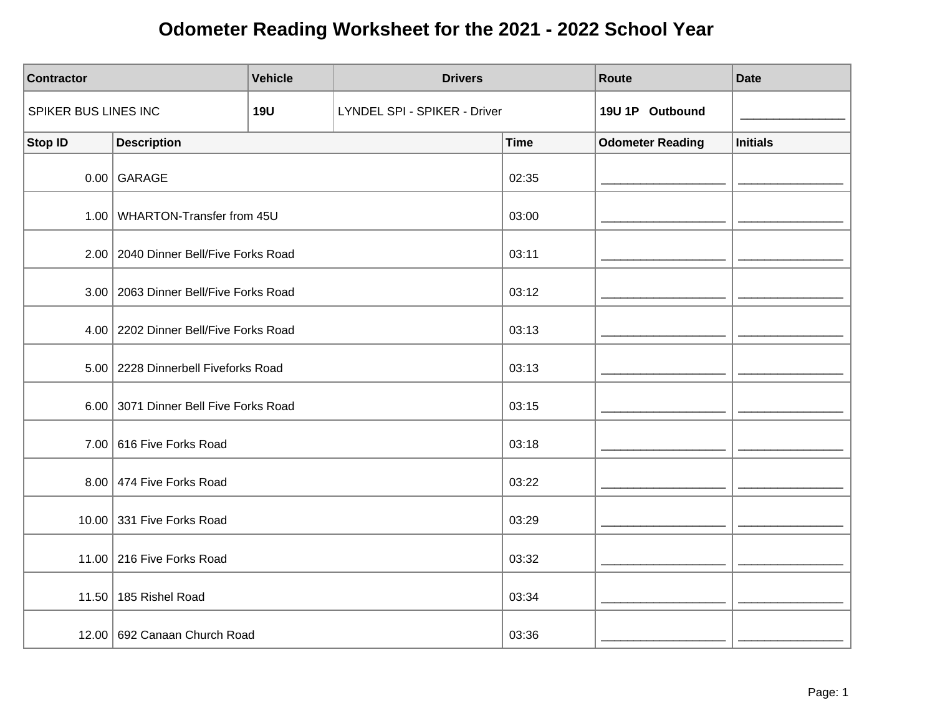| <b>Contractor</b>    |                                         | <b>Vehicle</b> | <b>Drivers</b>               |             | Route                   | <b>Date</b>     |
|----------------------|-----------------------------------------|----------------|------------------------------|-------------|-------------------------|-----------------|
| SPIKER BUS LINES INC |                                         | <b>19U</b>     | LYNDEL SPI - SPIKER - Driver |             | 19U 1P Outbound         |                 |
| <b>Stop ID</b>       | <b>Description</b>                      |                |                              | <b>Time</b> | <b>Odometer Reading</b> | <b>Initials</b> |
|                      | $0.00$ GARAGE                           |                |                              | 02:35       |                         |                 |
|                      | 1.00 WHARTON-Transfer from 45U          |                |                              | 03:00       |                         |                 |
|                      | 2.00   2040 Dinner Bell/Five Forks Road |                |                              | 03:11       |                         |                 |
|                      | 3.00   2063 Dinner Bell/Five Forks Road |                |                              | 03:12       |                         |                 |
|                      | 4.00 2202 Dinner Bell/Five Forks Road   |                |                              | 03:13       |                         |                 |
|                      | 5.00   2228 Dinnerbell Fiveforks Road   |                |                              | 03:13       |                         |                 |
|                      | 6.00 3071 Dinner Bell Five Forks Road   |                |                              | 03:15       |                         |                 |
|                      | 7.00 616 Five Forks Road                |                |                              | 03:18       |                         |                 |
|                      | 8.00 474 Five Forks Road                |                |                              | 03:22       |                         |                 |
|                      | 10.00 331 Five Forks Road               |                |                              | 03:29       |                         |                 |
|                      | 11.00 216 Five Forks Road               |                |                              | 03:32       |                         |                 |
|                      | 11.50 185 Rishel Road                   |                |                              | 03:34       |                         |                 |
|                      | 12.00   692 Canaan Church Road          |                |                              | 03:36       |                         |                 |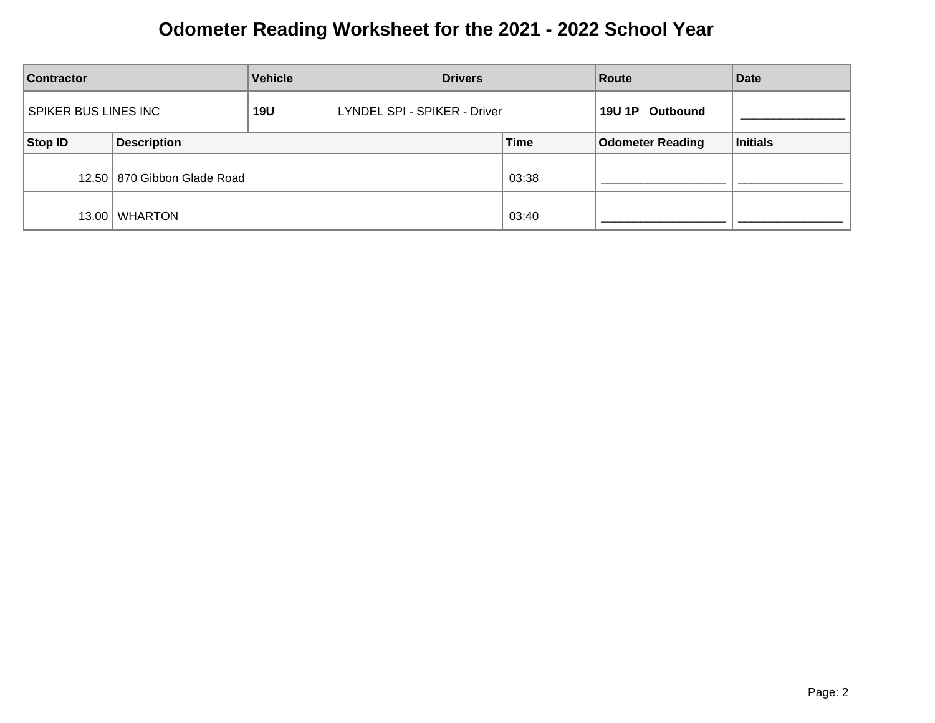| <b>Vehicle</b><br><b>Contractor</b>       |                               | <b>Drivers</b>               |  | Route           | <b>Date</b>             |          |
|-------------------------------------------|-------------------------------|------------------------------|--|-----------------|-------------------------|----------|
| <b>SPIKER BUS LINES INC</b><br><b>19U</b> |                               | LYNDEL SPI - SPIKER - Driver |  | 19U 1P Outbound |                         |          |
| <b>Stop ID</b>                            | <b>Description</b>            |                              |  | <b>Time</b>     | <b>Odometer Reading</b> | Initials |
|                                           | 12.50   870 Gibbon Glade Road |                              |  | 03:38           |                         |          |
| 13.00                                     | WHARTON                       |                              |  | 03:40           |                         |          |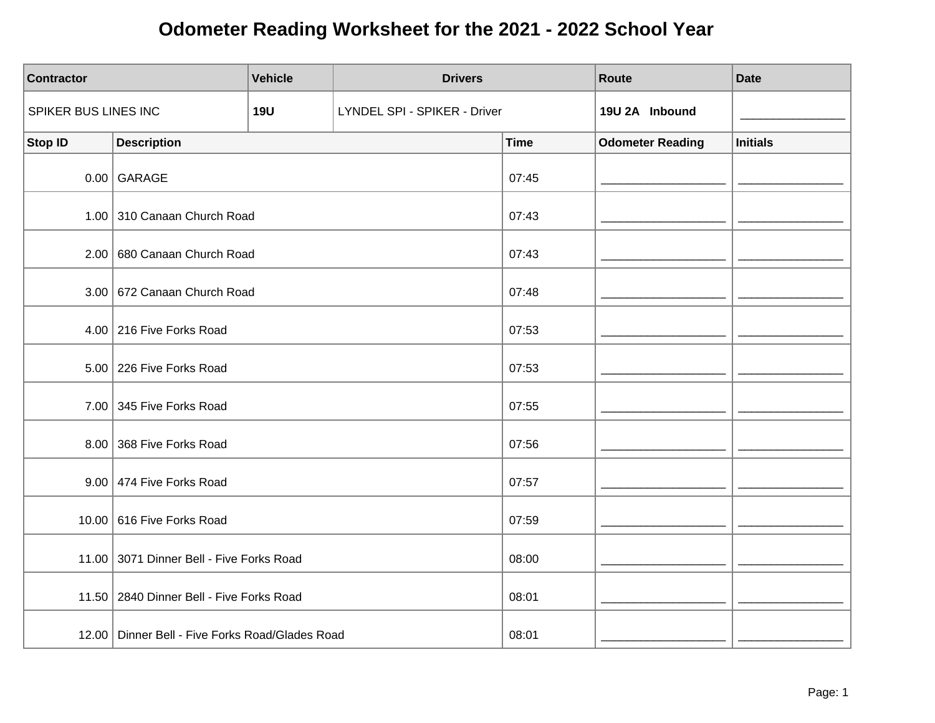| <b>Contractor</b>    |                                                 | <b>Vehicle</b> | <b>Drivers</b>               |             | Route                   | <b>Date</b>     |
|----------------------|-------------------------------------------------|----------------|------------------------------|-------------|-------------------------|-----------------|
| SPIKER BUS LINES INC |                                                 | <b>19U</b>     | LYNDEL SPI - SPIKER - Driver |             | 19U 2A Inbound          |                 |
| <b>Stop ID</b>       | <b>Description</b>                              |                |                              | <b>Time</b> | <b>Odometer Reading</b> | <b>Initials</b> |
|                      | $0.00$ GARAGE                                   |                |                              | 07:45       |                         |                 |
|                      | 1.00 310 Canaan Church Road                     |                |                              | 07:43       |                         |                 |
|                      | 2.00 680 Canaan Church Road                     |                |                              | 07:43       |                         |                 |
|                      | 3.00 672 Canaan Church Road                     |                |                              | 07:48       |                         |                 |
|                      | 4.00 216 Five Forks Road                        |                |                              | 07:53       |                         |                 |
|                      | 5.00 226 Five Forks Road                        |                |                              | 07:53       |                         |                 |
|                      | 7.00 345 Five Forks Road                        |                |                              | 07:55       |                         |                 |
|                      | 8.00 368 Five Forks Road                        |                |                              | 07:56       |                         |                 |
|                      | 9.00 474 Five Forks Road                        |                |                              | 07:57       |                         |                 |
|                      | 10.00 616 Five Forks Road                       |                |                              | 07:59       |                         |                 |
|                      | 11.00 3071 Dinner Bell - Five Forks Road        |                |                              | 08:00       |                         |                 |
|                      | 11.50   2840 Dinner Bell - Five Forks Road      |                |                              | 08:01       |                         |                 |
|                      | 12.00 Dinner Bell - Five Forks Road/Glades Road |                |                              | 08:01       |                         |                 |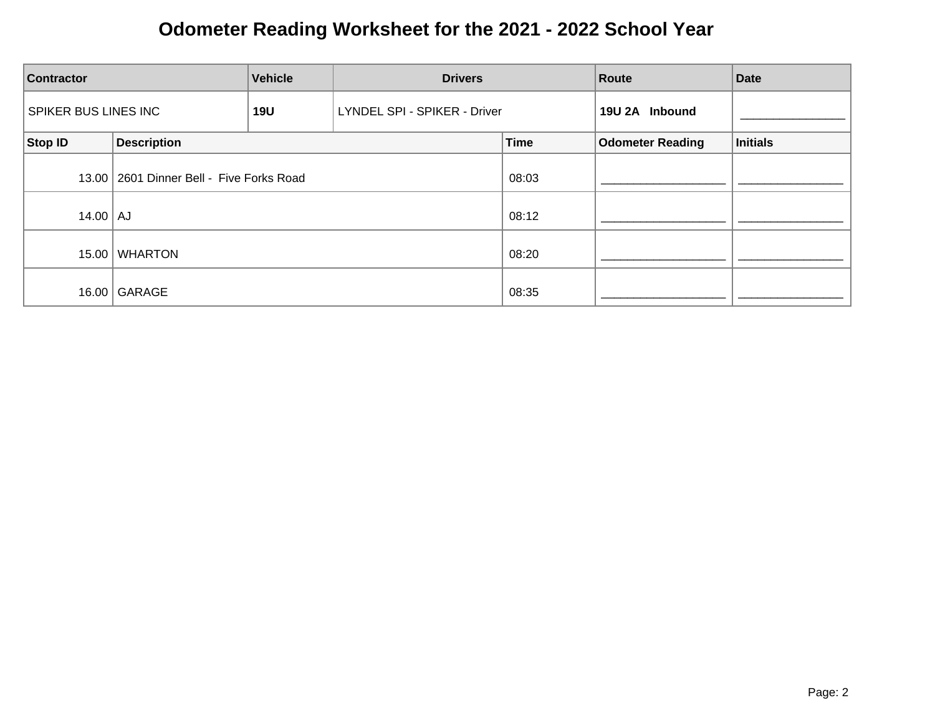| <b>Vehicle</b><br><b>Drivers</b><br><b>Contractor</b> |                                            |            | Route                        | <b>Date</b> |                         |          |
|-------------------------------------------------------|--------------------------------------------|------------|------------------------------|-------------|-------------------------|----------|
| <b>SPIKER BUS LINES INC</b>                           |                                            | <b>19U</b> | LYNDEL SPI - SPIKER - Driver |             | 19U 2A Inbound          |          |
| Stop ID                                               | <b>Description</b>                         |            |                              | <b>Time</b> | <b>Odometer Reading</b> | Initials |
|                                                       | 13.00   2601 Dinner Bell - Five Forks Road |            |                              | 08:03       |                         |          |
| $14.00$ $\vert$ AJ                                    |                                            |            |                              | 08:12       |                         |          |
| 15.00                                                 | <b>WHARTON</b>                             |            |                              | 08:20       |                         |          |
|                                                       | 16.00 GARAGE                               |            |                              | 08:35       |                         |          |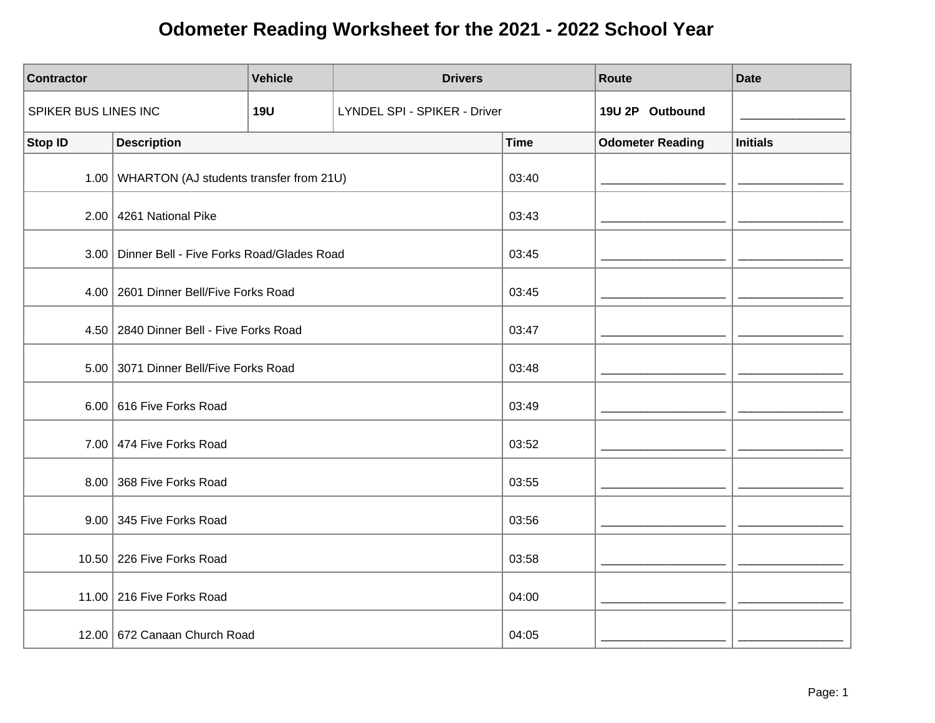| <b>Contractor</b>    |                                                | <b>Vehicle</b> | <b>Drivers</b>               |             | Route                   | <b>Date</b>     |
|----------------------|------------------------------------------------|----------------|------------------------------|-------------|-------------------------|-----------------|
| SPIKER BUS LINES INC |                                                | <b>19U</b>     | LYNDEL SPI - SPIKER - Driver |             | 19U 2P Outbound         |                 |
| <b>Stop ID</b>       | <b>Description</b>                             |                |                              | <b>Time</b> | <b>Odometer Reading</b> | <b>Initials</b> |
|                      | 1.00 WHARTON (AJ students transfer from 21U)   |                |                              | 03:40       |                         |                 |
|                      | 2.00 4261 National Pike                        |                |                              | 03:43       |                         |                 |
|                      | 3.00 Dinner Bell - Five Forks Road/Glades Road |                |                              | 03:45       |                         |                 |
|                      | 4.00   2601 Dinner Bell/Five Forks Road        |                |                              | 03:45       |                         |                 |
|                      | 4.50 2840 Dinner Bell - Five Forks Road        |                |                              | 03:47       |                         |                 |
|                      | 5.00 3071 Dinner Bell/Five Forks Road          |                |                              | 03:48       |                         |                 |
|                      | 6.00 616 Five Forks Road                       |                |                              | 03:49       |                         |                 |
|                      | 7.00 474 Five Forks Road                       |                |                              | 03:52       |                         |                 |
|                      | 8.00 368 Five Forks Road                       |                |                              | 03:55       |                         |                 |
|                      | 9.00 345 Five Forks Road                       |                |                              | 03:56       |                         |                 |
|                      | 10.50 226 Five Forks Road                      |                |                              | 03:58       |                         |                 |
|                      | 11.00 216 Five Forks Road                      |                |                              | 04:00       |                         |                 |
|                      | 12.00   672 Canaan Church Road                 |                |                              | 04:05       |                         |                 |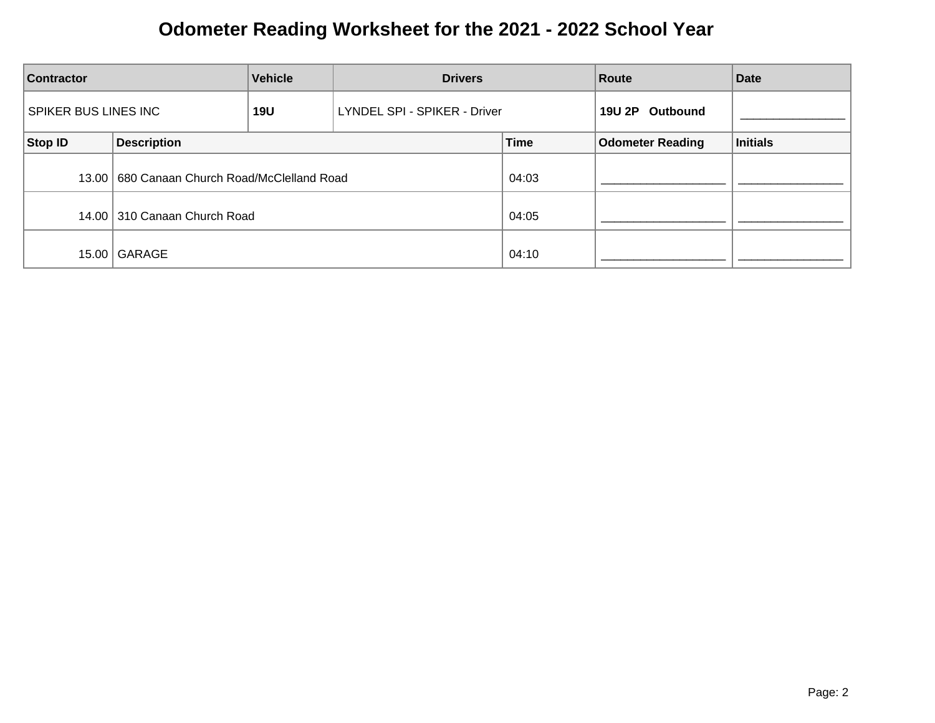| <b>Vehicle</b><br><b>Contractor</b>       |                                                | <b>Drivers</b>                      |  | Route              | <b>Date</b>             |                 |
|-------------------------------------------|------------------------------------------------|-------------------------------------|--|--------------------|-------------------------|-----------------|
| <b>SPIKER BUS LINES INC</b><br><b>19U</b> |                                                | <b>LYNDEL SPI - SPIKER - Driver</b> |  | 19U 2P<br>Outbound |                         |                 |
| Stop ID                                   | <b>Description</b>                             |                                     |  | <b>Time</b>        | <b>Odometer Reading</b> | <b>Initials</b> |
|                                           | 13.00   680 Canaan Church Road/McClelland Road |                                     |  | 04:03              |                         |                 |
|                                           | 14.00 310 Canaan Church Road                   |                                     |  | 04:05              |                         |                 |
| 15.00                                     | GARAGE                                         |                                     |  | 04:10              |                         |                 |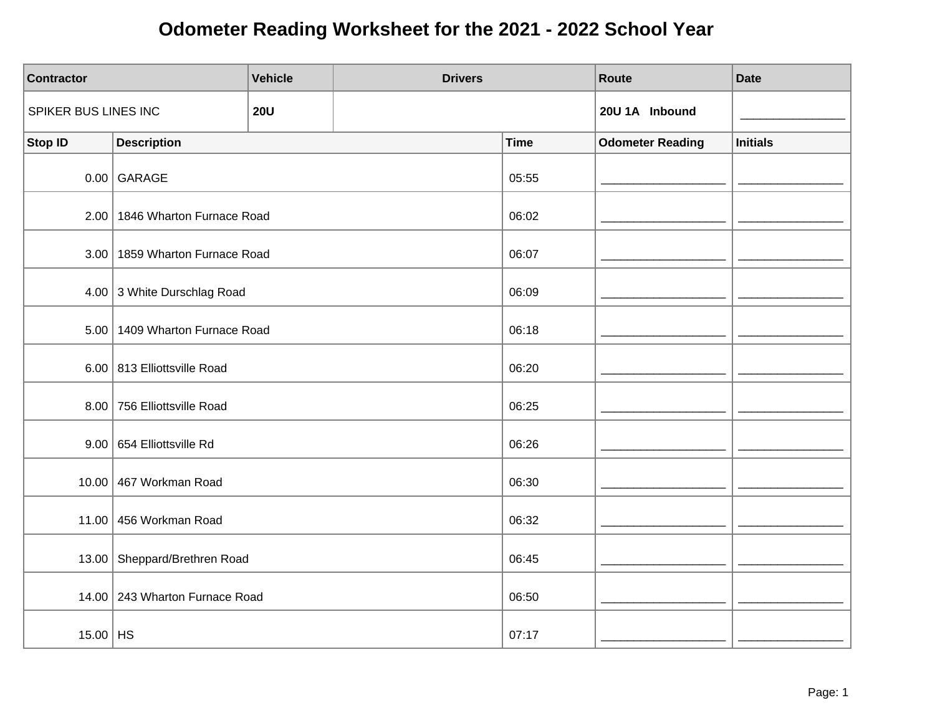| <b>Contractor</b>    |                                  | <b>Vehicle</b> | <b>Drivers</b> |             | Route                   | <b>Date</b>     |
|----------------------|----------------------------------|----------------|----------------|-------------|-------------------------|-----------------|
| SPIKER BUS LINES INC |                                  | <b>20U</b>     |                |             | 20U 1A Inbound          |                 |
| <b>Stop ID</b>       | <b>Description</b>               |                |                | <b>Time</b> | <b>Odometer Reading</b> | <b>Initials</b> |
|                      | $0.00$ GARAGE                    |                |                | 05:55       |                         |                 |
|                      | 2.00   1846 Wharton Furnace Road |                |                | 06:02       |                         |                 |
|                      | 3.00   1859 Wharton Furnace Road |                |                | 06:07       |                         |                 |
|                      | 4.00 3 White Durschlag Road      |                |                | 06:09       |                         |                 |
|                      | 5.00 1409 Wharton Furnace Road   |                |                | 06:18       |                         |                 |
|                      | 6.00 813 Elliottsville Road      |                |                | 06:20       |                         |                 |
|                      | 8.00 756 Elliottsville Road      |                |                | 06:25       |                         |                 |
|                      | 9.00 654 Elliottsville Rd        |                |                | 06:26       |                         |                 |
|                      | 10.00 467 Workman Road           |                |                | 06:30       |                         |                 |
|                      | 11.00 456 Workman Road           |                |                | 06:32       |                         |                 |
|                      | 13.00 Sheppard/Brethren Road     |                |                | 06:45       |                         |                 |
|                      | 14.00 243 Wharton Furnace Road   |                |                | 06:50       |                         |                 |
| $15.00$ HS           |                                  |                |                | 07:17       |                         |                 |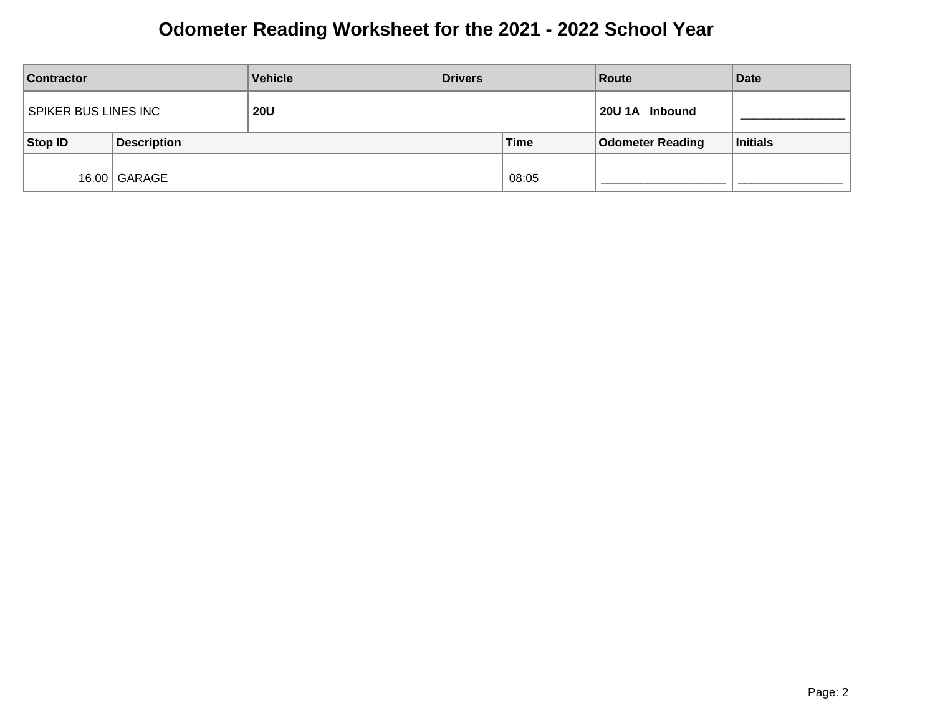| <b>Contractor</b>    |                    | <b>Vehicle</b> | <b>Drivers</b> |       | Route                   | <b>Date</b> |
|----------------------|--------------------|----------------|----------------|-------|-------------------------|-------------|
| SPIKER BUS LINES INC |                    | <b>20U</b>     |                |       | 20U 1A Inbound          |             |
| Stop ID              | <b>Description</b> |                |                | Time  | <b>Odometer Reading</b> | Initials    |
|                      | 16.00   GARAGE     |                |                | 08:05 |                         |             |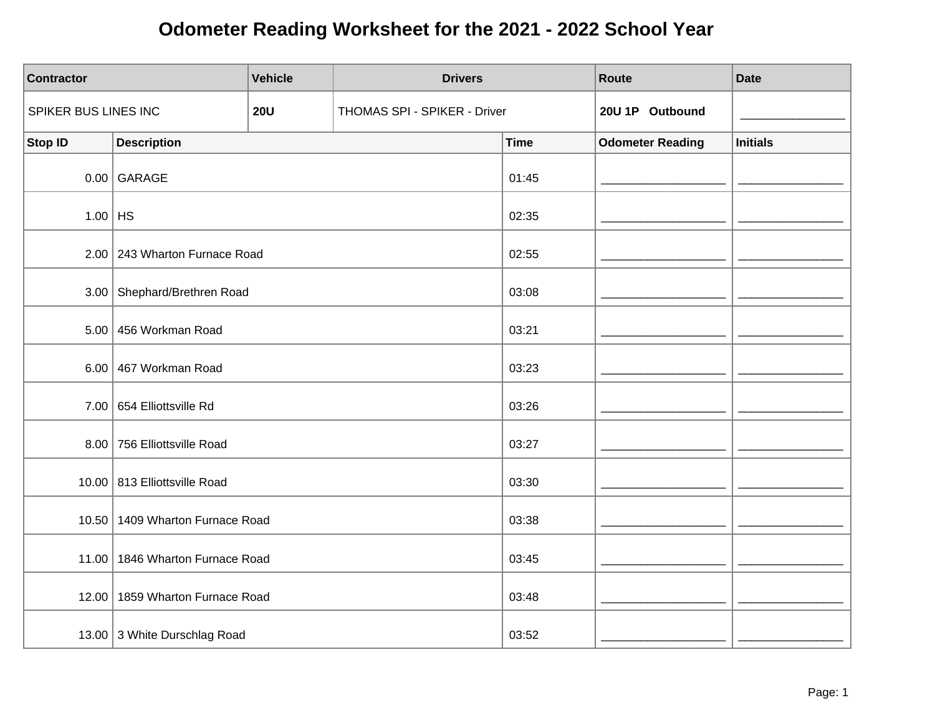| <b>Contractor</b>    |                                 | <b>Vehicle</b> | <b>Drivers</b>               |             | Route                   | <b>Date</b>     |
|----------------------|---------------------------------|----------------|------------------------------|-------------|-------------------------|-----------------|
| SPIKER BUS LINES INC |                                 | <b>20U</b>     | THOMAS SPI - SPIKER - Driver |             | 20U 1P Outbound         |                 |
| Stop ID              | <b>Description</b>              |                |                              | <b>Time</b> | <b>Odometer Reading</b> | <b>Initials</b> |
|                      | $0.00$ GARAGE                   |                |                              | 01:45       |                         |                 |
| $1.00$ HS            |                                 |                |                              | 02:35       |                         |                 |
|                      | 2.00 243 Wharton Furnace Road   |                |                              | 02:55       |                         |                 |
|                      | 3.00 Shephard/Brethren Road     |                |                              | 03:08       |                         |                 |
| 5.00                 | 456 Workman Road                |                |                              | 03:21       |                         |                 |
|                      | 6.00 467 Workman Road           |                |                              | 03:23       |                         |                 |
|                      | 7.00 654 Elliottsville Rd       |                |                              | 03:26       |                         |                 |
|                      | 8.00 756 Elliottsville Road     |                |                              | 03:27       |                         |                 |
|                      | 10.00 813 Elliottsville Road    |                |                              | 03:30       |                         |                 |
|                      | 10.50 1409 Wharton Furnace Road |                |                              | 03:38       |                         |                 |
|                      | 11.00 1846 Wharton Furnace Road |                |                              | 03:45       |                         |                 |
|                      | 12.00 1859 Wharton Furnace Road |                |                              | 03:48       |                         |                 |
|                      | 13.00 3 White Durschlag Road    |                |                              | 03:52       |                         |                 |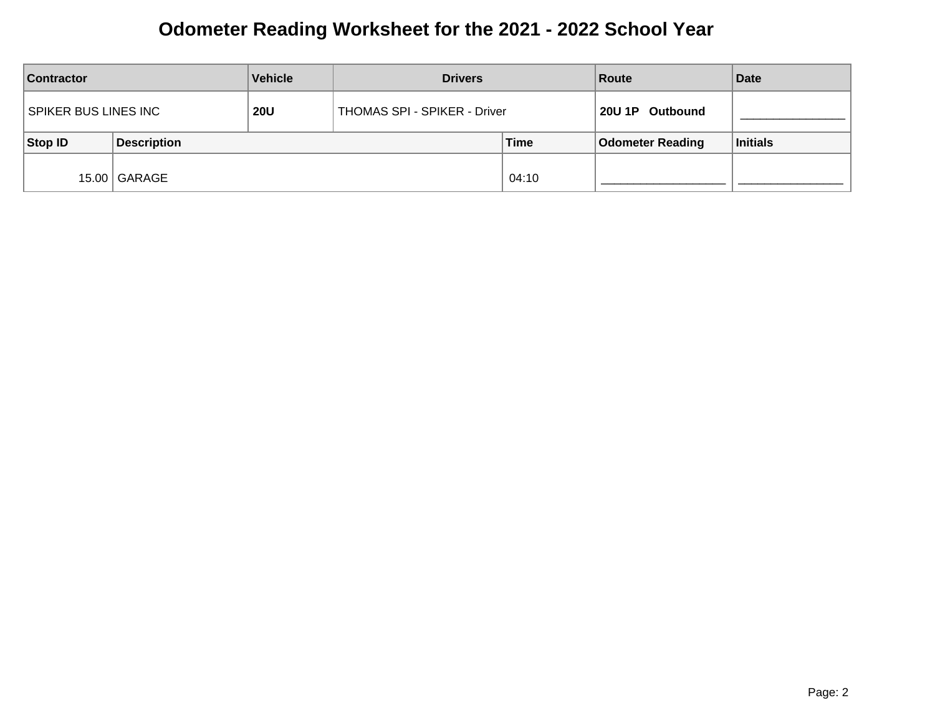| <b>Vehicle</b><br><b>Contractor</b> |                    | <b>Drivers</b> |                              | Route       | <b>Date</b>             |          |
|-------------------------------------|--------------------|----------------|------------------------------|-------------|-------------------------|----------|
| SPIKER BUS LINES INC                |                    | <b>20U</b>     | THOMAS SPI - SPIKER - Driver |             | 20U 1P Outbound         |          |
| Stop ID                             | <b>Description</b> |                |                              | <b>Time</b> | <b>Odometer Reading</b> | Initials |
|                                     | 15.00   GARAGE     |                |                              | 04:10       |                         |          |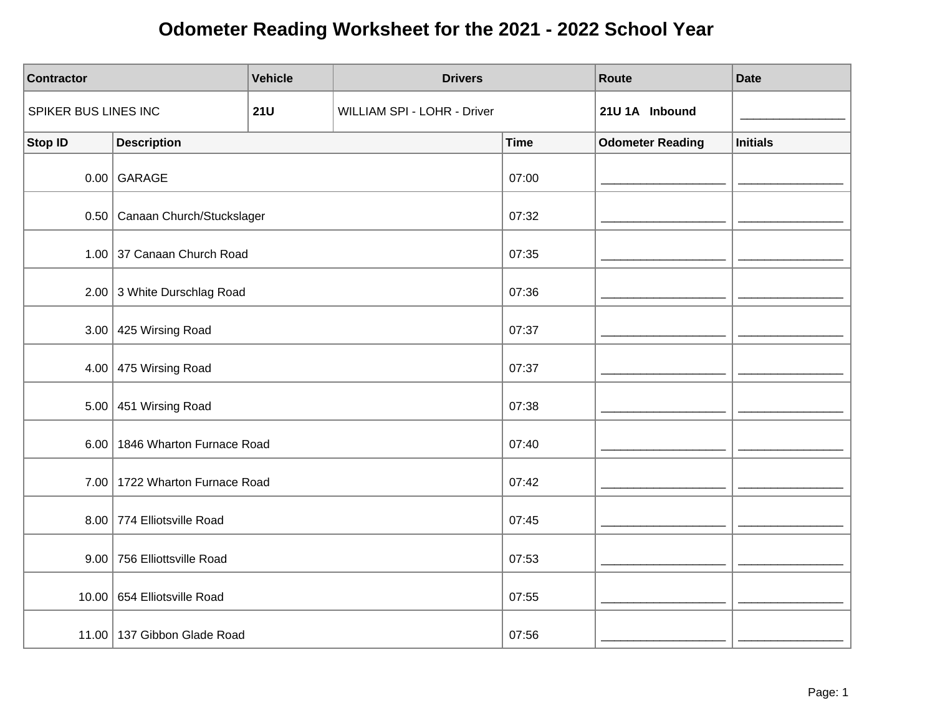| <b>Contractor</b>    |                                  | <b>Vehicle</b> | <b>Drivers</b>              |             | Route                   | <b>Date</b>     |
|----------------------|----------------------------------|----------------|-----------------------------|-------------|-------------------------|-----------------|
| SPIKER BUS LINES INC |                                  | <b>21U</b>     | WILLIAM SPI - LOHR - Driver |             | 21U 1A Inbound          |                 |
| <b>Stop ID</b>       | <b>Description</b>               |                |                             | <b>Time</b> | <b>Odometer Reading</b> | <b>Initials</b> |
|                      | $0.00$ GARAGE                    |                |                             | 07:00       |                         |                 |
|                      | 0.50   Canaan Church/Stuckslager |                |                             | 07:32       |                         |                 |
|                      | 1.00 37 Canaan Church Road       |                |                             | 07:35       |                         |                 |
|                      | 2.00 3 White Durschlag Road      |                |                             | 07:36       |                         |                 |
|                      | 3.00 $ $ 425 Wirsing Road        |                |                             | 07:37       |                         |                 |
|                      | 4.00 475 Wirsing Road            |                |                             | 07:37       |                         |                 |
| 5.00                 | 451 Wirsing Road                 |                |                             | 07:38       |                         |                 |
|                      | 6.00   1846 Wharton Furnace Road |                |                             | 07:40       |                         |                 |
|                      | 7.00   1722 Wharton Furnace Road |                |                             | 07:42       |                         |                 |
|                      | 8.00 774 Elliotsville Road       |                |                             | 07:45       |                         |                 |
|                      | 9.00 756 Elliottsville Road      |                |                             | 07:53       |                         |                 |
|                      | 10.00 654 Elliotsville Road      |                |                             | 07:55       |                         |                 |
|                      | 11.00   137 Gibbon Glade Road    |                |                             | 07:56       |                         |                 |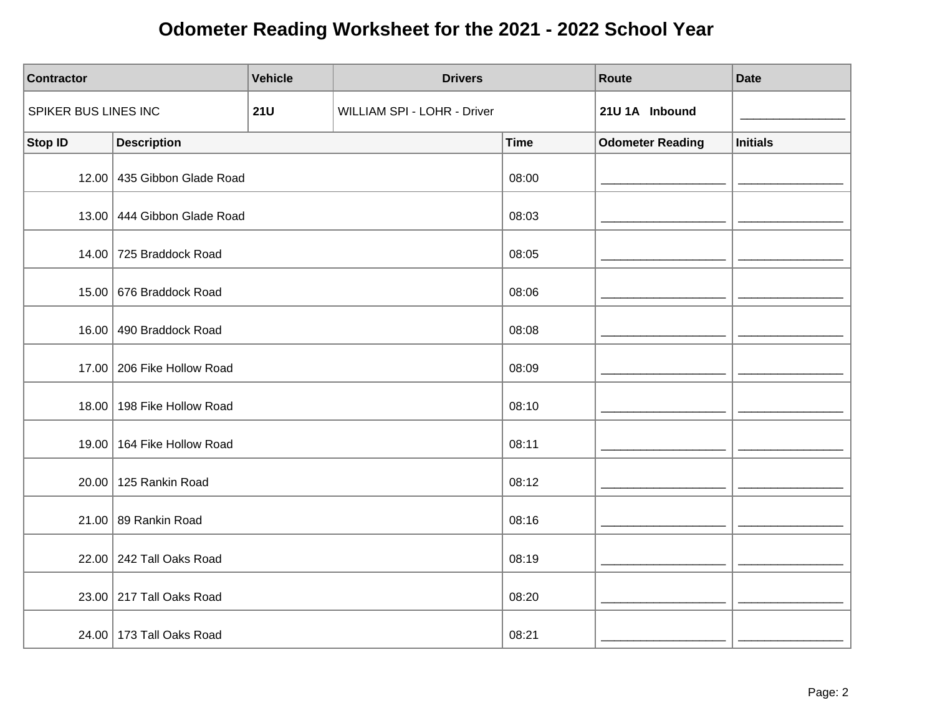| <b>Contractor</b>    |                              | <b>Vehicle</b> | <b>Drivers</b>              |             | Route                   | <b>Date</b>     |
|----------------------|------------------------------|----------------|-----------------------------|-------------|-------------------------|-----------------|
| SPIKER BUS LINES INC |                              | <b>21U</b>     | WILLIAM SPI - LOHR - Driver |             | 21U 1A Inbound          |                 |
| <b>Stop ID</b>       | <b>Description</b>           |                |                             | <b>Time</b> | <b>Odometer Reading</b> | <b>Initials</b> |
|                      | 12.00 435 Gibbon Glade Road  |                |                             | 08:00       |                         |                 |
|                      | 13.00 444 Gibbon Glade Road  |                |                             | 08:03       |                         |                 |
|                      | 14.00 725 Braddock Road      |                |                             | 08:05       |                         |                 |
|                      | 15.00 676 Braddock Road      |                |                             | 08:06       |                         |                 |
| 16.00                | 490 Braddock Road            |                |                             | 08:08       |                         |                 |
|                      | 17.00   206 Fike Hollow Road |                |                             | 08:09       |                         |                 |
|                      | 18.00   198 Fike Hollow Road |                |                             | 08:10       |                         |                 |
|                      | 19.00   164 Fike Hollow Road |                |                             | 08:11       |                         |                 |
|                      | 20.00 125 Rankin Road        |                |                             | 08:12       |                         |                 |
|                      | 21.00 89 Rankin Road         |                |                             | 08:16       |                         |                 |
|                      | 22.00 242 Tall Oaks Road     |                |                             | 08:19       |                         |                 |
|                      | 23.00 217 Tall Oaks Road     |                |                             | 08:20       |                         |                 |
|                      | 24.00 173 Tall Oaks Road     |                |                             | 08:21       |                         |                 |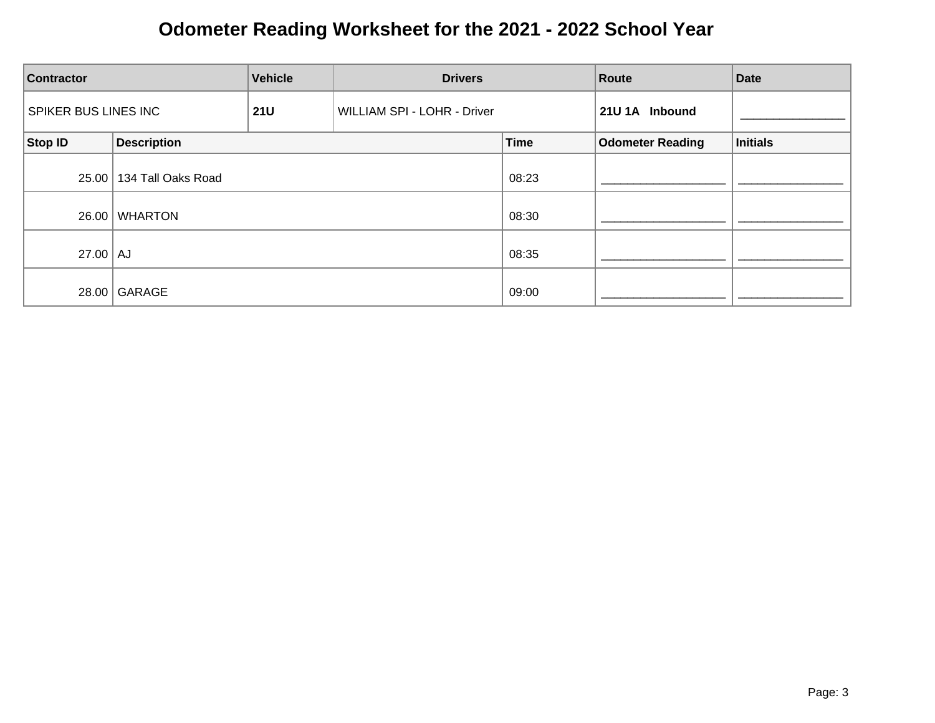| <b>Contractor</b>    |                    | <b>Vehicle</b> | <b>Drivers</b>              |             | Route                   | <b>Date</b> |
|----------------------|--------------------|----------------|-----------------------------|-------------|-------------------------|-------------|
| SPIKER BUS LINES INC |                    | <b>21U</b>     | WILLIAM SPI - LOHR - Driver |             | 21U 1A Inbound          |             |
| Stop ID              | <b>Description</b> |                |                             | <b>Time</b> | <b>Odometer Reading</b> | Initials    |
| 25.00                | 134 Tall Oaks Road |                |                             | 08:23       |                         |             |
| 26.00                | <b>WHARTON</b>     |                |                             | 08:30       |                         |             |
| $27.00$ $\vert$ AJ   |                    |                |                             | 08:35       |                         |             |
| 28.00                | GARAGE             |                |                             | 09:00       |                         |             |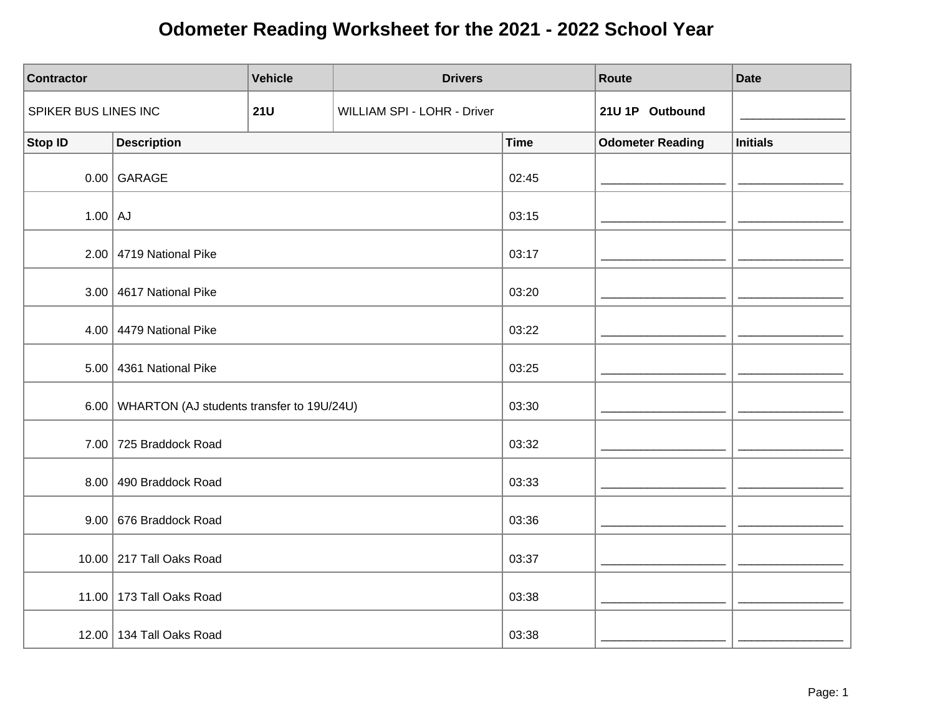| <b>Contractor</b>    |                                                | <b>Vehicle</b> | <b>Drivers</b>              |             | Route                   | <b>Date</b>     |
|----------------------|------------------------------------------------|----------------|-----------------------------|-------------|-------------------------|-----------------|
| SPIKER BUS LINES INC |                                                | <b>21U</b>     | WILLIAM SPI - LOHR - Driver |             | 21U 1P Outbound         |                 |
| <b>Stop ID</b>       | <b>Description</b>                             |                |                             | <b>Time</b> | <b>Odometer Reading</b> | <b>Initials</b> |
|                      | $0.00$ GARAGE                                  |                |                             | 02:45       |                         |                 |
| $1.00$ AJ            |                                                |                |                             | 03:15       |                         |                 |
|                      | $2.00$ 4719 National Pike                      |                |                             | 03:17       |                         |                 |
|                      | 3.00 4617 National Pike                        |                |                             | 03:20       |                         |                 |
|                      | 4.00 4479 National Pike                        |                |                             | 03:22       |                         |                 |
|                      | $5.00$ 4361 National Pike                      |                |                             | 03:25       |                         |                 |
|                      | 6.00 WHARTON (AJ students transfer to 19U/24U) |                |                             | 03:30       |                         |                 |
|                      | 7.00 725 Braddock Road                         |                |                             | 03:32       |                         |                 |
|                      | 8.00 490 Braddock Road                         |                |                             | 03:33       |                         |                 |
|                      | 9.00 676 Braddock Road                         |                |                             | 03:36       |                         |                 |
|                      | 10.00 217 Tall Oaks Road                       |                |                             | 03:37       |                         |                 |
|                      | 11.00   173 Tall Oaks Road                     |                |                             | 03:38       |                         |                 |
|                      | 12.00 134 Tall Oaks Road                       |                |                             | 03:38       |                         |                 |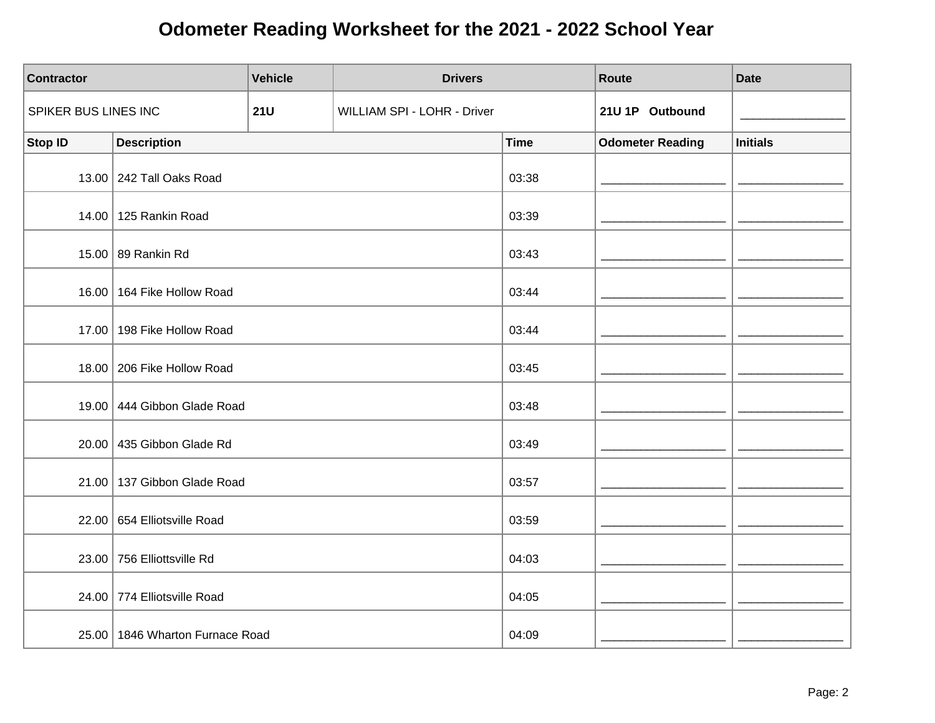| <b>Contractor</b>    |                                   | <b>Vehicle</b><br><b>Drivers</b> |                             |             | Route                   | <b>Date</b>     |
|----------------------|-----------------------------------|----------------------------------|-----------------------------|-------------|-------------------------|-----------------|
| SPIKER BUS LINES INC |                                   | <b>21U</b>                       | WILLIAM SPI - LOHR - Driver |             | 21U 1P Outbound         |                 |
| <b>Stop ID</b>       | <b>Description</b>                |                                  |                             | <b>Time</b> | <b>Odometer Reading</b> | <b>Initials</b> |
|                      | 13.00 242 Tall Oaks Road          |                                  |                             | 03:38       |                         |                 |
|                      | 14.00 125 Rankin Road             |                                  |                             | 03:39       |                         |                 |
|                      | 15.00 89 Rankin Rd                |                                  |                             | 03:43       |                         |                 |
|                      | 16.00 164 Fike Hollow Road        |                                  |                             | 03:44       |                         |                 |
|                      | 17.00   198 Fike Hollow Road      |                                  |                             | 03:44       |                         |                 |
|                      | 18.00   206 Fike Hollow Road      |                                  |                             | 03:45       |                         |                 |
| 19.00                | 444 Gibbon Glade Road             |                                  |                             | 03:48       |                         |                 |
|                      | 20.00 435 Gibbon Glade Rd         |                                  |                             | 03:49       |                         |                 |
|                      | 21.00   137 Gibbon Glade Road     |                                  |                             | 03:57       |                         |                 |
|                      | 22.00 654 Elliotsville Road       |                                  |                             | 03:59       |                         |                 |
|                      | 23.00 756 Elliottsville Rd        |                                  |                             | 04:03       |                         |                 |
|                      | 24.00 774 Elliotsville Road       |                                  |                             | 04:05       |                         |                 |
|                      | 25.00   1846 Wharton Furnace Road |                                  |                             | 04:09       |                         |                 |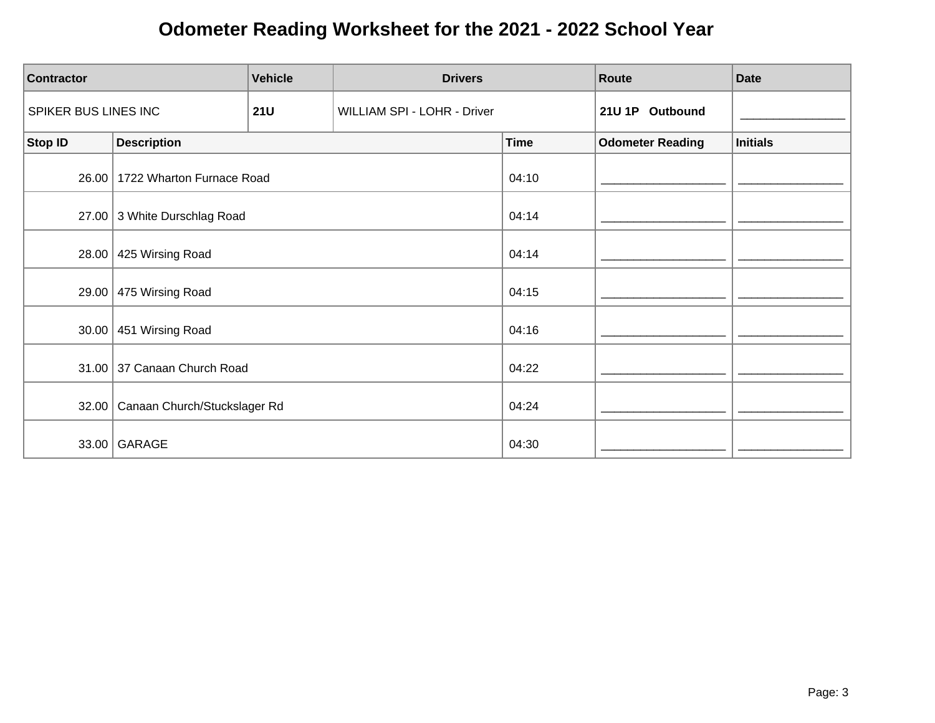| <b>Contractor</b>    |                              | <b>Vehicle</b> | <b>Drivers</b>              |             | Route                   | <b>Date</b>     |
|----------------------|------------------------------|----------------|-----------------------------|-------------|-------------------------|-----------------|
| SPIKER BUS LINES INC |                              | <b>21U</b>     | WILLIAM SPI - LOHR - Driver |             | 21U 1P Outbound         |                 |
| <b>Stop ID</b>       | <b>Description</b>           |                |                             | <b>Time</b> | <b>Odometer Reading</b> | <b>Initials</b> |
| 26.00                | 1722 Wharton Furnace Road    |                |                             | 04:10       |                         |                 |
|                      | 27.00 3 White Durschlag Road |                |                             | 04:14       |                         |                 |
| 28.00                | 425 Wirsing Road             |                |                             | 04:14       |                         |                 |
| 29.00                | 475 Wirsing Road             |                |                             | 04:15       |                         |                 |
| 30.00                | 451 Wirsing Road             |                |                             | 04:16       |                         |                 |
|                      | 31.00 37 Canaan Church Road  |                |                             | 04:22       |                         |                 |
| 32.00                | Canaan Church/Stuckslager Rd |                |                             | 04:24       |                         |                 |
| 33.00                | GARAGE                       |                |                             | 04:30       |                         |                 |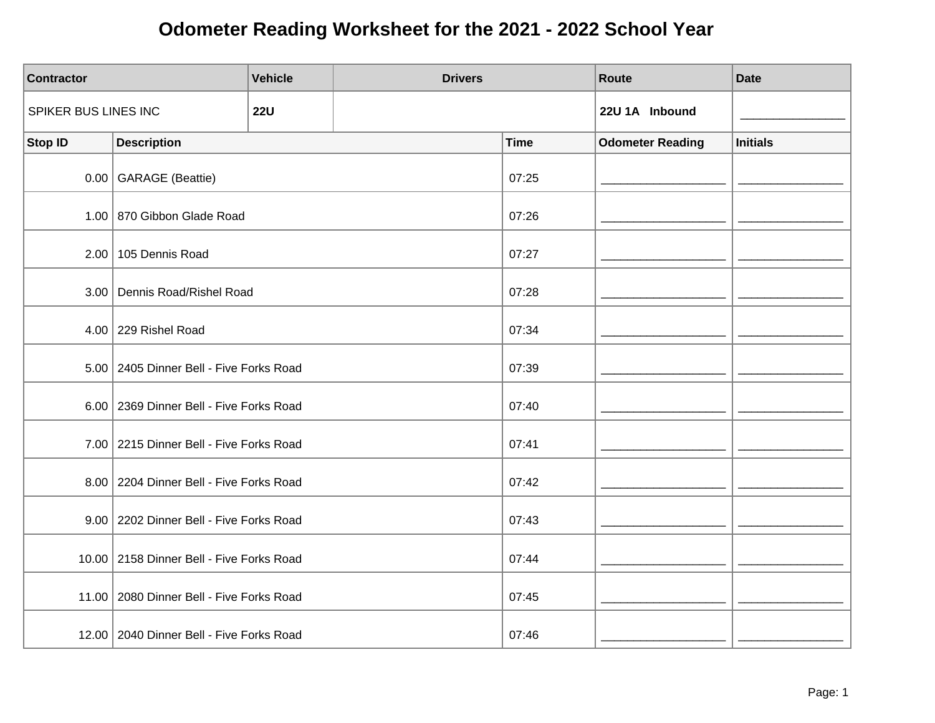| <b>Contractor</b>    |                                            | <b>Vehicle</b> | <b>Drivers</b> |             | Route                   | <b>Date</b>     |
|----------------------|--------------------------------------------|----------------|----------------|-------------|-------------------------|-----------------|
| SPIKER BUS LINES INC |                                            | <b>22U</b>     |                |             | 22U 1A Inbound          |                 |
| <b>Stop ID</b>       | <b>Description</b>                         |                |                | <b>Time</b> | <b>Odometer Reading</b> | <b>Initials</b> |
|                      | 0.00 GARAGE (Beattie)                      |                |                | 07:25       |                         |                 |
|                      | 1.00 870 Gibbon Glade Road                 |                |                | 07:26       |                         |                 |
|                      | 2.00   105 Dennis Road                     |                |                | 07:27       |                         |                 |
|                      | 3.00 Dennis Road/Rishel Road               |                |                | 07:28       |                         |                 |
|                      | 4.00 229 Rishel Road                       |                |                | 07:34       |                         |                 |
|                      | 5.00   2405 Dinner Bell - Five Forks Road  |                |                | 07:39       |                         |                 |
|                      | 6.00   2369 Dinner Bell - Five Forks Road  |                |                | 07:40       |                         |                 |
|                      | 7.00 2215 Dinner Bell - Five Forks Road    |                |                | 07:41       |                         |                 |
|                      | 8.00   2204 Dinner Bell - Five Forks Road  |                |                | 07:42       |                         |                 |
|                      | 9.00   2202 Dinner Bell - Five Forks Road  |                |                | 07:43       |                         |                 |
|                      | 10.00   2158 Dinner Bell - Five Forks Road |                |                | 07:44       |                         |                 |
|                      | 11.00   2080 Dinner Bell - Five Forks Road |                |                | 07:45       |                         |                 |
|                      | 12.00   2040 Dinner Bell - Five Forks Road |                |                | 07:46       |                         |                 |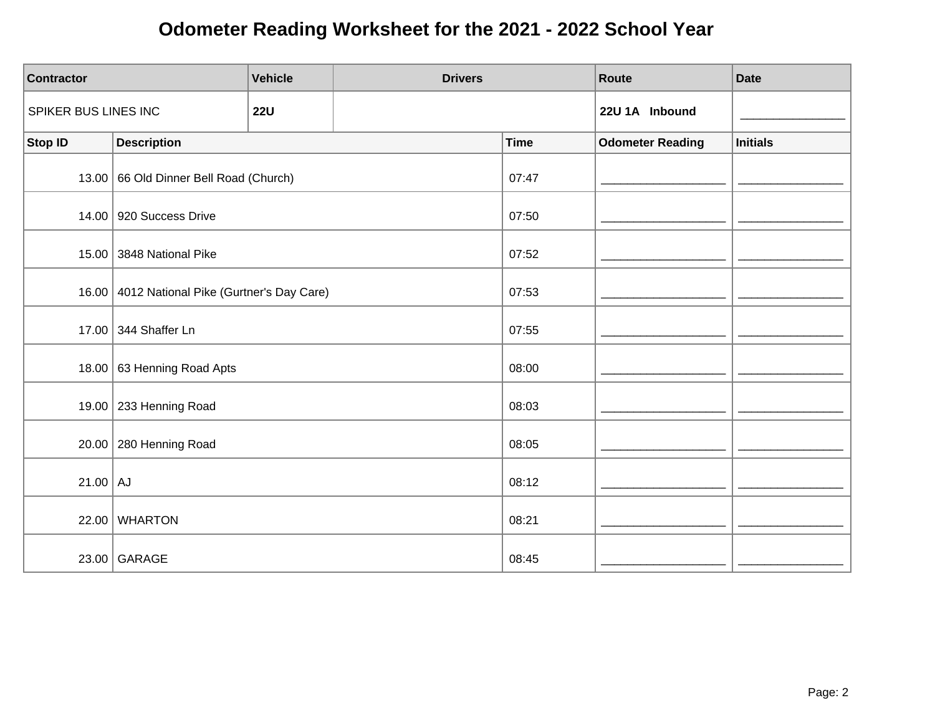| <b>Contractor</b>    |                                               | <b>Vehicle</b> | <b>Drivers</b> |             | <b>Route</b>            | <b>Date</b>     |
|----------------------|-----------------------------------------------|----------------|----------------|-------------|-------------------------|-----------------|
| SPIKER BUS LINES INC |                                               | <b>22U</b>     |                |             | 22U 1A Inbound          |                 |
| <b>Stop ID</b>       | <b>Description</b>                            |                |                | <b>Time</b> | <b>Odometer Reading</b> | <b>Initials</b> |
|                      | 13.00 66 Old Dinner Bell Road (Church)        |                |                | 07:47       |                         |                 |
|                      | 14.00 920 Success Drive                       |                |                | 07:50       |                         |                 |
| 15.00                | 3848 National Pike                            |                |                | 07:52       |                         |                 |
|                      | 16.00 4012 National Pike (Gurtner's Day Care) |                |                | 07:53       |                         |                 |
|                      | 17.00 344 Shaffer Ln                          |                |                | 07:55       |                         |                 |
|                      | 18.00 63 Henning Road Apts                    |                |                | 08:00       |                         |                 |
|                      | 19.00 $\vert$ 233 Henning Road                |                |                | 08:03       |                         |                 |
| 20.00                | 280 Henning Road                              |                |                | 08:05       |                         |                 |
| $21.00$ AJ           |                                               |                |                | 08:12       |                         |                 |
| 22.00                | <b>WHARTON</b>                                |                |                | 08:21       |                         |                 |
|                      | 23.00 GARAGE                                  |                |                | 08:45       |                         |                 |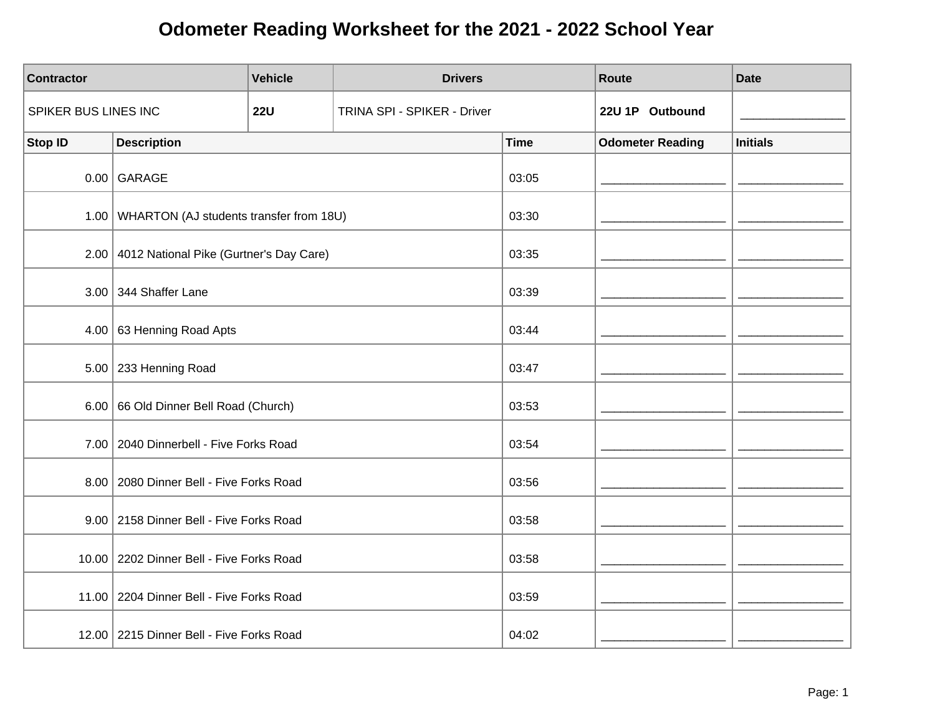| <b>Contractor</b>    |                                                | <b>Vehicle</b> | <b>Drivers</b>              |             | Route                   | <b>Date</b>     |
|----------------------|------------------------------------------------|----------------|-----------------------------|-------------|-------------------------|-----------------|
| SPIKER BUS LINES INC |                                                | <b>22U</b>     | TRINA SPI - SPIKER - Driver |             | 22U 1P Outbound         |                 |
| <b>Stop ID</b>       | <b>Description</b>                             |                |                             | <b>Time</b> | <b>Odometer Reading</b> | <b>Initials</b> |
|                      | $0.00$ GARAGE                                  |                |                             | 03:05       |                         |                 |
|                      | 1.00   WHARTON (AJ students transfer from 18U) |                |                             | 03:30       |                         |                 |
|                      | 2.00 4012 National Pike (Gurtner's Day Care)   |                |                             | 03:35       |                         |                 |
|                      | $3.00$ 344 Shaffer Lane                        |                |                             | 03:39       |                         |                 |
| 4.00                 | 63 Henning Road Apts                           |                |                             | 03:44       |                         |                 |
|                      | $5.00$ 233 Henning Road                        |                |                             | 03:47       |                         |                 |
|                      | 6.00 66 Old Dinner Bell Road (Church)          |                |                             | 03:53       |                         |                 |
|                      | 7.00   2040 Dinnerbell - Five Forks Road       |                |                             | 03:54       |                         |                 |
|                      | 8.00   2080 Dinner Bell - Five Forks Road      |                |                             | 03:56       |                         |                 |
|                      | 9.00 2158 Dinner Bell - Five Forks Road        |                |                             | 03:58       |                         |                 |
|                      | 10.00   2202 Dinner Bell - Five Forks Road     |                |                             | 03:58       |                         |                 |
|                      | 11.00   2204 Dinner Bell - Five Forks Road     |                |                             | 03:59       |                         |                 |
|                      | 12.00 2215 Dinner Bell - Five Forks Road       |                |                             | 04:02       |                         |                 |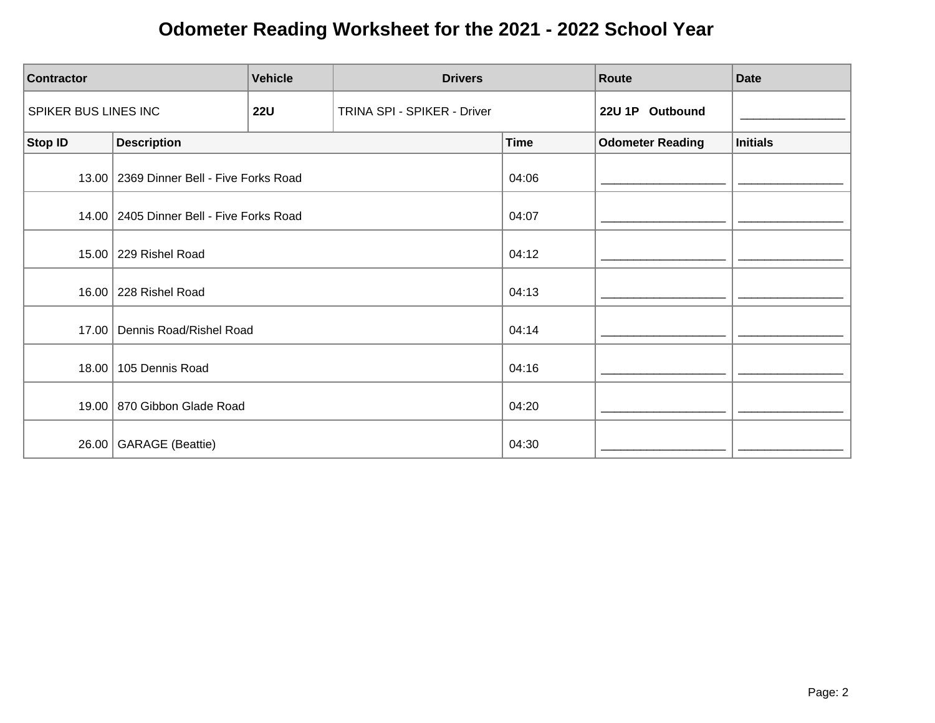| <b>Vehicle</b><br><b>Contractor</b> |                                            | <b>Drivers</b> |                             | Route       | <b>Date</b>             |                 |
|-------------------------------------|--------------------------------------------|----------------|-----------------------------|-------------|-------------------------|-----------------|
| SPIKER BUS LINES INC                |                                            | <b>22U</b>     | TRINA SPI - SPIKER - Driver |             | 22U 1P Outbound         |                 |
| <b>Stop ID</b>                      | <b>Description</b>                         |                |                             | <b>Time</b> | <b>Odometer Reading</b> | <b>Initials</b> |
|                                     | 13.00   2369 Dinner Bell - Five Forks Road |                |                             | 04:06       |                         |                 |
|                                     | 14.00   2405 Dinner Bell - Five Forks Road |                |                             | 04:07       |                         |                 |
|                                     | 15.00 229 Rishel Road                      |                |                             | 04:12       |                         |                 |
|                                     | 16.00   228 Rishel Road                    |                |                             | 04:13       |                         |                 |
| 17.00                               | Dennis Road/Rishel Road                    |                |                             | 04:14       |                         |                 |
|                                     | 18.00   105 Dennis Road                    |                |                             | 04:16       |                         |                 |
|                                     | 19.00 870 Gibbon Glade Road                |                |                             | 04:20       |                         |                 |
|                                     | 26.00 GARAGE (Beattie)                     |                |                             | 04:30       |                         |                 |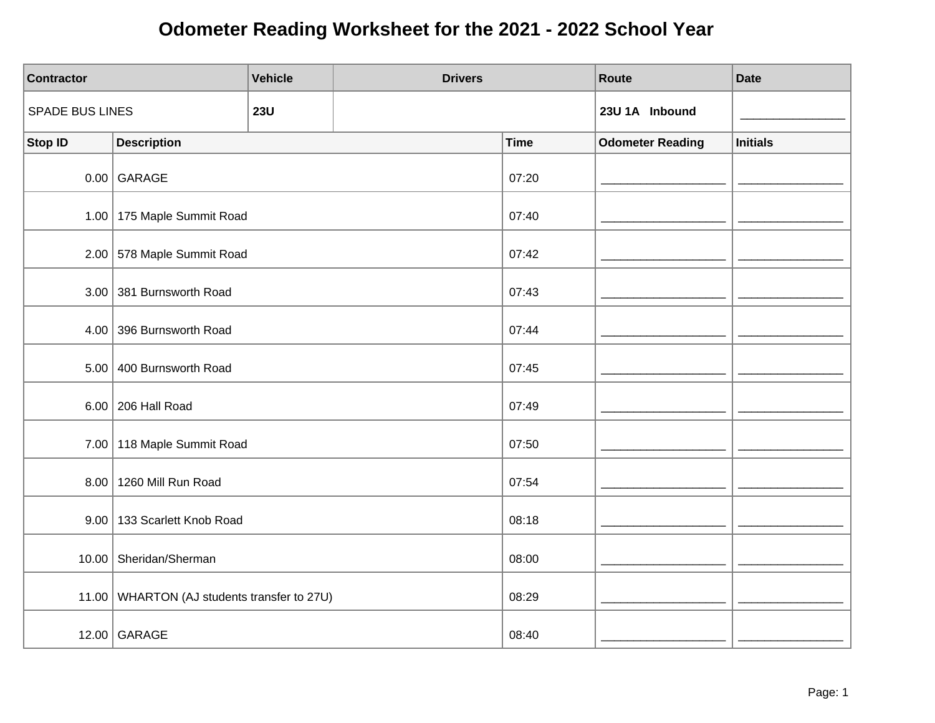| <b>Contractor</b>      |                                             | <b>Vehicle</b> | <b>Drivers</b> |             | Route                   | <b>Date</b>     |
|------------------------|---------------------------------------------|----------------|----------------|-------------|-------------------------|-----------------|
| <b>SPADE BUS LINES</b> |                                             | <b>23U</b>     |                |             | 23U 1A Inbound          |                 |
| <b>Stop ID</b>         | <b>Description</b>                          |                |                | <b>Time</b> | <b>Odometer Reading</b> | <b>Initials</b> |
|                        | $0.00$ GARAGE                               |                |                | 07:20       |                         |                 |
|                        | 1.00   175 Maple Summit Road                |                |                | 07:40       |                         |                 |
|                        | 2.00 578 Maple Summit Road                  |                |                | 07:42       |                         |                 |
|                        | 3.00 381 Burnsworth Road                    |                |                | 07:43       |                         |                 |
| 4.00                   | 396 Burnsworth Road                         |                |                | 07:44       |                         |                 |
|                        | 5.00 400 Burnsworth Road                    |                |                | 07:45       |                         |                 |
|                        | 6.00   206 Hall Road                        |                |                | 07:49       |                         |                 |
|                        | 7.00 118 Maple Summit Road                  |                |                | 07:50       |                         |                 |
|                        | 8.00 1260 Mill Run Road                     |                |                | 07:54       |                         |                 |
|                        | 9.00   133 Scarlett Knob Road               |                |                | 08:18       |                         |                 |
|                        | 10.00 Sheridan/Sherman                      |                |                | 08:00       |                         |                 |
|                        | 11.00 WHARTON (AJ students transfer to 27U) |                |                | 08:29       |                         |                 |
|                        | 12.00 GARAGE                                |                |                | 08:40       |                         |                 |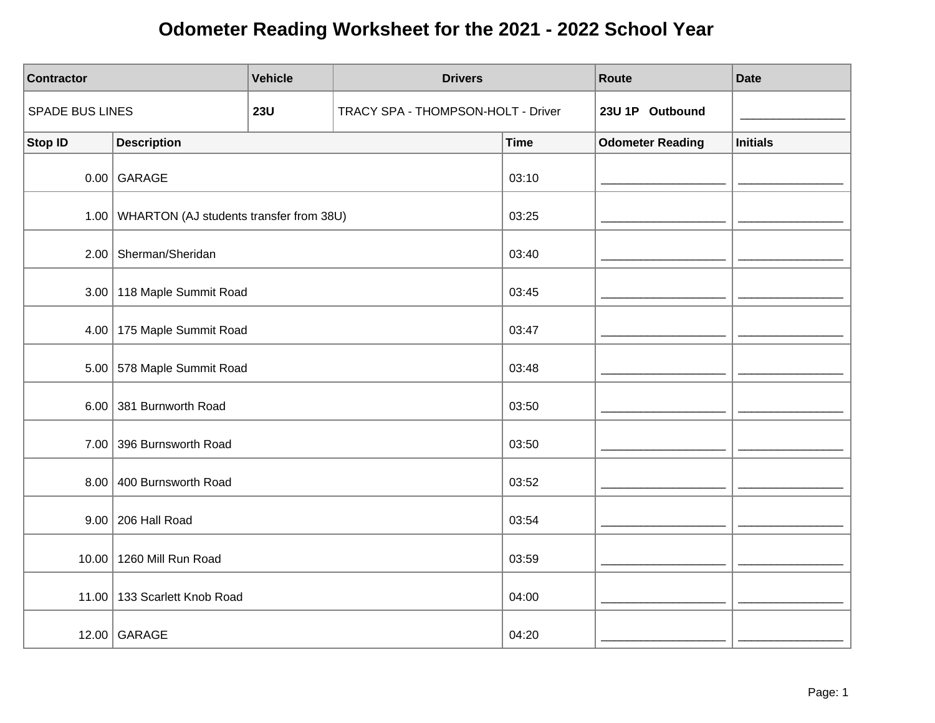| <b>Contractor</b> |                                                | <b>Vehicle</b> | <b>Drivers</b>                     |             | Route                   | <b>Date</b>     |
|-------------------|------------------------------------------------|----------------|------------------------------------|-------------|-------------------------|-----------------|
| SPADE BUS LINES   |                                                | <b>23U</b>     | TRACY SPA - THOMPSON-HOLT - Driver |             | 23U 1P Outbound         |                 |
| <b>Stop ID</b>    | <b>Description</b>                             |                |                                    | <b>Time</b> | <b>Odometer Reading</b> | <b>Initials</b> |
|                   | $0.00$ GARAGE                                  |                |                                    | 03:10       |                         |                 |
|                   | 1.00   WHARTON (AJ students transfer from 38U) |                |                                    | 03:25       |                         |                 |
|                   | 2.00   Sherman/Sheridan                        |                |                                    | 03:40       |                         |                 |
|                   | 3.00   118 Maple Summit Road                   |                |                                    | 03:45       |                         |                 |
|                   | 4.00   175 Maple Summit Road                   |                |                                    | 03:47       |                         |                 |
|                   | 5.00 578 Maple Summit Road                     |                |                                    | 03:48       |                         |                 |
|                   | 6.00 381 Burnworth Road                        |                |                                    | 03:50       |                         |                 |
|                   | 7.00 396 Burnsworth Road                       |                |                                    | 03:50       |                         |                 |
|                   | 8.00 400 Burnsworth Road                       |                |                                    | 03:52       |                         |                 |
|                   | 9.00 206 Hall Road                             |                |                                    | 03:54       |                         |                 |
|                   | 10.00 1260 Mill Run Road                       |                |                                    | 03:59       |                         |                 |
|                   | 11.00   133 Scarlett Knob Road                 |                |                                    | 04:00       |                         |                 |
|                   | 12.00 GARAGE                                   |                |                                    | 04:20       |                         |                 |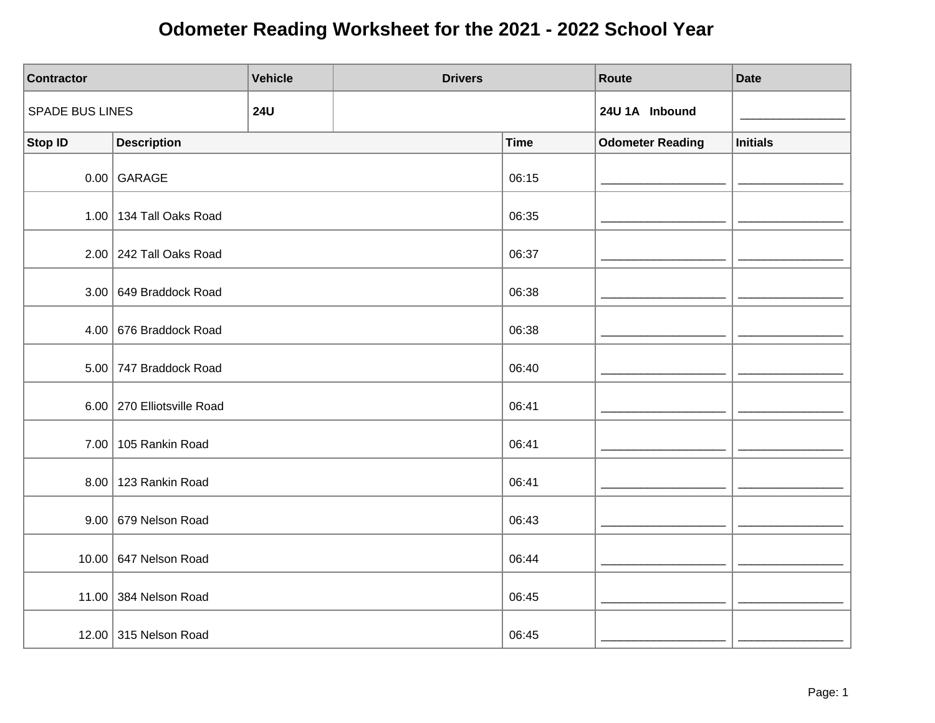| <b>Contractor</b>      |                            | <b>Vehicle</b> | <b>Drivers</b> |             | Route                   | <b>Date</b>     |
|------------------------|----------------------------|----------------|----------------|-------------|-------------------------|-----------------|
| <b>SPADE BUS LINES</b> |                            | <b>24U</b>     |                |             | 24U 1A Inbound          |                 |
| <b>Stop ID</b>         | <b>Description</b>         |                |                | <b>Time</b> | <b>Odometer Reading</b> | <b>Initials</b> |
|                        | $0.00$ GARAGE              |                |                | 06:15       |                         |                 |
|                        | 1.00 134 Tall Oaks Road    |                |                | 06:35       |                         |                 |
|                        | $2.00$ 242 Tall Oaks Road  |                |                | 06:37       |                         |                 |
|                        | 3.00 649 Braddock Road     |                |                | 06:38       |                         |                 |
|                        | 4.00 676 Braddock Road     |                |                | 06:38       |                         |                 |
|                        | 5.00 747 Braddock Road     |                |                | 06:40       |                         |                 |
|                        | 6.00 270 Elliotsville Road |                |                | 06:41       |                         |                 |
|                        | 7.00   105 Rankin Road     |                |                | 06:41       |                         |                 |
|                        | 8.00   123 Rankin Road     |                |                | 06:41       |                         |                 |
|                        | 9.00   679 Nelson Road     |                |                | 06:43       |                         |                 |
|                        | 10.00 647 Nelson Road      |                |                | 06:44       |                         |                 |
|                        | 11.00 384 Nelson Road      |                |                | 06:45       |                         |                 |
|                        | 12.00 315 Nelson Road      |                |                | 06:45       |                         |                 |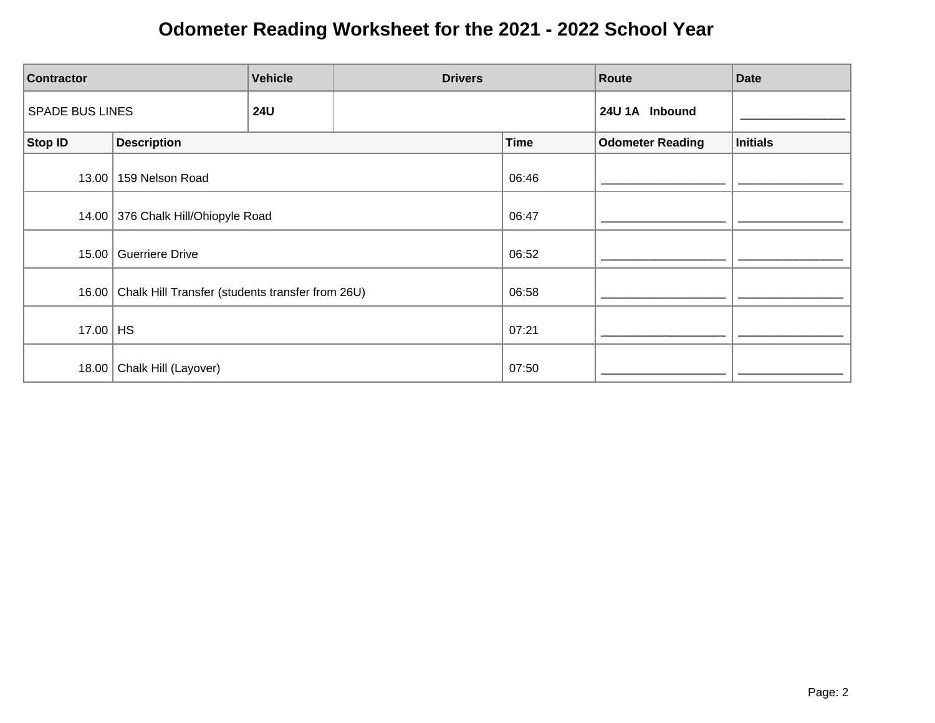| <b>Contractor</b>      |                                                          | <b>Vehicle</b> | <b>Drivers</b> |             | Route                   | <b>Date</b>     |
|------------------------|----------------------------------------------------------|----------------|----------------|-------------|-------------------------|-----------------|
| <b>SPADE BUS LINES</b> |                                                          | <b>24U</b>     |                |             | 24U 1A Inbound          |                 |
| Stop ID                | <b>Description</b>                                       |                |                | <b>Time</b> | <b>Odometer Reading</b> | <b>Initials</b> |
| 13.00                  | 159 Nelson Road                                          |                |                | 06:46       |                         |                 |
|                        | 14.00 376 Chalk Hill/Ohiopyle Road                       |                |                | 06:47       |                         |                 |
| 15.00                  | Guerriere Drive                                          |                |                | 06:52       |                         |                 |
|                        | 16.00   Chalk Hill Transfer (students transfer from 26U) |                |                | 06:58       |                         |                 |
| 17.00 $ $ HS           |                                                          |                |                | 07:21       |                         |                 |
| 18.00                  | Chalk Hill (Layover)                                     |                |                | 07:50       |                         |                 |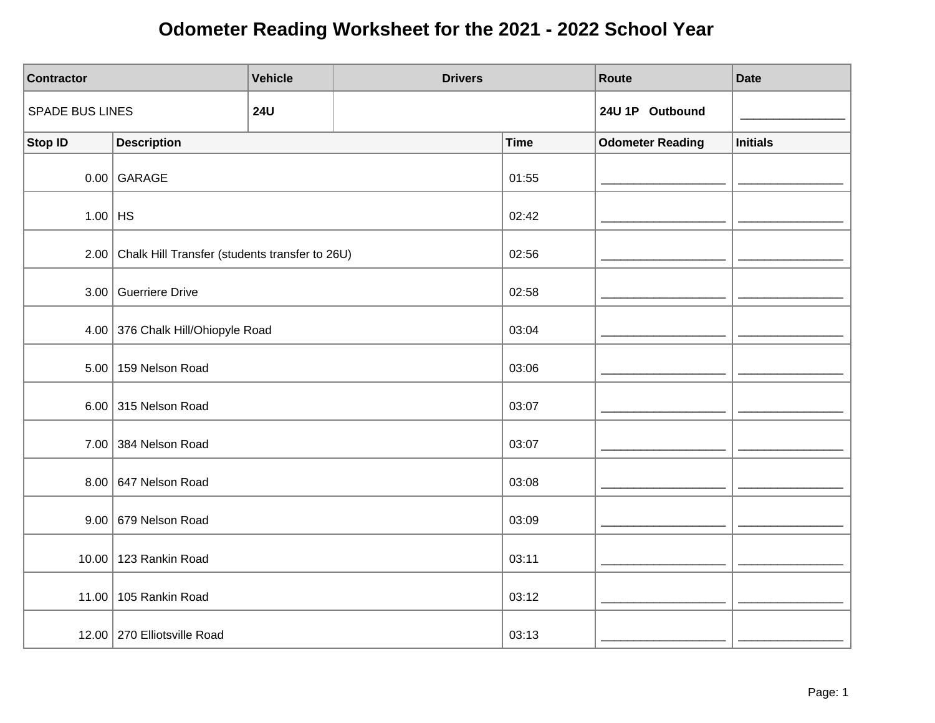| <b>Contractor</b>      |                                                     | <b>Vehicle</b> | <b>Drivers</b> |             | Route                   | <b>Date</b>     |
|------------------------|-----------------------------------------------------|----------------|----------------|-------------|-------------------------|-----------------|
| <b>SPADE BUS LINES</b> |                                                     | <b>24U</b>     |                |             | 24U 1P Outbound         |                 |
| <b>Stop ID</b>         | <b>Description</b>                                  |                |                | <b>Time</b> | <b>Odometer Reading</b> | <b>Initials</b> |
|                        | $0.00$ GARAGE                                       |                |                | 01:55       |                         |                 |
| $1.00$ HS              |                                                     |                |                | 02:42       |                         |                 |
|                        | 2.00 Chalk Hill Transfer (students transfer to 26U) |                |                | 02:56       |                         |                 |
|                        | 3.00 Guerriere Drive                                |                |                | 02:58       |                         |                 |
|                        | 4.00 376 Chalk Hill/Ohiopyle Road                   |                |                | 03:04       |                         |                 |
|                        | 5.00   159 Nelson Road                              |                |                | 03:06       |                         |                 |
|                        | 6.00 315 Nelson Road                                |                |                | 03:07       |                         |                 |
|                        | 7.00 384 Nelson Road                                |                |                | 03:07       |                         |                 |
|                        | 8.00 647 Nelson Road                                |                |                | 03:08       |                         |                 |
|                        | $9.00$ 679 Nelson Road                              |                |                | 03:09       |                         |                 |
|                        | 10.00 123 Rankin Road                               |                |                | 03:11       |                         |                 |
|                        | 11.00 105 Rankin Road                               |                |                | 03:12       |                         |                 |
|                        | 12.00 270 Elliotsville Road                         |                |                | 03:13       |                         |                 |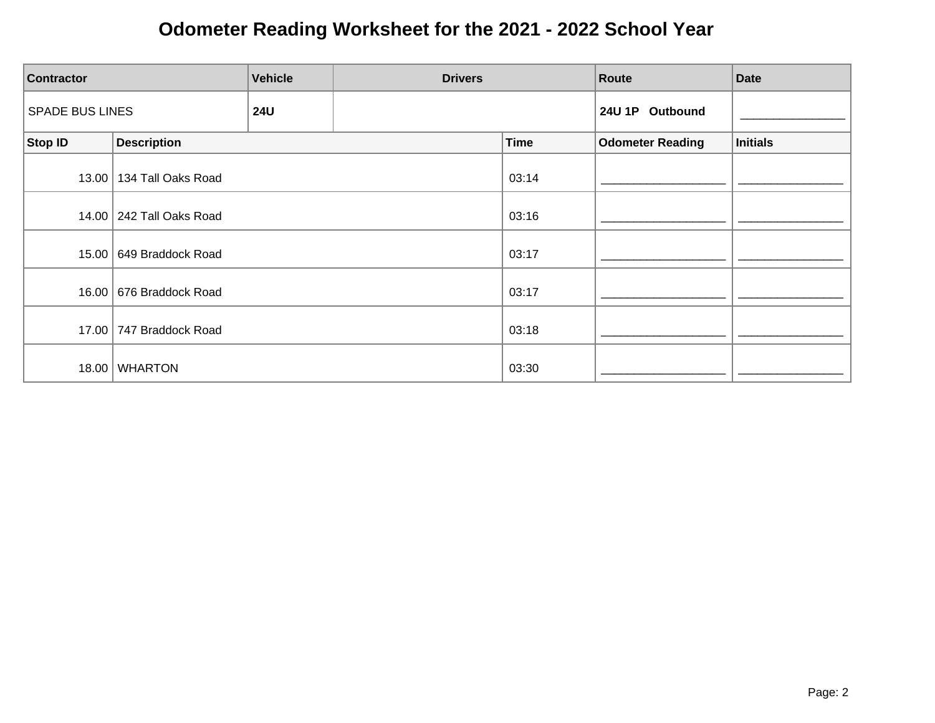| <b>Contractor</b>                    |                            | <b>Vehicle</b> | <b>Drivers</b> |                 | Route                   | <b>Date</b>     |
|--------------------------------------|----------------------------|----------------|----------------|-----------------|-------------------------|-----------------|
| <b>SPADE BUS LINES</b><br><b>24U</b> |                            |                |                | 24U 1P Outbound |                         |                 |
| Stop ID                              | <b>Description</b>         |                |                | <b>Time</b>     | <b>Odometer Reading</b> | <b>Initials</b> |
|                                      | 13.00   134 Tall Oaks Road |                |                | 03:14           |                         |                 |
|                                      | 14.00   242 Tall Oaks Road |                |                | 03:16           |                         |                 |
|                                      | 15.00   649 Braddock Road  |                |                | 03:17           |                         |                 |
|                                      | 16.00   676 Braddock Road  |                |                | 03:17           |                         |                 |
|                                      | 17.00 747 Braddock Road    |                |                | 03:18           |                         |                 |
| 18.00                                | <b>WHARTON</b>             |                |                | 03:30           |                         |                 |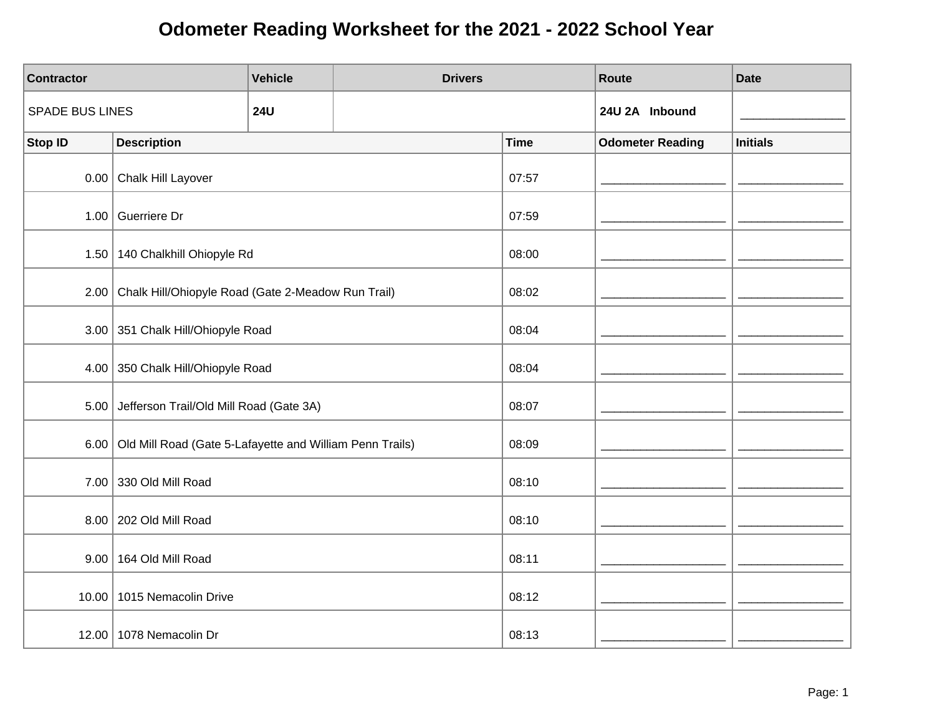| <b>Contractor</b>      |                                                               | <b>Vehicle</b> | <b>Drivers</b> |             | Route                   | <b>Date</b>     |
|------------------------|---------------------------------------------------------------|----------------|----------------|-------------|-------------------------|-----------------|
| <b>SPADE BUS LINES</b> |                                                               | <b>24U</b>     |                |             | 24U 2A Inbound          |                 |
| <b>Stop ID</b>         | <b>Description</b>                                            |                |                | <b>Time</b> | <b>Odometer Reading</b> | <b>Initials</b> |
|                        | 0.00 Chalk Hill Layover                                       |                |                | 07:57       |                         |                 |
|                        | 1.00 Guerriere Dr                                             |                |                | 07:59       |                         |                 |
|                        | 1.50 140 Chalkhill Ohiopyle Rd                                |                |                | 08:00       |                         |                 |
|                        | 2.00 Chalk Hill/Ohiopyle Road (Gate 2-Meadow Run Trail)       |                |                | 08:02       |                         |                 |
|                        | 3.00 351 Chalk Hill/Ohiopyle Road                             |                |                | 08:04       |                         |                 |
|                        | 4.00 350 Chalk Hill/Ohiopyle Road                             |                |                | 08:04       |                         |                 |
|                        | 5.00 Jefferson Trail/Old Mill Road (Gate 3A)                  |                |                | 08:07       |                         |                 |
|                        | 6.00 Old Mill Road (Gate 5-Lafayette and William Penn Trails) |                |                | 08:09       |                         |                 |
|                        | 7.00 330 Old Mill Road                                        |                |                | 08:10       |                         |                 |
|                        | 8.00   202 Old Mill Road                                      |                |                | 08:10       |                         |                 |
|                        | 9.00 164 Old Mill Road                                        |                |                | 08:11       |                         |                 |
|                        | 10.00   1015 Nemacolin Drive                                  |                |                | 08:12       |                         |                 |
|                        | 12.00   1078 Nemacolin Dr                                     |                |                | 08:13       |                         |                 |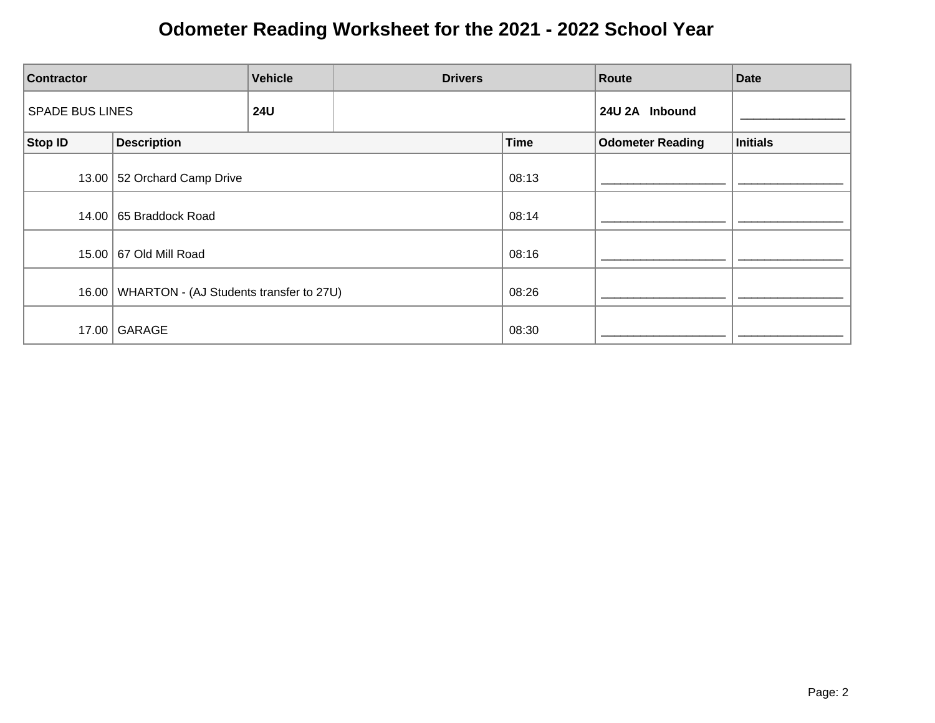| <b>Contractor</b>                    | <b>Vehicle</b><br><b>Drivers</b>                |  |                | Route       | <b>Date</b>             |          |
|--------------------------------------|-------------------------------------------------|--|----------------|-------------|-------------------------|----------|
| <b>SPADE BUS LINES</b><br><b>24U</b> |                                                 |  | 24U 2A Inbound |             |                         |          |
| Stop ID                              | <b>Description</b>                              |  |                | <b>Time</b> | <b>Odometer Reading</b> | Initials |
|                                      | 13.00 52 Orchard Camp Drive                     |  |                | 08:13       |                         |          |
|                                      | 14.00 65 Braddock Road                          |  |                | 08:14       |                         |          |
|                                      | 15.00 67 Old Mill Road                          |  |                | 08:16       |                         |          |
|                                      | 16.00   WHARTON - (AJ Students transfer to 27U) |  |                | 08:26       |                         |          |
|                                      | 17.00 GARAGE                                    |  |                | 08:30       |                         |          |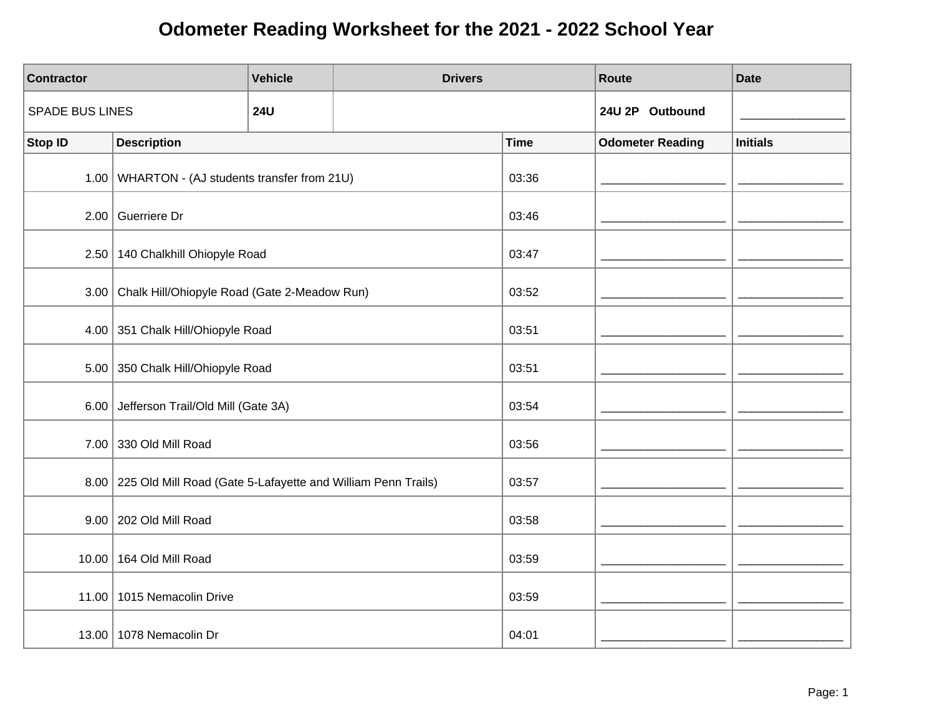| <b>Contractor</b>      |                                                                     | <b>Vehicle</b> | <b>Drivers</b> |             | <b>Route</b>            | <b>Date</b>     |
|------------------------|---------------------------------------------------------------------|----------------|----------------|-------------|-------------------------|-----------------|
| <b>SPADE BUS LINES</b> |                                                                     | <b>24U</b>     |                |             | 24U 2P Outbound         |                 |
| <b>Stop ID</b>         | <b>Description</b>                                                  |                |                | <b>Time</b> | <b>Odometer Reading</b> | <b>Initials</b> |
|                        | 1.00   WHARTON - (AJ students transfer from 21U)                    |                |                | 03:36       |                         |                 |
|                        | 2.00 Guerriere Dr                                                   |                |                | 03:46       |                         |                 |
|                        | 2.50 140 Chalkhill Ohiopyle Road                                    |                |                | 03:47       |                         |                 |
|                        | 3.00 Chalk Hill/Ohiopyle Road (Gate 2-Meadow Run)                   |                |                | 03:52       |                         |                 |
|                        | 4.00 351 Chalk Hill/Ohiopyle Road                                   |                |                | 03:51       |                         |                 |
|                        | 5.00 350 Chalk Hill/Ohiopyle Road                                   |                |                | 03:51       |                         |                 |
|                        | 6.00 Jefferson Trail/Old Mill (Gate 3A)                             |                |                | 03:54       |                         |                 |
|                        | 7.00 330 Old Mill Road                                              |                |                | 03:56       |                         |                 |
|                        | 8.00   225 Old Mill Road (Gate 5-Lafayette and William Penn Trails) |                |                | 03:57       |                         |                 |
|                        | 9.00 202 Old Mill Road                                              |                |                | 03:58       |                         |                 |
|                        | 10.00 164 Old Mill Road                                             |                |                | 03:59       |                         |                 |
| 11.00                  | 1015 Nemacolin Drive                                                |                |                | 03:59       |                         |                 |
|                        | 13.00   1078 Nemacolin Dr                                           |                |                | 04:01       |                         |                 |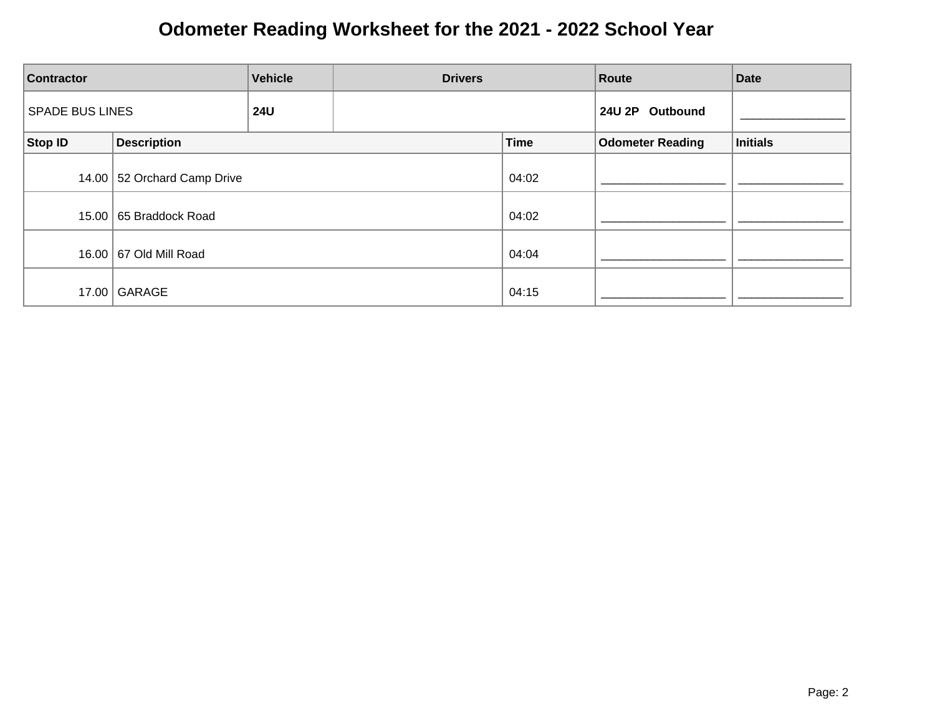| <b>Vehicle</b><br><b>Drivers</b><br><b>Contractor</b> |                             |  | Route           | <b>Date</b> |                         |          |
|-------------------------------------------------------|-----------------------------|--|-----------------|-------------|-------------------------|----------|
| <b>SPADE BUS LINES</b><br><b>24U</b>                  |                             |  | 24U 2P Outbound |             |                         |          |
| Stop ID                                               | <b>Description</b>          |  |                 | <b>Time</b> | <b>Odometer Reading</b> | Initials |
|                                                       | 14.00 52 Orchard Camp Drive |  |                 | 04:02       |                         |          |
|                                                       | 15.00   65 Braddock Road    |  |                 | 04:02       |                         |          |
|                                                       | 16.00   67 Old Mill Road    |  |                 | 04:04       |                         |          |
|                                                       | 17.00 GARAGE                |  |                 | 04:15       |                         |          |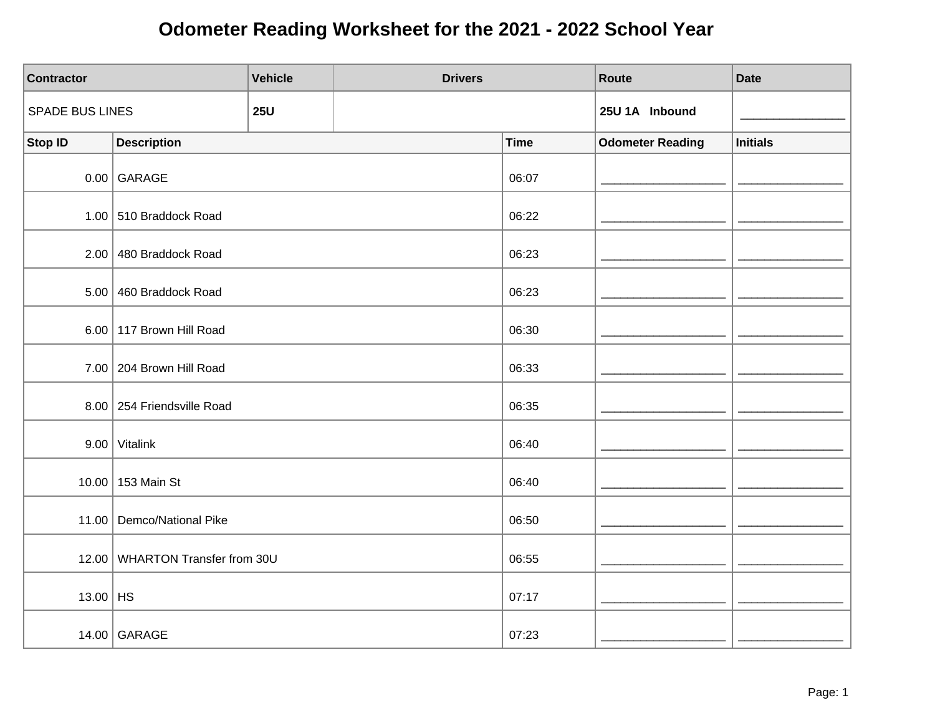| <b>Contractor</b>      |                                 | <b>Vehicle</b> | <b>Drivers</b> |             | Route                   | <b>Date</b>     |
|------------------------|---------------------------------|----------------|----------------|-------------|-------------------------|-----------------|
| <b>SPADE BUS LINES</b> |                                 | <b>25U</b>     |                |             | 25U 1A Inbound          |                 |
| <b>Stop ID</b>         | <b>Description</b>              |                |                | <b>Time</b> | <b>Odometer Reading</b> | <b>Initials</b> |
|                        | $0.00$ GARAGE                   |                |                | 06:07       |                         |                 |
|                        | 1.00 $\vert$ 510 Braddock Road  |                |                | 06:22       |                         |                 |
|                        | 2.00 480 Braddock Road          |                |                | 06:23       |                         |                 |
|                        | 5.00 460 Braddock Road          |                |                | 06:23       |                         |                 |
|                        | 6.00 117 Brown Hill Road        |                |                | 06:30       |                         |                 |
|                        | 7.00 204 Brown Hill Road        |                |                | 06:33       |                         |                 |
|                        | 8.00 254 Friendsville Road      |                |                | 06:35       |                         |                 |
|                        | $9.00$ Vitalink                 |                |                | 06:40       |                         |                 |
|                        | 10.00 153 Main St               |                |                | 06:40       |                         |                 |
|                        | 11.00 Demco/National Pike       |                |                | 06:50       |                         |                 |
|                        | 12.00 WHARTON Transfer from 30U |                |                | 06:55       |                         |                 |
| 13.00   HS             |                                 |                |                | 07:17       |                         |                 |
|                        | 14.00 GARAGE                    |                |                | 07:23       |                         |                 |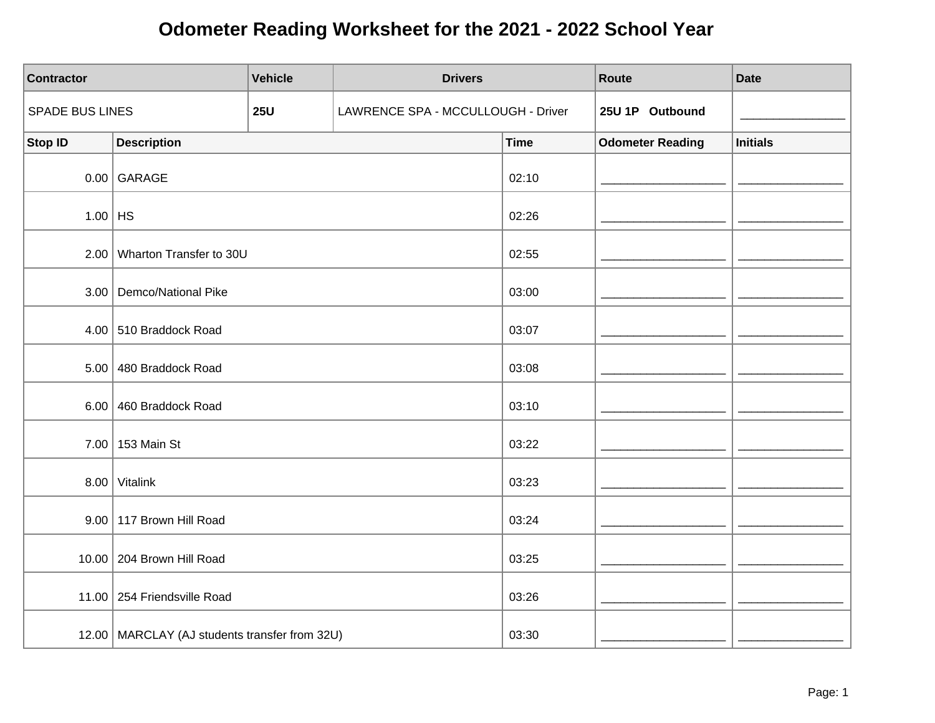| <b>Contractor</b>      |                                                 | <b>Vehicle</b> | <b>Drivers</b>                     |             | Route                   | <b>Date</b>     |
|------------------------|-------------------------------------------------|----------------|------------------------------------|-------------|-------------------------|-----------------|
| <b>SPADE BUS LINES</b> |                                                 | <b>25U</b>     | LAWRENCE SPA - MCCULLOUGH - Driver |             | 25U 1P Outbound         |                 |
| <b>Stop ID</b>         | <b>Description</b>                              |                |                                    | <b>Time</b> | <b>Odometer Reading</b> | <b>Initials</b> |
|                        | $0.00$ GARAGE                                   |                |                                    | 02:10       |                         |                 |
| $1.00$ HS              |                                                 |                |                                    | 02:26       |                         |                 |
|                        | 2.00 Wharton Transfer to 30U                    |                |                                    | 02:55       |                         |                 |
|                        | 3.00 Demco/National Pike                        |                |                                    | 03:00       |                         |                 |
|                        | 4.00 510 Braddock Road                          |                |                                    | 03:07       |                         |                 |
|                        | 5.00 480 Braddock Road                          |                |                                    | 03:08       |                         |                 |
|                        | 6.00 460 Braddock Road                          |                |                                    | 03:10       |                         |                 |
|                        | 7.00 153 Main St                                |                |                                    | 03:22       |                         |                 |
| 8.00                   | Vitalink                                        |                |                                    | 03:23       |                         |                 |
|                        | 9.00 117 Brown Hill Road                        |                |                                    | 03:24       |                         |                 |
|                        | 10.00 204 Brown Hill Road                       |                |                                    | 03:25       |                         |                 |
|                        | 11.00 254 Friendsville Road                     |                |                                    | 03:26       |                         |                 |
|                        | 12.00   MARCLAY (AJ students transfer from 32U) |                |                                    | 03:30       |                         |                 |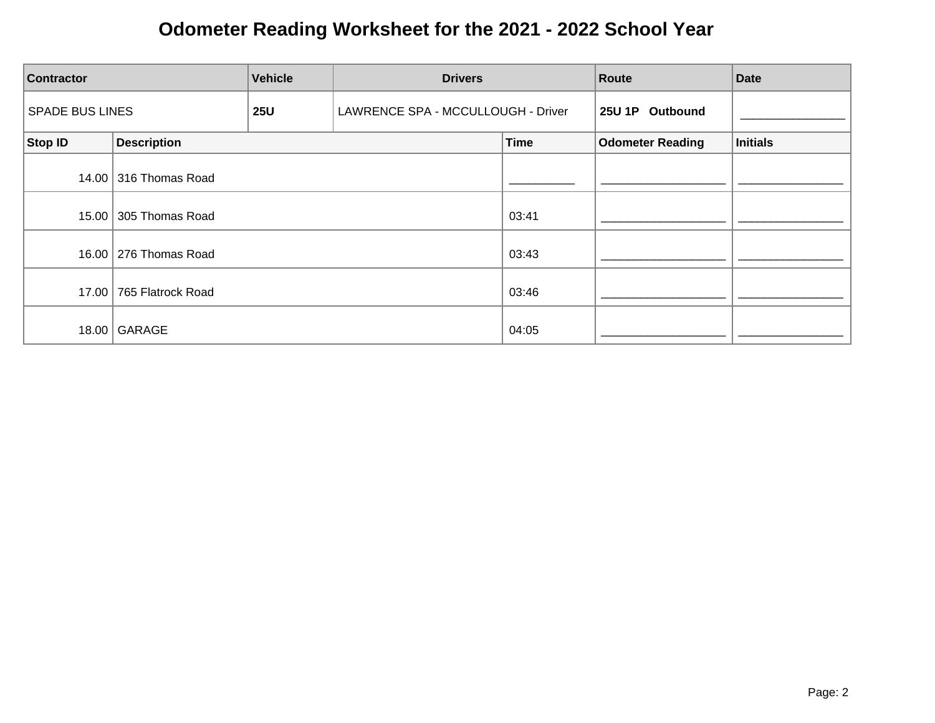| <b>Vehicle</b><br><b>Contractor</b> |                         | <b>Drivers</b> | Route                              |             | <b>Date</b>             |          |
|-------------------------------------|-------------------------|----------------|------------------------------------|-------------|-------------------------|----------|
| <b>SPADE BUS LINES</b>              |                         | <b>25U</b>     | LAWRENCE SPA - MCCULLOUGH - Driver |             | 25U 1P Outbound         |          |
| Stop ID                             | <b>Description</b>      |                |                                    | <b>Time</b> | <b>Odometer Reading</b> | Initials |
|                                     | 14.00 316 Thomas Road   |                |                                    |             |                         |          |
|                                     | 15.00 305 Thomas Road   |                |                                    | 03:41       |                         |          |
|                                     | 16.00   276 Thomas Road |                |                                    | 03:43       |                         |          |
|                                     | 17.00 765 Flatrock Road |                |                                    | 03:46       |                         |          |
| 18.00                               | GARAGE                  |                |                                    | 04:05       |                         |          |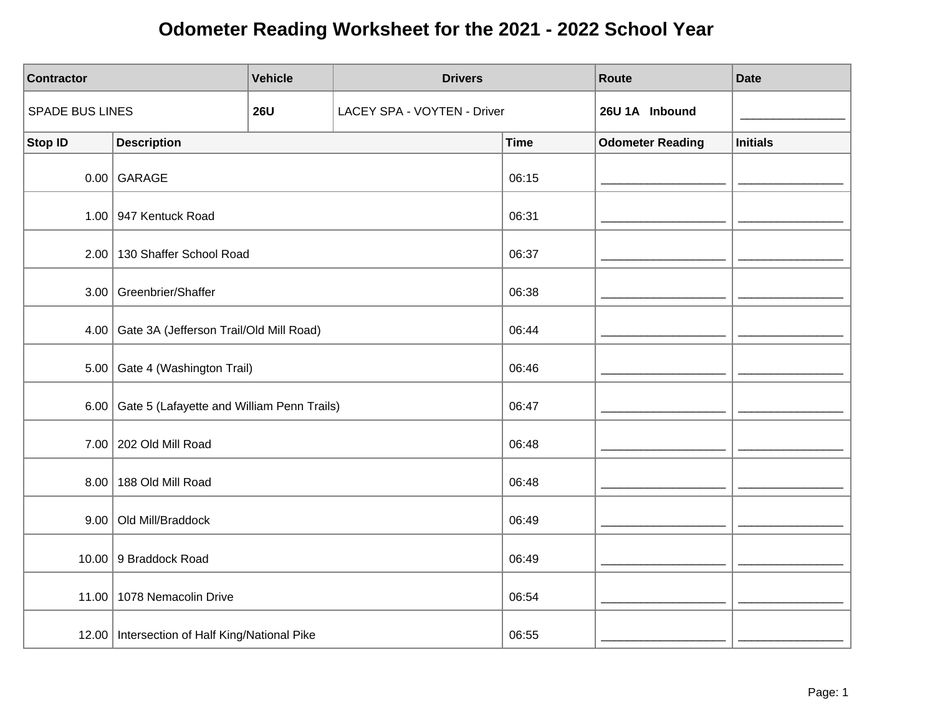| <b>Contractor</b>      |                                                 | <b>Vehicle</b> | <b>Drivers</b>              |             | Route                   | <b>Date</b>     |
|------------------------|-------------------------------------------------|----------------|-----------------------------|-------------|-------------------------|-----------------|
| <b>SPADE BUS LINES</b> |                                                 | <b>26U</b>     | LACEY SPA - VOYTEN - Driver |             | 26U 1A Inbound          |                 |
| <b>Stop ID</b>         | <b>Description</b>                              |                |                             | <b>Time</b> | <b>Odometer Reading</b> | <b>Initials</b> |
|                        | $0.00$ GARAGE                                   |                |                             | 06:15       |                         |                 |
|                        | 1.00 947 Kentuck Road                           |                |                             | 06:31       |                         |                 |
|                        | 2.00   130 Shaffer School Road                  |                |                             | 06:37       |                         |                 |
|                        | 3.00 Greenbrier/Shaffer                         |                |                             | 06:38       |                         |                 |
| 4.00                   | Gate 3A (Jefferson Trail/Old Mill Road)         |                |                             | 06:44       |                         |                 |
| 5.00                   | Gate 4 (Washington Trail)                       |                |                             | 06:46       |                         |                 |
| 6.00                   | Gate 5 (Lafayette and William Penn Trails)      |                |                             | 06:47       |                         |                 |
|                        | 7.00 202 Old Mill Road                          |                |                             | 06:48       |                         |                 |
| 8.00                   | 188 Old Mill Road                               |                |                             | 06:48       |                         |                 |
| 9.00                   | Old Mill/Braddock                               |                |                             | 06:49       |                         |                 |
|                        | 10.00 9 Braddock Road                           |                |                             | 06:49       |                         |                 |
|                        | 11.00   1078 Nemacolin Drive                    |                |                             | 06:54       |                         |                 |
|                        | 12.00   Intersection of Half King/National Pike |                |                             | 06:55       |                         |                 |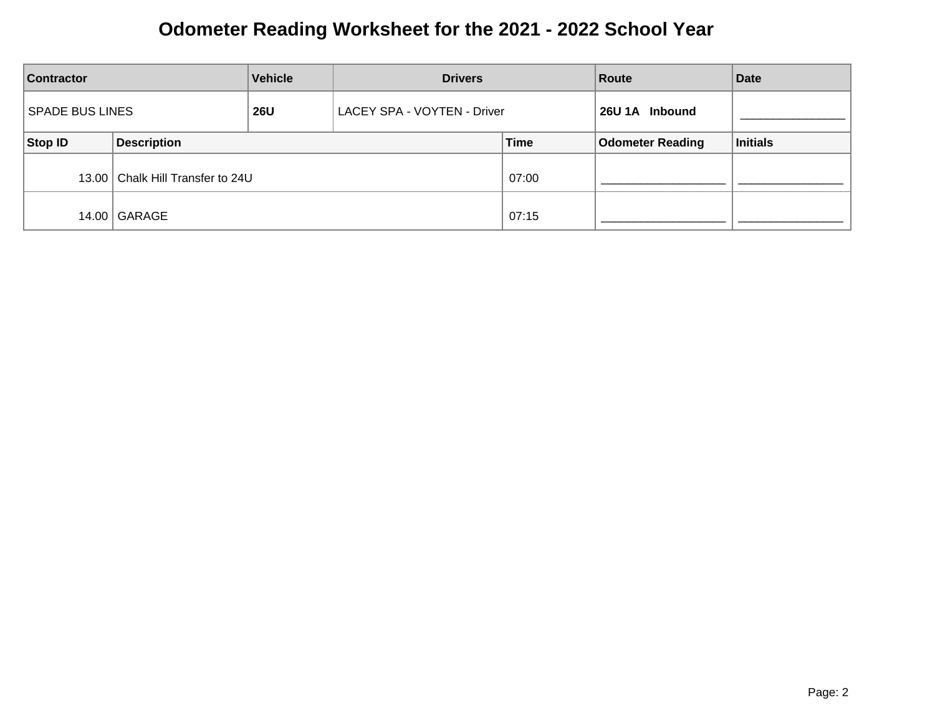| <b>Vehicle</b><br><b>Contractor</b>                                 |                                    | <b>Drivers</b> |                | Route       | <b>Date</b>             |          |
|---------------------------------------------------------------------|------------------------------------|----------------|----------------|-------------|-------------------------|----------|
| <b>SPADE BUS LINES</b><br><b>26U</b><br>LACEY SPA - VOYTEN - Driver |                                    |                | 26U 1A Inbound |             |                         |          |
| Stop ID                                                             | <b>Description</b>                 |                |                | <b>Time</b> | <b>Odometer Reading</b> | Initials |
|                                                                     | 13.00   Chalk Hill Transfer to 24U |                |                | 07:00       |                         |          |
|                                                                     | 14.00   GARAGE                     |                |                | 07:15       |                         |          |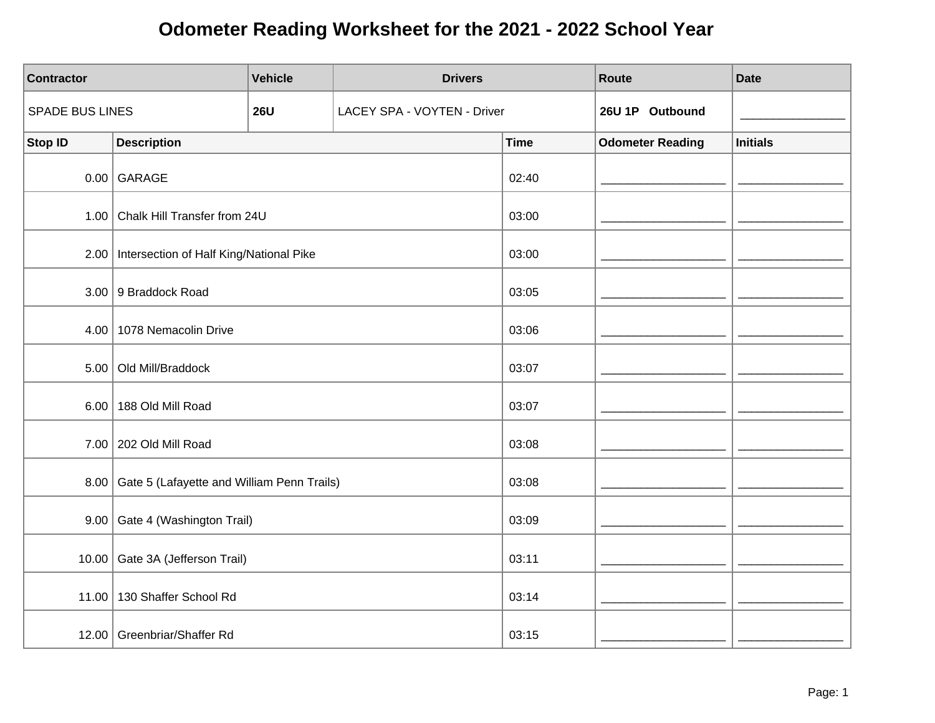| <b>Contractor</b>      |                                                 | <b>Vehicle</b> | <b>Drivers</b>              |             | Route                   | <b>Date</b>     |
|------------------------|-------------------------------------------------|----------------|-----------------------------|-------------|-------------------------|-----------------|
| <b>SPADE BUS LINES</b> |                                                 | <b>26U</b>     | LACEY SPA - VOYTEN - Driver |             | 26U 1P Outbound         |                 |
| <b>Stop ID</b>         | <b>Description</b>                              |                |                             | <b>Time</b> | <b>Odometer Reading</b> | <b>Initials</b> |
|                        | $0.00$ GARAGE                                   |                |                             | 02:40       |                         |                 |
|                        | 1.00 Chalk Hill Transfer from 24U               |                |                             | 03:00       |                         |                 |
|                        | 2.00   Intersection of Half King/National Pike  |                |                             | 03:00       |                         |                 |
|                        | 3.00 9 Braddock Road                            |                |                             | 03:05       |                         |                 |
|                        | 4.00 1078 Nemacolin Drive                       |                |                             | 03:06       |                         |                 |
| 5.00                   | Old Mill/Braddock                               |                |                             | 03:07       |                         |                 |
| 6.00                   | 188 Old Mill Road                               |                |                             | 03:07       |                         |                 |
|                        | 7.00 202 Old Mill Road                          |                |                             | 03:08       |                         |                 |
|                        | 8.00 Gate 5 (Lafayette and William Penn Trails) |                |                             | 03:08       |                         |                 |
|                        | 9.00 Gate 4 (Washington Trail)                  |                |                             | 03:09       |                         |                 |
| 10.00                  | Gate 3A (Jefferson Trail)                       |                |                             | 03:11       |                         |                 |
|                        | 11.00   130 Shaffer School Rd                   |                |                             | 03:14       |                         |                 |
|                        | 12.00 Greenbriar/Shaffer Rd                     |                |                             | 03:15       |                         |                 |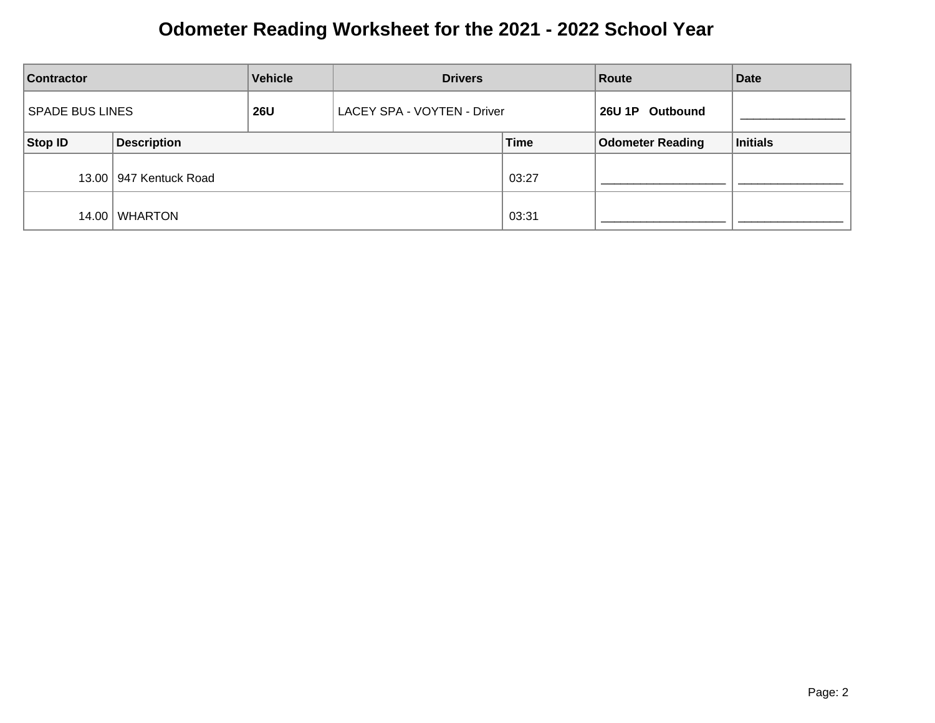| <b>Vehicle</b><br><b>Contractor</b>  |                          | <b>Drivers</b>              |  | Route           | <b>Date</b>             |          |
|--------------------------------------|--------------------------|-----------------------------|--|-----------------|-------------------------|----------|
| <b>SPADE BUS LINES</b><br><b>26U</b> |                          | LACEY SPA - VOYTEN - Driver |  | 26U 1P Outbound |                         |          |
| Stop ID                              | <b>Description</b>       |                             |  | <b>Time</b>     | <b>Odometer Reading</b> | Initials |
|                                      | 13.00   947 Kentuck Road |                             |  | 03:27           |                         |          |
| 14.00                                | WHARTON                  |                             |  | 03:31           |                         |          |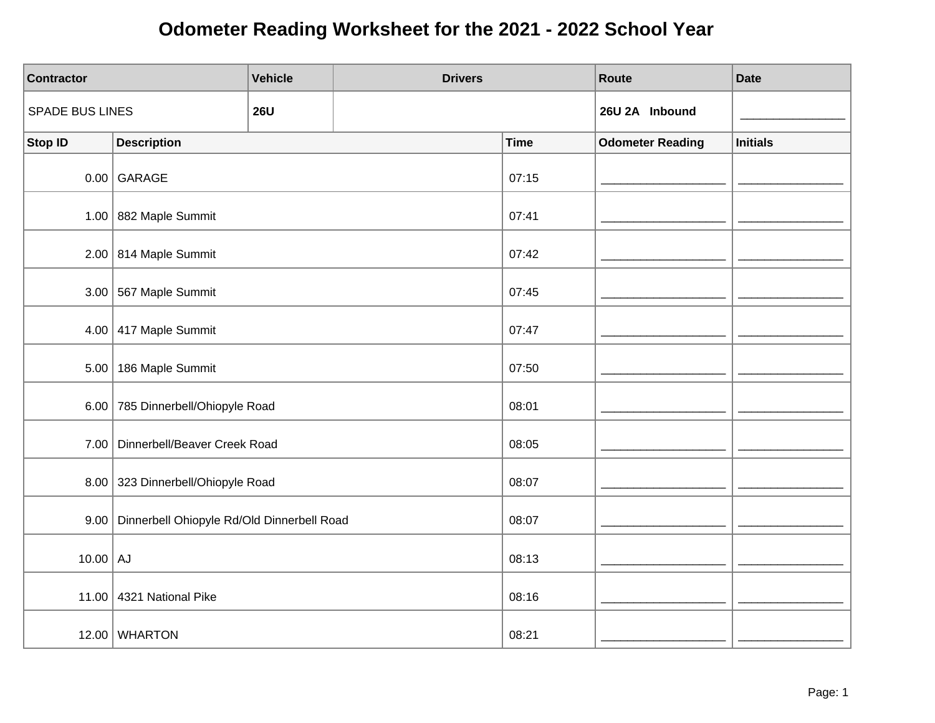| <b>Contractor</b>      |                                                 | <b>Vehicle</b> | <b>Drivers</b> |             | Route                   | <b>Date</b>     |
|------------------------|-------------------------------------------------|----------------|----------------|-------------|-------------------------|-----------------|
| <b>SPADE BUS LINES</b> |                                                 | <b>26U</b>     |                |             | 26U 2A Inbound          |                 |
| <b>Stop ID</b>         | <b>Description</b>                              |                |                | <b>Time</b> | <b>Odometer Reading</b> | <b>Initials</b> |
|                        | $0.00$ GARAGE                                   | 07:15          |                |             |                         |                 |
|                        | 1.00 882 Maple Summit                           |                |                | 07:41       |                         |                 |
|                        | $2.00$ 814 Maple Summit                         |                |                | 07:42       |                         |                 |
|                        | $3.00$ 567 Maple Summit                         |                |                | 07:45       |                         |                 |
|                        | $4.00$ 417 Maple Summit                         |                |                | 07:47       |                         |                 |
|                        | $5.00$   186 Maple Summit                       |                |                | 07:50       |                         |                 |
|                        | 6.00 785 Dinnerbell/Ohiopyle Road               |                |                | 08:01       |                         |                 |
|                        | 7.00   Dinnerbell/Beaver Creek Road             |                |                | 08:05       |                         |                 |
|                        | 8.00 323 Dinnerbell/Ohiopyle Road               |                |                | 08:07       |                         |                 |
|                        | 9.00 Dinnerbell Ohiopyle Rd/Old Dinnerbell Road |                |                | 08:07       |                         |                 |
| $10.00$ AJ             |                                                 |                |                | 08:13       |                         |                 |
|                        | 11.00 4321 National Pike                        |                |                | 08:16       |                         |                 |
|                        | 12.00 WHARTON                                   |                |                | 08:21       |                         |                 |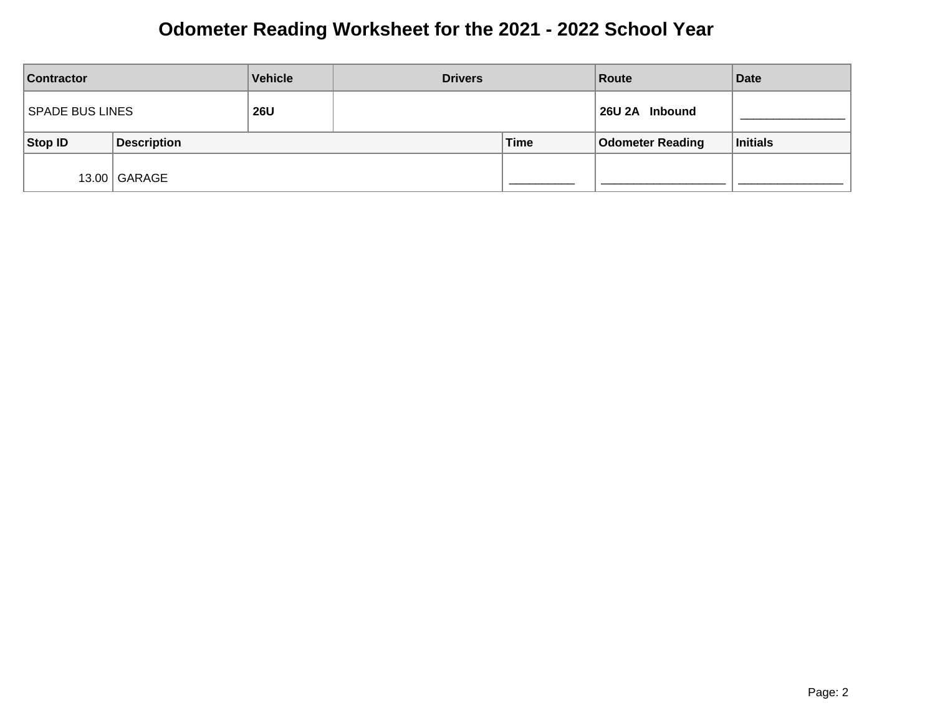| <b>Contractor</b> |                    | <b>Vehicle</b> | <b>Drivers</b> |      | Route                   | <b>Date</b> |
|-------------------|--------------------|----------------|----------------|------|-------------------------|-------------|
| SPADE BUS LINES   |                    | <b>26U</b>     |                |      | 26U 2A Inbound          |             |
| Stop ID           | <b>Description</b> |                |                | Time | <b>Odometer Reading</b> | Initials    |
|                   | 13.00 GARAGE       |                |                |      |                         |             |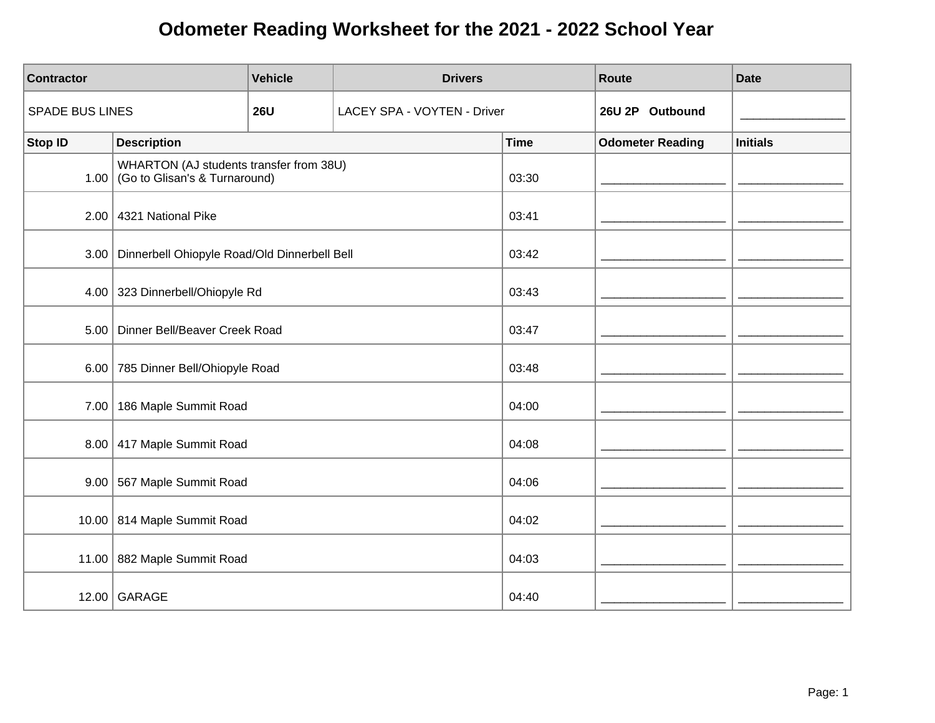| <b>Contractor</b>      |                                                                         | <b>Vehicle</b> | <b>Drivers</b>              |             | Route                   | <b>Date</b>     |
|------------------------|-------------------------------------------------------------------------|----------------|-----------------------------|-------------|-------------------------|-----------------|
| <b>SPADE BUS LINES</b> |                                                                         | <b>26U</b>     | LACEY SPA - VOYTEN - Driver |             | 26U 2P Outbound         |                 |
| <b>Stop ID</b>         | <b>Description</b>                                                      |                |                             | <b>Time</b> | <b>Odometer Reading</b> | <b>Initials</b> |
| 1.00                   | WHARTON (AJ students transfer from 38U)<br>Go to Glisan's & Turnaround) |                |                             | 03:30       |                         |                 |
|                        | $2.00$ 4321 National Pike                                               |                |                             | 03:41       |                         |                 |
|                        | 3.00   Dinnerbell Ohiopyle Road/Old Dinnerbell Bell                     |                |                             | 03:42       |                         |                 |
|                        | 4.00 323 Dinnerbell/Ohiopyle Rd                                         |                |                             | 03:43       |                         |                 |
|                        | 5.00   Dinner Bell/Beaver Creek Road                                    |                |                             | 03:47       |                         |                 |
|                        | 6.00 785 Dinner Bell/Ohiopyle Road                                      |                |                             | 03:48       |                         |                 |
|                        | 7.00   186 Maple Summit Road                                            |                |                             | 04:00       |                         |                 |
|                        | 8.00 417 Maple Summit Road                                              |                |                             | 04:08       |                         |                 |
| 9.00                   | 567 Maple Summit Road                                                   |                |                             | 04:06       |                         |                 |
|                        | 10.00 814 Maple Summit Road                                             |                |                             | 04:02       |                         |                 |
|                        | 11.00 882 Maple Summit Road                                             |                |                             | 04:03       |                         |                 |
|                        | 12.00 GARAGE                                                            |                |                             | 04:40       |                         |                 |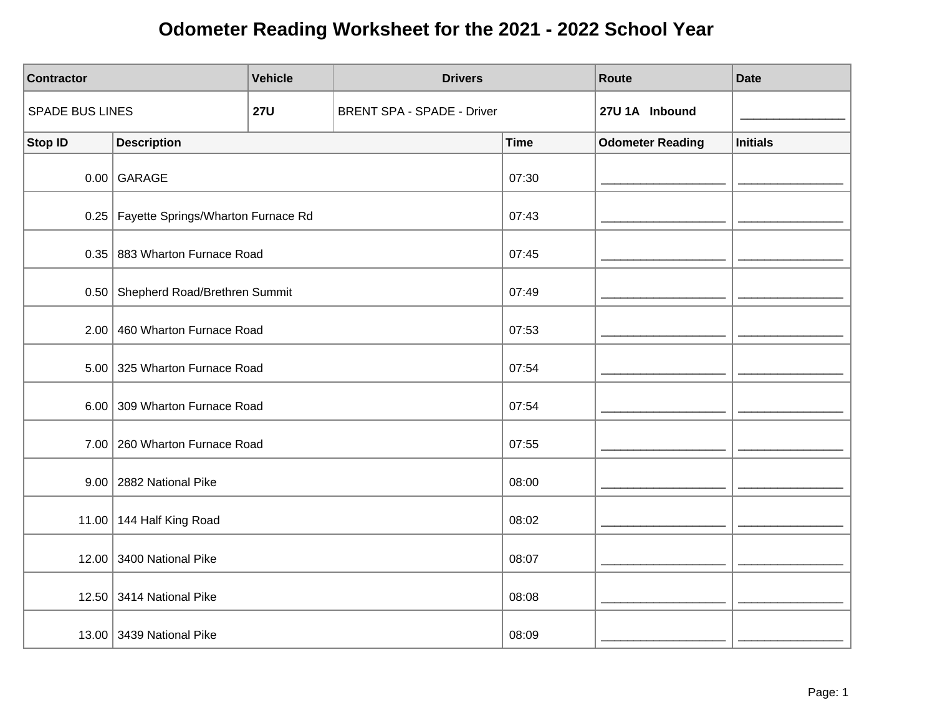| <b>Contractor</b> |                                           | <b>Vehicle</b> | <b>Drivers</b>                    |             | Route                   | <b>Date</b>     |
|-------------------|-------------------------------------------|----------------|-----------------------------------|-------------|-------------------------|-----------------|
| SPADE BUS LINES   |                                           | <b>27U</b>     | <b>BRENT SPA - SPADE - Driver</b> |             | 27U 1A Inbound          |                 |
| <b>Stop ID</b>    | <b>Description</b>                        |                |                                   | <b>Time</b> | <b>Odometer Reading</b> | <b>Initials</b> |
|                   | $0.00$ GARAGE                             |                |                                   | 07:30       |                         |                 |
|                   | 0.25   Fayette Springs/Wharton Furnace Rd |                |                                   | 07:43       |                         |                 |
|                   | 0.35 883 Wharton Furnace Road             |                |                                   | 07:45       |                         |                 |
|                   | 0.50 Shepherd Road/Brethren Summit        |                |                                   | 07:49       |                         |                 |
|                   | 2.00 460 Wharton Furnace Road             |                |                                   | 07:53       |                         |                 |
|                   | 5.00 325 Wharton Furnace Road             |                |                                   | 07:54       |                         |                 |
|                   | 6.00 309 Wharton Furnace Road             |                |                                   | 07:54       |                         |                 |
|                   | 7.00 260 Wharton Furnace Road             |                |                                   | 07:55       |                         |                 |
|                   | 9.00   2882 National Pike                 |                |                                   | 08:00       |                         |                 |
|                   | 11.00 144 Half King Road                  |                |                                   | 08:02       |                         |                 |
|                   | 12.00 3400 National Pike                  |                |                                   | 08:07       |                         |                 |
|                   | 12.50 3414 National Pike                  |                |                                   | 08:08       |                         |                 |
|                   | 13.00 3439 National Pike                  |                |                                   | 08:09       |                         |                 |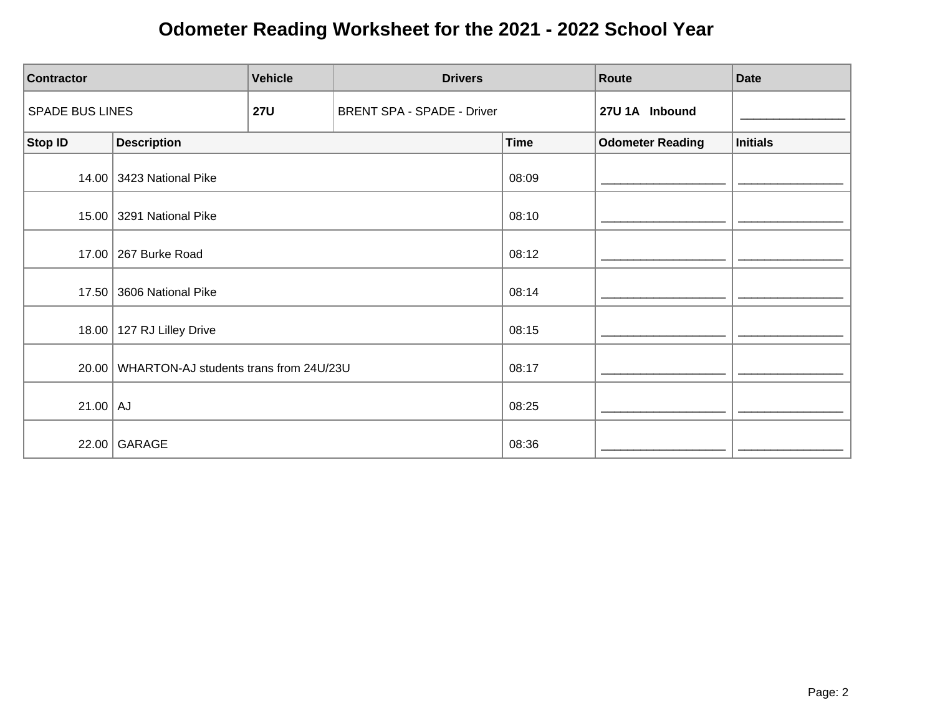| <b>Contractor</b>      | <b>Vehicle</b><br><b>Drivers</b>             |            |                                   |             | Route                   | <b>Date</b>     |
|------------------------|----------------------------------------------|------------|-----------------------------------|-------------|-------------------------|-----------------|
| <b>SPADE BUS LINES</b> |                                              | <b>27U</b> | <b>BRENT SPA - SPADE - Driver</b> |             | 27U 1A Inbound          |                 |
| <b>Stop ID</b>         | <b>Description</b>                           |            |                                   | <b>Time</b> | <b>Odometer Reading</b> | <b>Initials</b> |
|                        | 14.00 3423 National Pike                     |            |                                   | 08:09       |                         |                 |
| 15.00                  | 3291 National Pike                           |            |                                   | 08:10       |                         |                 |
|                        | 17.00 267 Burke Road                         |            |                                   | 08:12       |                         |                 |
| 17.50                  | 3606 National Pike                           |            |                                   | 08:14       |                         |                 |
|                        | 18.00   127 RJ Lilley Drive                  |            |                                   | 08:15       |                         |                 |
|                        | 20.00 WHARTON-AJ students trans from 24U/23U |            |                                   | 08:17       |                         |                 |
| $21.00$ AJ             |                                              |            |                                   | 08:25       |                         |                 |
|                        | 22.00 GARAGE                                 |            |                                   | 08:36       |                         |                 |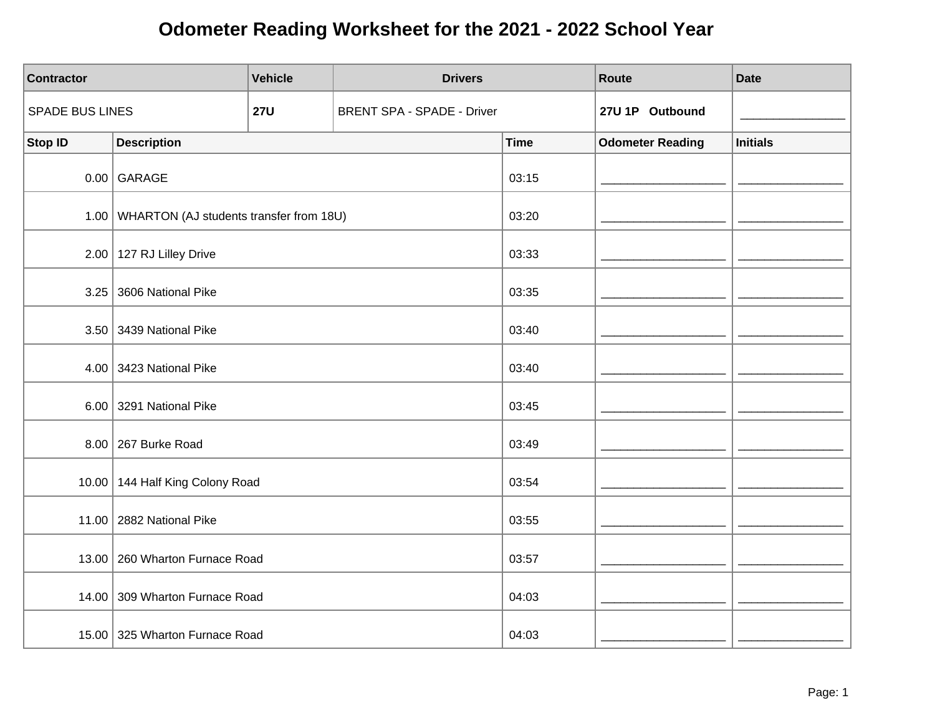| <b>Contractor</b>      |                                                | <b>Vehicle</b> | <b>Drivers</b>                    |             | Route                   | <b>Date</b>     |
|------------------------|------------------------------------------------|----------------|-----------------------------------|-------------|-------------------------|-----------------|
| <b>SPADE BUS LINES</b> |                                                | <b>27U</b>     | <b>BRENT SPA - SPADE - Driver</b> |             | 27U 1P Outbound         |                 |
| <b>Stop ID</b>         | <b>Description</b>                             |                |                                   | <b>Time</b> | <b>Odometer Reading</b> | <b>Initials</b> |
|                        | $0.00$ GARAGE                                  |                |                                   | 03:15       |                         |                 |
|                        | 1.00   WHARTON (AJ students transfer from 18U) |                |                                   | 03:20       |                         |                 |
|                        | $2.00$   127 RJ Lilley Drive                   |                |                                   | 03:33       |                         |                 |
|                        | 3.25 3606 National Pike                        |                |                                   | 03:35       |                         |                 |
|                        | 3.50 3439 National Pike                        |                |                                   | 03:40       |                         |                 |
|                        | 4.00 3423 National Pike                        |                |                                   | 03:40       |                         |                 |
|                        | 6.00 3291 National Pike                        |                |                                   | 03:45       |                         |                 |
|                        | 8.00 267 Burke Road                            |                |                                   | 03:49       |                         |                 |
|                        | 10.00 144 Half King Colony Road                |                |                                   | 03:54       |                         |                 |
|                        | 11.00   2882 National Pike                     |                |                                   | 03:55       |                         |                 |
|                        | 13.00   260 Wharton Furnace Road               |                |                                   | 03:57       |                         |                 |
|                        | 14.00 309 Wharton Furnace Road                 |                |                                   | 04:03       |                         |                 |
|                        | 15.00 325 Wharton Furnace Road                 |                |                                   | 04:03       |                         |                 |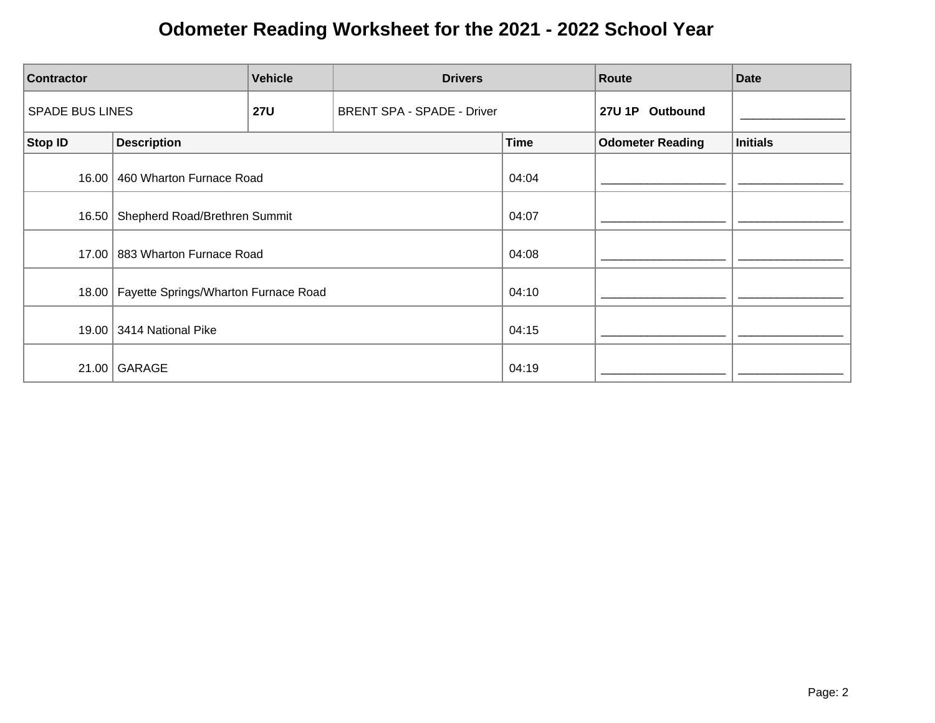| <b>Vehicle</b><br><b>Contractor</b> |                                      | <b>Drivers</b> |                                   | Route       | <b>Date</b>             |                 |
|-------------------------------------|--------------------------------------|----------------|-----------------------------------|-------------|-------------------------|-----------------|
| <b>SPADE BUS LINES</b>              |                                      | <b>27U</b>     | <b>BRENT SPA - SPADE - Driver</b> |             | 27U 1P Outbound         |                 |
| <b>Stop ID</b>                      | <b>Description</b>                   |                |                                   | <b>Time</b> | <b>Odometer Reading</b> | <b>Initials</b> |
| 16.00                               | 460 Wharton Furnace Road             |                |                                   | 04:04       |                         |                 |
| 16.50                               | Shepherd Road/Brethren Summit        |                |                                   | 04:07       |                         |                 |
| 17.00                               | 883 Wharton Furnace Road             |                |                                   | 04:08       |                         |                 |
| 18.00                               | Fayette Springs/Wharton Furnace Road |                |                                   | 04:10       |                         |                 |
|                                     | 19.00 3414 National Pike             |                |                                   | 04:15       |                         |                 |
| 21.00                               | GARAGE                               |                |                                   | 04:19       |                         |                 |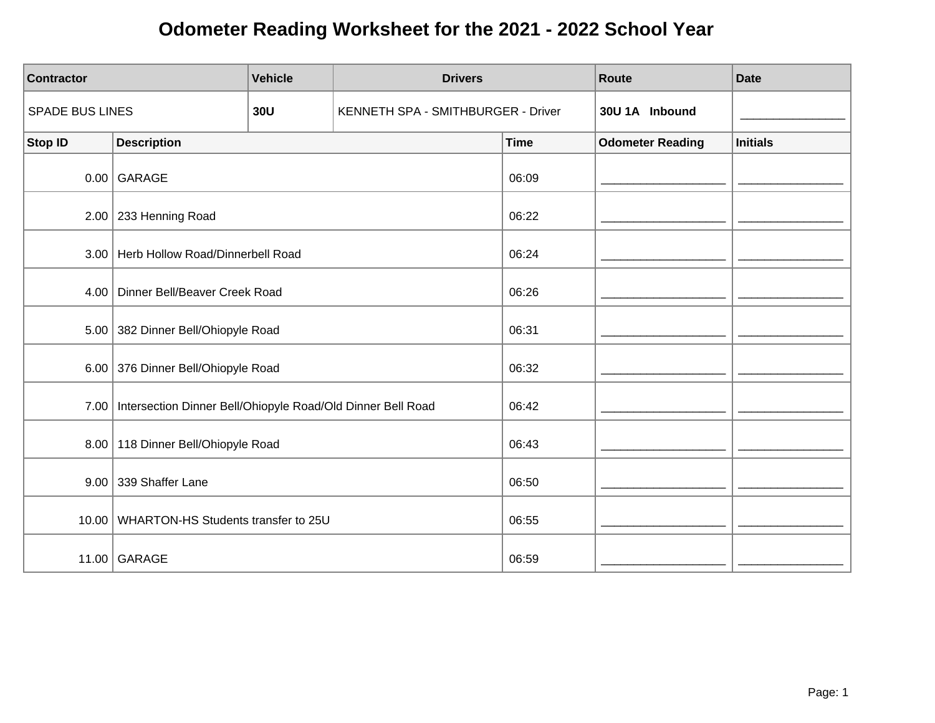| <b>Contractor</b>      |                                                                    | <b>Vehicle</b> | <b>Drivers</b>                     |             | <b>Route</b>            | <b>Date</b>     |
|------------------------|--------------------------------------------------------------------|----------------|------------------------------------|-------------|-------------------------|-----------------|
| <b>SPADE BUS LINES</b> |                                                                    | <b>30U</b>     | KENNETH SPA - SMITHBURGER - Driver |             | 30U 1A Inbound          |                 |
| <b>Stop ID</b>         | <b>Description</b>                                                 |                |                                    | <b>Time</b> | <b>Odometer Reading</b> | <b>Initials</b> |
|                        | $0.00$ GARAGE                                                      |                |                                    | 06:09       |                         |                 |
|                        | $2.00$ 233 Henning Road                                            |                |                                    | 06:22       |                         |                 |
| 3.00                   | Herb Hollow Road/Dinnerbell Road                                   |                |                                    | 06:24       |                         |                 |
| 4.00                   | Dinner Bell/Beaver Creek Road                                      |                |                                    | 06:26       |                         |                 |
|                        | 5.00 382 Dinner Bell/Ohiopyle Road                                 |                |                                    | 06:31       |                         |                 |
|                        | 6.00 376 Dinner Bell/Ohiopyle Road                                 |                |                                    | 06:32       |                         |                 |
|                        | 7.00   Intersection Dinner Bell/Ohiopyle Road/Old Dinner Bell Road |                |                                    | 06:42       |                         |                 |
|                        | 8.00   118 Dinner Bell/Ohiopyle Road                               |                |                                    | 06:43       |                         |                 |
|                        | 9.00 339 Shaffer Lane                                              |                |                                    | 06:50       |                         |                 |
| 10.00                  | WHARTON-HS Students transfer to 25U                                |                |                                    | 06:55       |                         |                 |
|                        | 11.00 GARAGE                                                       |                |                                    | 06:59       |                         |                 |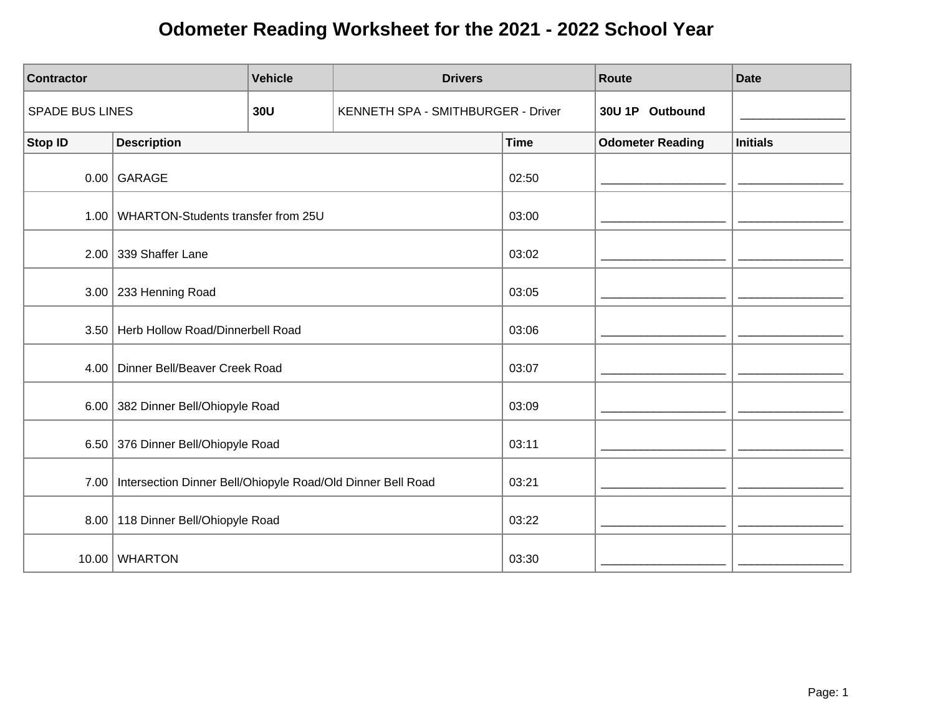| <b>Contractor</b>      |                                                             | <b>Vehicle</b> | <b>Drivers</b>                     |             | <b>Route</b>            | <b>Date</b>     |
|------------------------|-------------------------------------------------------------|----------------|------------------------------------|-------------|-------------------------|-----------------|
| <b>SPADE BUS LINES</b> |                                                             | 30U            | KENNETH SPA - SMITHBURGER - Driver |             | 30U 1P Outbound         |                 |
| <b>Stop ID</b>         | <b>Description</b>                                          |                |                                    | <b>Time</b> | <b>Odometer Reading</b> | <b>Initials</b> |
|                        | $0.00$ GARAGE                                               |                |                                    | 02:50       |                         |                 |
|                        | 1.00   WHARTON-Students transfer from 25U                   |                |                                    | 03:00       |                         |                 |
|                        | 2.00 339 Shaffer Lane                                       |                |                                    | 03:02       |                         |                 |
|                        | $3.00$ 233 Henning Road                                     |                |                                    | 03:05       |                         |                 |
|                        | 3.50 Herb Hollow Road/Dinnerbell Road                       |                |                                    | 03:06       |                         |                 |
|                        | 4.00   Dinner Bell/Beaver Creek Road                        |                |                                    | 03:07       |                         |                 |
|                        | 6.00 382 Dinner Bell/Ohiopyle Road                          |                |                                    | 03:09       |                         |                 |
|                        | 6.50 376 Dinner Bell/Ohiopyle Road                          |                |                                    | 03:11       |                         |                 |
| 7.00                   | Intersection Dinner Bell/Ohiopyle Road/Old Dinner Bell Road |                |                                    | 03:21       |                         |                 |
|                        | 8.00   118 Dinner Bell/Ohiopyle Road                        |                |                                    | 03:22       |                         |                 |
|                        | 10.00 WHARTON                                               |                |                                    | 03:30       |                         |                 |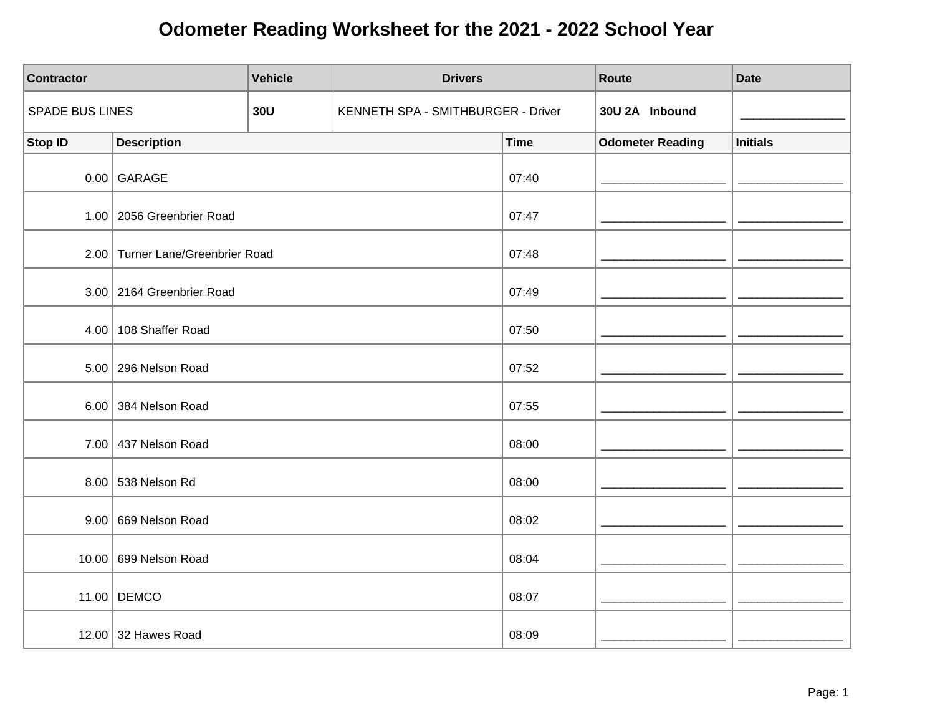| <b>Contractor</b> |                                  | <b>Vehicle</b> | <b>Drivers</b>                     |             | Route                   | <b>Date</b>     |
|-------------------|----------------------------------|----------------|------------------------------------|-------------|-------------------------|-----------------|
| SPADE BUS LINES   |                                  | <b>30U</b>     | KENNETH SPA - SMITHBURGER - Driver |             | 30U 2A Inbound          |                 |
| <b>Stop ID</b>    | <b>Description</b>               |                |                                    | <b>Time</b> | <b>Odometer Reading</b> | <b>Initials</b> |
|                   | $0.00$ GARAGE                    |                |                                    | 07:40       |                         |                 |
|                   | 1.00   2056 Greenbrier Road      |                |                                    | 07:47       |                         |                 |
|                   | 2.00 Turner Lane/Greenbrier Road |                |                                    | 07:48       |                         |                 |
|                   | 3.00 2164 Greenbrier Road        |                |                                    | 07:49       |                         |                 |
| 4.00              | 108 Shaffer Road                 |                |                                    | 07:50       |                         |                 |
|                   | 5.00   296 Nelson Road           |                |                                    | 07:52       |                         |                 |
|                   | 6.00 384 Nelson Road             |                |                                    | 07:55       |                         |                 |
|                   | 7.00 437 Nelson Road             |                |                                    | 08:00       |                         |                 |
|                   | 8.00 538 Nelson Rd               |                |                                    | 08:00       |                         |                 |
|                   | 9.00 669 Nelson Road             |                |                                    | 08:02       |                         |                 |
|                   | 10.00 699 Nelson Road            |                |                                    | 08:04       |                         |                 |
|                   | 11.00 DEMCO                      |                |                                    | 08:07       |                         |                 |
|                   | 12.00 32 Hawes Road              |                |                                    | 08:09       |                         |                 |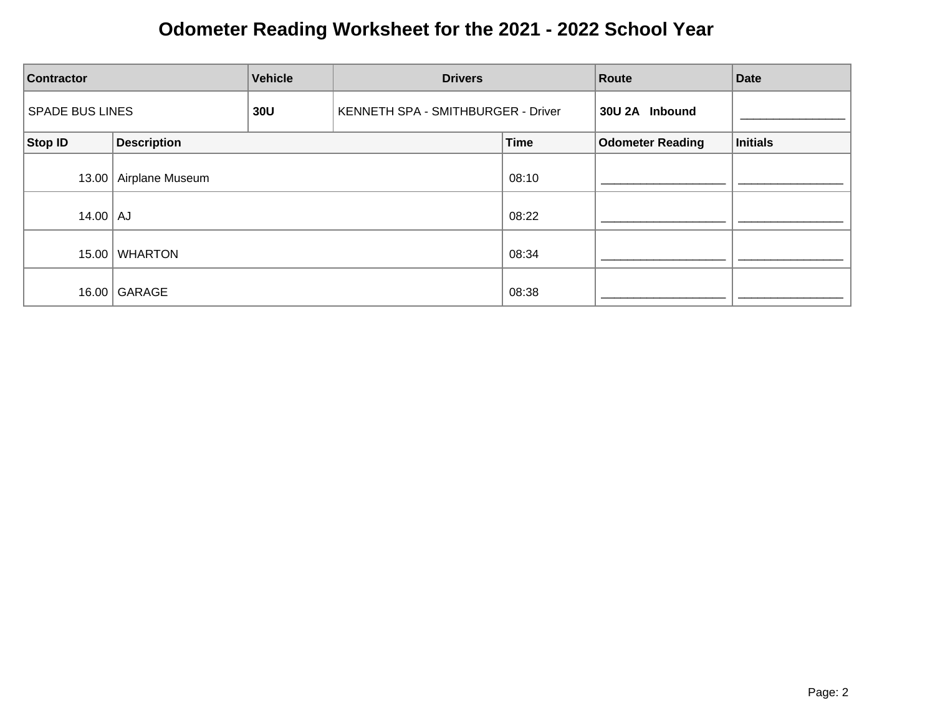| <b>Vehicle</b><br><b>Drivers</b><br><b>Contractor</b> |                         |     | Route                              | <b>Date</b> |                         |                 |
|-------------------------------------------------------|-------------------------|-----|------------------------------------|-------------|-------------------------|-----------------|
| <b>SPADE BUS LINES</b>                                |                         | 30U | KENNETH SPA - SMITHBURGER - Driver |             | 30U 2A Inbound          |                 |
| Stop ID                                               | <b>Description</b>      |     |                                    | <b>Time</b> | <b>Odometer Reading</b> | <b>Initials</b> |
|                                                       | 13.00   Airplane Museum |     |                                    | 08:10       |                         |                 |
| $14.00$ $\vert$ AJ                                    |                         |     |                                    | 08:22       |                         |                 |
| 15.00                                                 | <b>WHARTON</b>          |     |                                    | 08:34       |                         |                 |
|                                                       | 16.00 GARAGE            |     |                                    | 08:38       |                         |                 |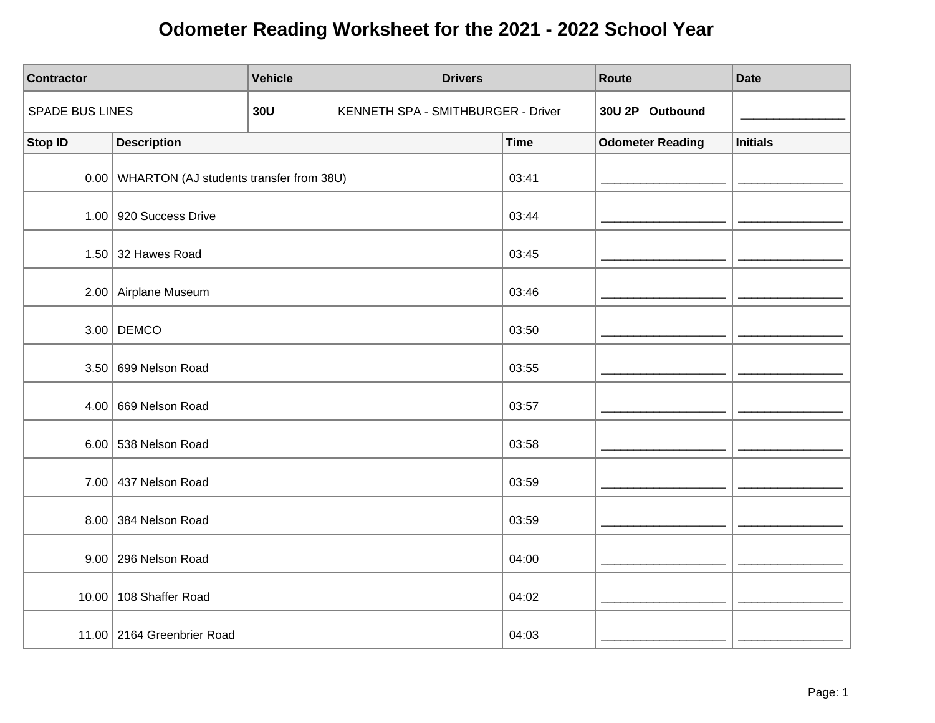| <b>Contractor</b>      |                                              | <b>Vehicle</b> | <b>Drivers</b>                     |             | Route                   | <b>Date</b>     |
|------------------------|----------------------------------------------|----------------|------------------------------------|-------------|-------------------------|-----------------|
| <b>SPADE BUS LINES</b> |                                              | <b>30U</b>     | KENNETH SPA - SMITHBURGER - Driver |             | 30U 2P Outbound         |                 |
| <b>Stop ID</b>         | <b>Description</b>                           |                |                                    | <b>Time</b> | <b>Odometer Reading</b> | <b>Initials</b> |
|                        | 0.00 WHARTON (AJ students transfer from 38U) |                |                                    | 03:41       |                         |                 |
|                        | $1.00$ 920 Success Drive                     |                |                                    | 03:44       |                         |                 |
|                        | 1.50 $\vert$ 32 Hawes Road                   |                |                                    | 03:45       |                         |                 |
|                        | 2.00 Airplane Museum                         |                |                                    | 03:46       |                         |                 |
|                        | $3.00$ DEMCO                                 |                |                                    | 03:50       |                         |                 |
|                        | 3.50 699 Nelson Road                         |                |                                    | 03:55       |                         |                 |
| 4.00                   | 669 Nelson Road                              |                |                                    | 03:57       |                         |                 |
|                        | 6.00 538 Nelson Road                         |                |                                    | 03:58       |                         |                 |
|                        | 7.00 437 Nelson Road                         |                |                                    | 03:59       |                         |                 |
|                        | 8.00 384 Nelson Road                         |                |                                    | 03:59       |                         |                 |
|                        | 9.00 296 Nelson Road                         |                |                                    | 04:00       |                         |                 |
|                        | 10.00   108 Shaffer Road                     |                |                                    | 04:02       |                         |                 |
|                        | 11.00 2164 Greenbrier Road                   |                |                                    | 04:03       |                         |                 |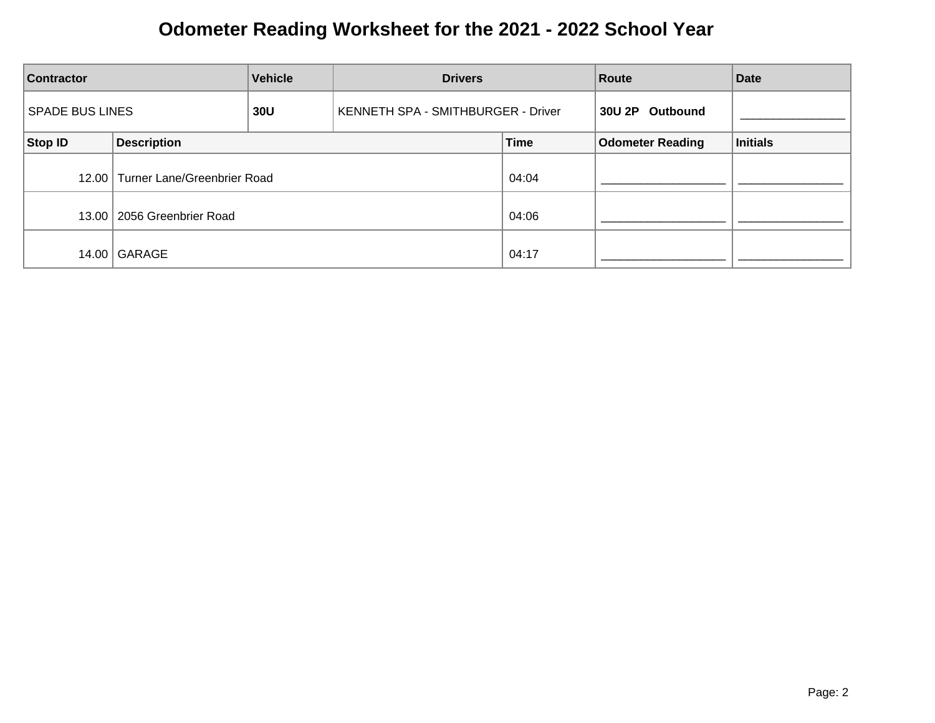| <b>Contractor</b>      |                                   | <b>Vehicle</b> | <b>Drivers</b>                     |             | Route                   | <b>Date</b>     |
|------------------------|-----------------------------------|----------------|------------------------------------|-------------|-------------------------|-----------------|
| <b>SPADE BUS LINES</b> |                                   | 30U            | KENNETH SPA - SMITHBURGER - Driver |             | 30U 2P<br>Outbound      |                 |
| Stop ID                | <b>Description</b>                |                |                                    | <b>Time</b> | <b>Odometer Reading</b> | <b>Initials</b> |
|                        | 12.00 Turner Lane/Greenbrier Road |                |                                    | 04:04       |                         |                 |
|                        | 13.00   2056 Greenbrier Road      |                |                                    | 04:06       |                         |                 |
|                        | 14.00 GARAGE                      |                |                                    | 04:17       |                         |                 |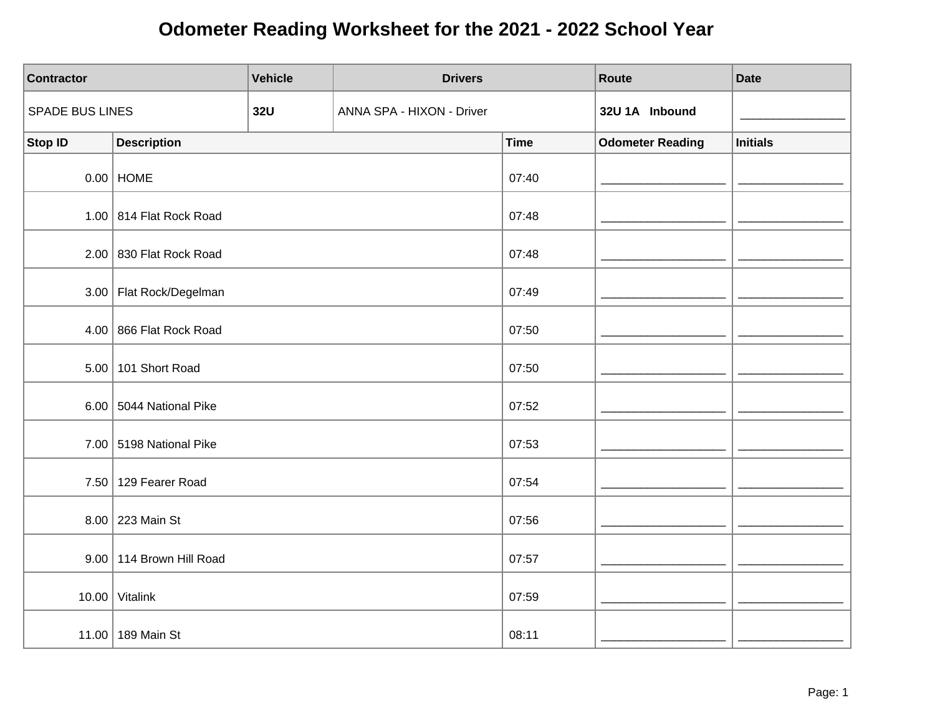| Contractor      |                                 | <b>Vehicle</b> | <b>Drivers</b>            |             | Route                   | <b>Date</b>     |
|-----------------|---------------------------------|----------------|---------------------------|-------------|-------------------------|-----------------|
| SPADE BUS LINES |                                 | <b>32U</b>     | ANNA SPA - HIXON - Driver |             | 32U 1A Inbound          |                 |
| <b>Stop ID</b>  | <b>Description</b>              |                |                           | <b>Time</b> | <b>Odometer Reading</b> | <b>Initials</b> |
|                 | $0.00$ HOME                     |                |                           | 07:40       |                         |                 |
|                 | 1.00 814 Flat Rock Road         |                |                           | 07:48       |                         |                 |
|                 | $2.00$ 830 Flat Rock Road       |                |                           | 07:48       |                         |                 |
|                 | 3.00   Flat Rock/Degelman       |                |                           | 07:49       |                         |                 |
|                 | 4.00   866 Flat Rock Road       |                |                           | 07:50       |                         |                 |
|                 | 5.00 101 Short Road             |                |                           | 07:50       |                         |                 |
|                 | 6.00 $\vert$ 5044 National Pike |                |                           | 07:52       |                         |                 |
|                 | 7.00 5198 National Pike         |                |                           | 07:53       |                         |                 |
|                 | 7.50 129 Fearer Road            |                |                           | 07:54       |                         |                 |
|                 | 8.00 223 Main St                |                |                           | 07:56       |                         |                 |
|                 | 9.00 114 Brown Hill Road        |                |                           | 07:57       |                         |                 |
|                 | 10.00 Vitalink                  |                |                           | 07:59       |                         |                 |
|                 | 11.00 189 Main St               |                |                           | 08:11       |                         |                 |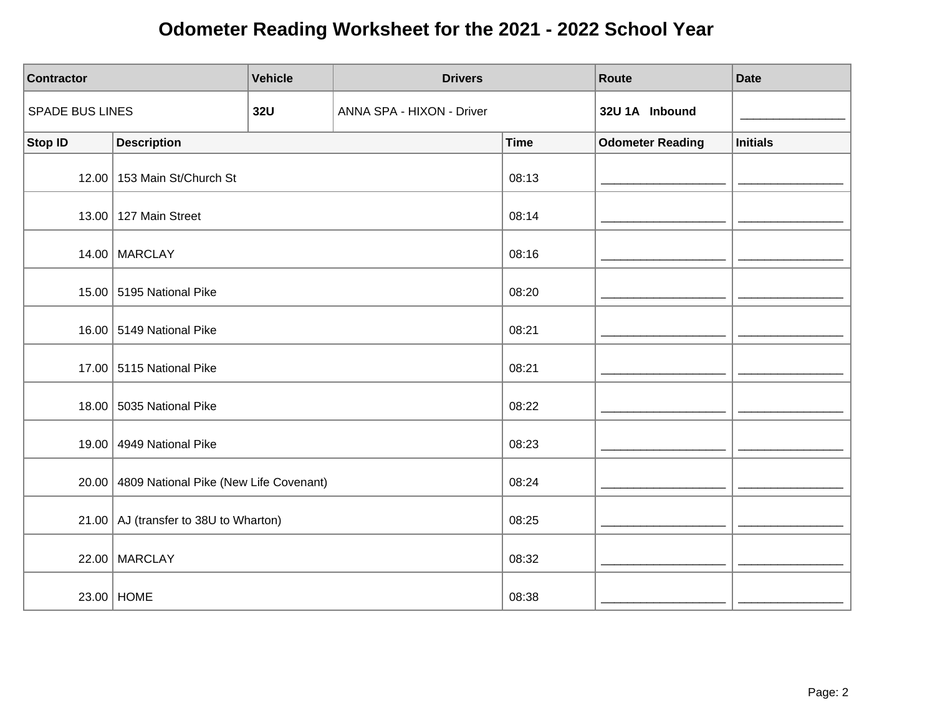| <b>Contractor</b>      |                                         | <b>Vehicle</b> | <b>Drivers</b>            |             | Route                   | <b>Date</b>     |
|------------------------|-----------------------------------------|----------------|---------------------------|-------------|-------------------------|-----------------|
| <b>SPADE BUS LINES</b> |                                         | <b>32U</b>     | ANNA SPA - HIXON - Driver |             | 32U 1A Inbound          |                 |
| Stop ID                | <b>Description</b>                      |                |                           | <b>Time</b> | <b>Odometer Reading</b> | <b>Initials</b> |
|                        | 12.00 153 Main St/Church St             |                |                           | 08:13       |                         |                 |
|                        | 13.00   127 Main Street                 |                |                           | 08:14       |                         |                 |
|                        | 14.00 MARCLAY                           |                |                           | 08:16       |                         |                 |
|                        | 15.00 5195 National Pike                |                |                           | 08:20       |                         |                 |
|                        | 16.00 5149 National Pike                |                |                           | 08:21       |                         |                 |
|                        | 17.00 5115 National Pike                |                |                           | 08:21       |                         |                 |
|                        | 18.00 5035 National Pike                |                |                           | 08:22       |                         |                 |
| 19.00                  | 4949 National Pike                      |                |                           | 08:23       |                         |                 |
| 20.00                  | 4809 National Pike (New Life Covenant)  |                |                           | 08:24       |                         |                 |
|                        | 21.00   AJ (transfer to 38U to Wharton) |                |                           | 08:25       |                         |                 |
|                        | 22.00 MARCLAY                           |                |                           | 08:32       |                         |                 |
|                        | 23.00 HOME                              |                |                           | 08:38       |                         |                 |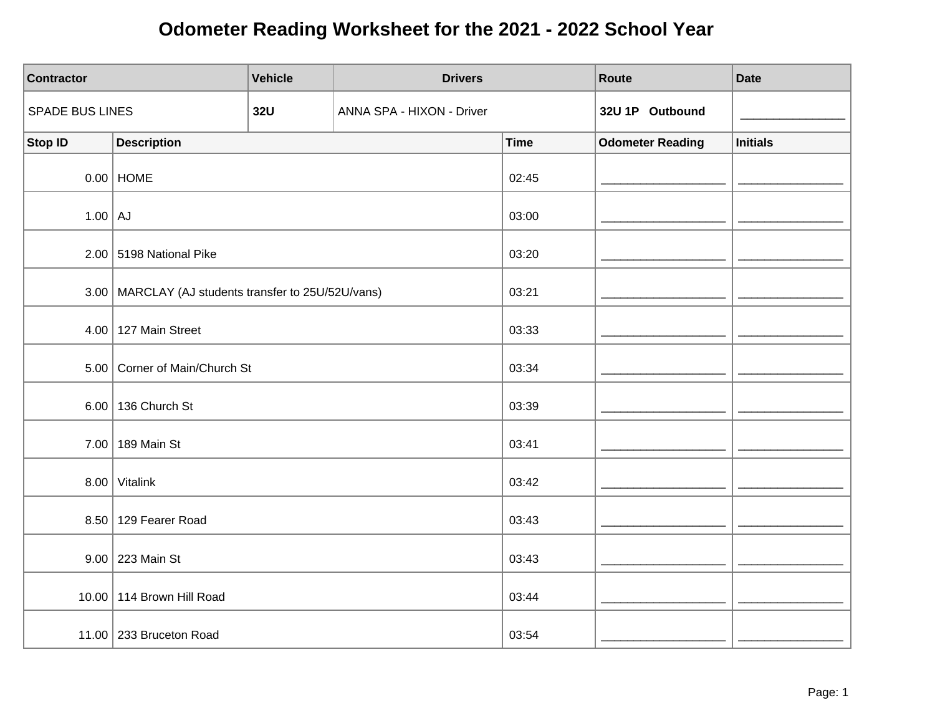| <b>Contractor</b>      |                                                       | <b>Vehicle</b> | <b>Drivers</b>            |             | Route                   | <b>Date</b>     |
|------------------------|-------------------------------------------------------|----------------|---------------------------|-------------|-------------------------|-----------------|
| <b>SPADE BUS LINES</b> |                                                       | <b>32U</b>     | ANNA SPA - HIXON - Driver |             | 32U 1P Outbound         |                 |
| <b>Stop ID</b>         | <b>Description</b>                                    |                |                           | <b>Time</b> | <b>Odometer Reading</b> | <b>Initials</b> |
|                        | $0.00$ HOME                                           |                |                           | 02:45       |                         |                 |
| $1.00$ AJ              |                                                       |                |                           | 03:00       |                         |                 |
|                        | 2.00 5198 National Pike                               |                |                           | 03:20       |                         |                 |
|                        | 3.00   MARCLAY (AJ students transfer to 25U/52U/vans) |                |                           | 03:21       |                         |                 |
|                        | $4.00$   127 Main Street                              |                |                           | 03:33       |                         |                 |
|                        | 5.00 Corner of Main/Church St                         |                |                           | 03:34       |                         |                 |
|                        | 6.00   136 Church St                                  |                |                           | 03:39       |                         |                 |
|                        | 7.00 189 Main St                                      |                |                           | 03:41       |                         |                 |
|                        | $8.00$ Vitalink                                       |                |                           | 03:42       |                         |                 |
|                        | 8.50 129 Fearer Road                                  |                |                           | 03:43       |                         |                 |
|                        | 9.00 223 Main St                                      |                |                           | 03:43       |                         |                 |
|                        | 10.00   114 Brown Hill Road                           |                |                           | 03:44       |                         |                 |
|                        | 11.00   233 Bruceton Road                             |                |                           | 03:54       |                         |                 |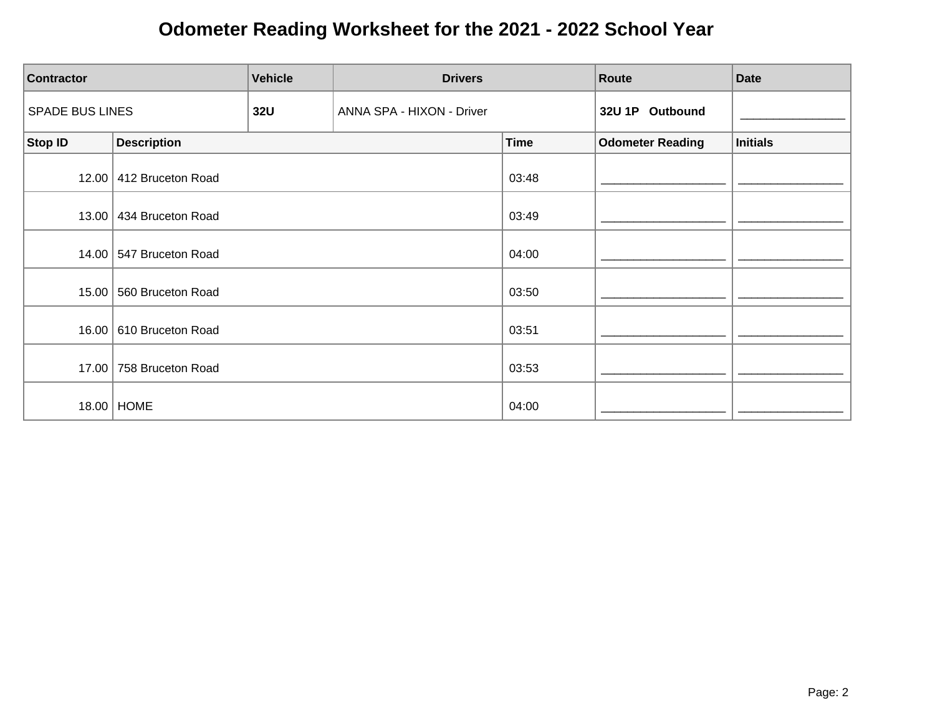| <b>Contractor</b>      |                         | <b>Vehicle</b> | <b>Drivers</b>            |             | Route                   | <b>Date</b>     |
|------------------------|-------------------------|----------------|---------------------------|-------------|-------------------------|-----------------|
| <b>SPADE BUS LINES</b> |                         | <b>32U</b>     | ANNA SPA - HIXON - Driver |             | 32U 1P Outbound         |                 |
| <b>Stop ID</b>         | <b>Description</b>      |                |                           | <b>Time</b> | <b>Odometer Reading</b> | <b>Initials</b> |
| 12.00                  | 412 Bruceton Road       |                |                           | 03:48       |                         |                 |
| 13.00                  | 434 Bruceton Road       |                |                           | 03:49       |                         |                 |
|                        | 14.00 547 Bruceton Road |                |                           | 04:00       |                         |                 |
| 15.00                  | 560 Bruceton Road       |                |                           | 03:50       |                         |                 |
| 16.00                  | 610 Bruceton Road       |                |                           | 03:51       |                         |                 |
| 17.00                  | 758 Bruceton Road       |                |                           | 03:53       |                         |                 |
|                        | 18.00   HOME            |                |                           | 04:00       |                         |                 |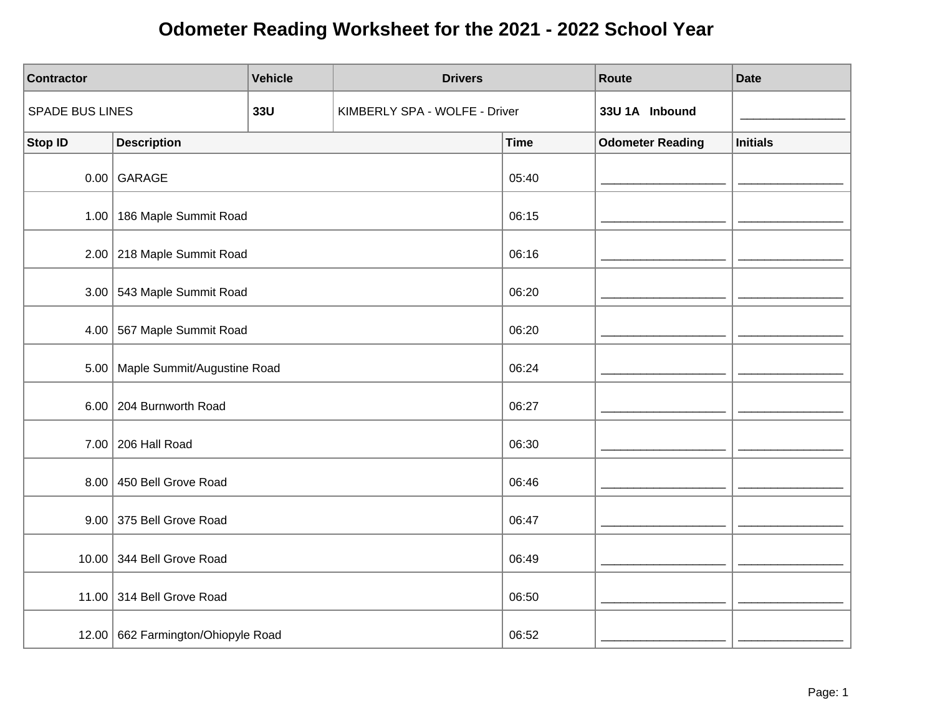| <b>Contractor</b>      |                                    | <b>Vehicle</b> | <b>Drivers</b>                |             | Route                   | <b>Date</b>     |
|------------------------|------------------------------------|----------------|-------------------------------|-------------|-------------------------|-----------------|
| <b>SPADE BUS LINES</b> |                                    | 33U            | KIMBERLY SPA - WOLFE - Driver |             | 33U 1A Inbound          |                 |
| <b>Stop ID</b>         | <b>Description</b>                 |                |                               | <b>Time</b> | <b>Odometer Reading</b> | <b>Initials</b> |
|                        | $0.00$ GARAGE                      |                |                               | 05:40       |                         |                 |
|                        | 1.00   186 Maple Summit Road       |                |                               | 06:15       |                         |                 |
|                        | 2.00 218 Maple Summit Road         |                |                               | 06:16       |                         |                 |
|                        | 3.00 543 Maple Summit Road         |                |                               | 06:20       |                         |                 |
| 4.00                   | 567 Maple Summit Road              |                |                               | 06:20       |                         |                 |
| 5.00                   | Maple Summit/Augustine Road        |                |                               | 06:24       |                         |                 |
|                        | 6.00 204 Burnworth Road            |                |                               | 06:27       |                         |                 |
|                        | 7.00 206 Hall Road                 |                |                               | 06:30       |                         |                 |
|                        | 8.00 450 Bell Grove Road           |                |                               | 06:46       |                         |                 |
|                        | 9.00 375 Bell Grove Road           |                |                               | 06:47       |                         |                 |
|                        | 10.00 344 Bell Grove Road          |                |                               | 06:49       |                         |                 |
|                        | 11.00 314 Bell Grove Road          |                |                               | 06:50       |                         |                 |
|                        | 12.00 662 Farmington/Ohiopyle Road |                |                               | 06:52       |                         |                 |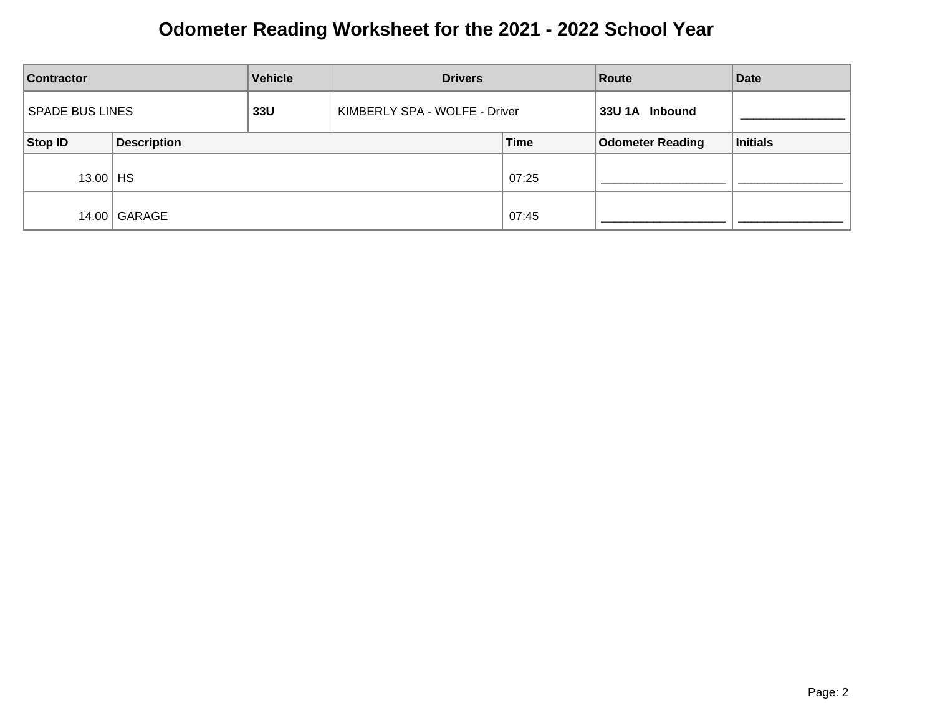| <b>Vehicle</b><br><b>Drivers</b><br><b>Contractor</b> |                    |     | Route                         | <b>Date</b> |                         |          |
|-------------------------------------------------------|--------------------|-----|-------------------------------|-------------|-------------------------|----------|
| <b>SPADE BUS LINES</b>                                |                    | 33U | KIMBERLY SPA - WOLFE - Driver |             | 33U 1A Inbound          |          |
| Stop ID                                               | <b>Description</b> |     |                               | <b>Time</b> | <b>Odometer Reading</b> | Initials |
| $13.00$   HS                                          |                    |     |                               | 07:25       |                         |          |
| 14.00                                                 | GARAGE             |     |                               | 07:45       |                         |          |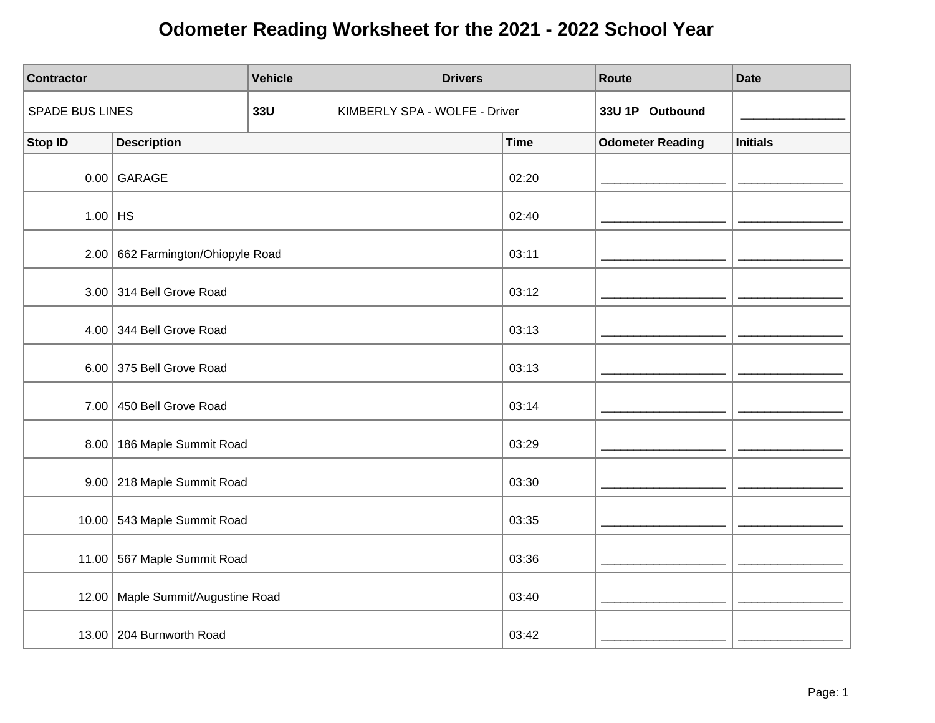| Contractor      |                                   | <b>Vehicle</b> | <b>Drivers</b>                |             | Route                   | <b>Date</b>     |
|-----------------|-----------------------------------|----------------|-------------------------------|-------------|-------------------------|-----------------|
| SPADE BUS LINES |                                   | <b>33U</b>     | KIMBERLY SPA - WOLFE - Driver |             | 33U 1P Outbound         |                 |
| Stop ID         | <b>Description</b>                |                |                               | <b>Time</b> | <b>Odometer Reading</b> | <b>Initials</b> |
|                 | $0.00$ GARAGE                     |                |                               | 02:20       |                         |                 |
| $1.00$ HS       |                                   |                |                               | 02:40       |                         |                 |
|                 | 2.00 662 Farmington/Ohiopyle Road |                |                               | 03:11       |                         |                 |
|                 | 3.00 314 Bell Grove Road          |                |                               | 03:12       |                         |                 |
| 4.00            | 344 Bell Grove Road               |                |                               | 03:13       |                         |                 |
|                 | 6.00 375 Bell Grove Road          |                |                               | 03:13       |                         |                 |
|                 | 7.00 450 Bell Grove Road          |                |                               | 03:14       |                         |                 |
|                 | 8.00   186 Maple Summit Road      |                |                               | 03:29       |                         |                 |
|                 | 9.00 218 Maple Summit Road        |                |                               | 03:30       |                         |                 |
|                 | 10.00 543 Maple Summit Road       |                |                               | 03:35       |                         |                 |
|                 | 11.00 567 Maple Summit Road       |                |                               | 03:36       |                         |                 |
| 12.00           | Maple Summit/Augustine Road       |                |                               | 03:40       |                         |                 |
|                 | 13.00   204 Burnworth Road        |                |                               | 03:42       |                         |                 |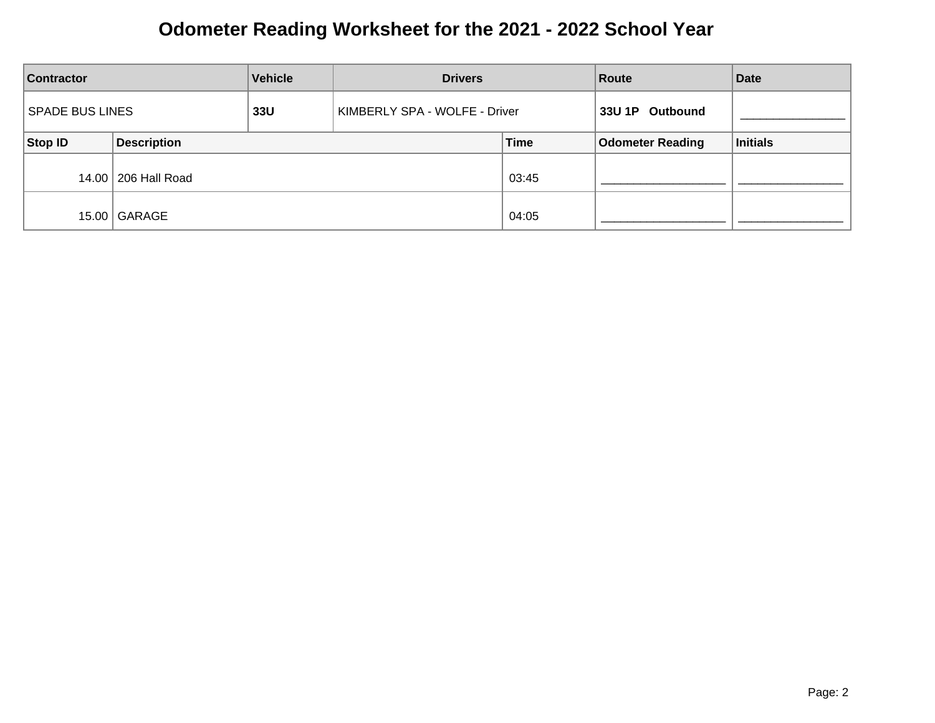| <b>Vehicle</b><br><b>Contractor</b> |                       | <b>Drivers</b> |                               | Route       | <b>Date</b>             |          |
|-------------------------------------|-----------------------|----------------|-------------------------------|-------------|-------------------------|----------|
| <b>SPADE BUS LINES</b>              |                       | 33U            | KIMBERLY SPA - WOLFE - Driver |             | 33U 1P Outbound         |          |
| Stop ID                             | <b>Description</b>    |                |                               | <b>Time</b> | <b>Odometer Reading</b> | Initials |
|                                     | 14.00   206 Hall Road |                |                               | 03:45       |                         |          |
| 15.00                               | GARAGE                |                |                               | 04:05       |                         |          |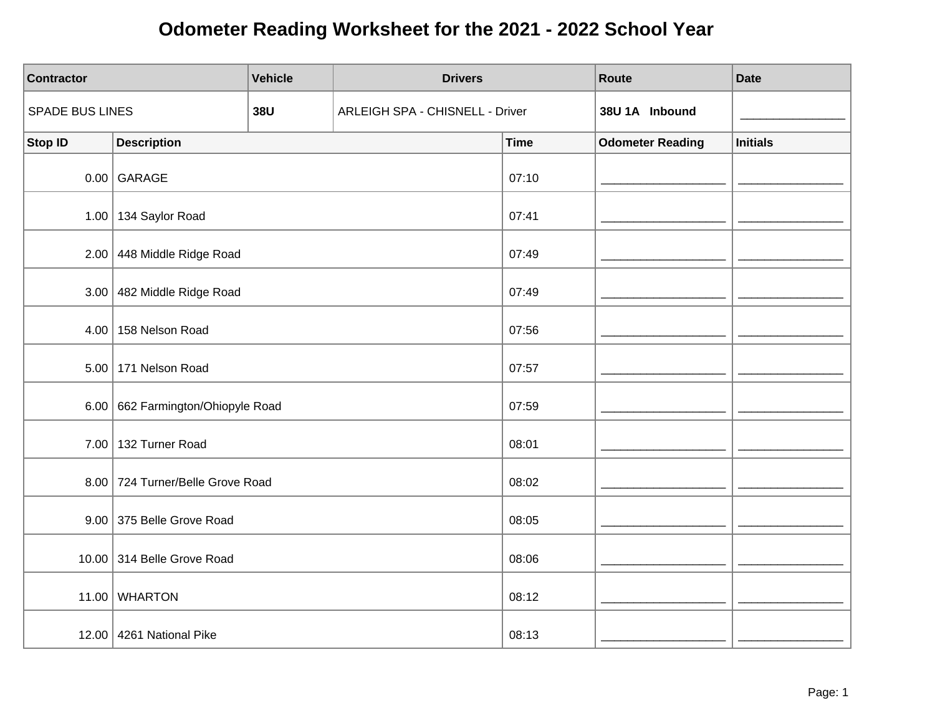| <b>Contractor</b>      |                                  | <b>Vehicle</b> | <b>Drivers</b>                         |             | Route                   | <b>Date</b>     |
|------------------------|----------------------------------|----------------|----------------------------------------|-------------|-------------------------|-----------------|
| <b>SPADE BUS LINES</b> |                                  | <b>38U</b>     | <b>ARLEIGH SPA - CHISNELL - Driver</b> |             | 38U 1A Inbound          |                 |
| <b>Stop ID</b>         | <b>Description</b>               |                |                                        | <b>Time</b> | <b>Odometer Reading</b> | <b>Initials</b> |
|                        | $0.00$ GARAGE                    |                |                                        | 07:10       |                         |                 |
|                        | 1.00 $ $ 134 Saylor Road         |                |                                        | 07:41       |                         |                 |
|                        | 2.00 448 Middle Ridge Road       |                |                                        | 07:49       |                         |                 |
|                        | 3.00 482 Middle Ridge Road       |                |                                        | 07:49       |                         |                 |
|                        | 4.00 $ $ 158 Nelson Road         |                |                                        | 07:56       |                         |                 |
|                        | 5.00 171 Nelson Road             |                |                                        | 07:57       |                         |                 |
| 6.00                   | 662 Farmington/Ohiopyle Road     |                |                                        | 07:59       |                         |                 |
|                        | 7.00 132 Turner Road             |                |                                        | 08:01       |                         |                 |
|                        | 8.00 724 Turner/Belle Grove Road |                |                                        | 08:02       |                         |                 |
|                        | 9.00 375 Belle Grove Road        |                |                                        | 08:05       |                         |                 |
|                        | 10.00 314 Belle Grove Road       |                |                                        | 08:06       |                         |                 |
|                        | 11.00 WHARTON                    |                |                                        | 08:12       |                         |                 |
|                        | 12.00 4261 National Pike         |                |                                        | 08:13       |                         |                 |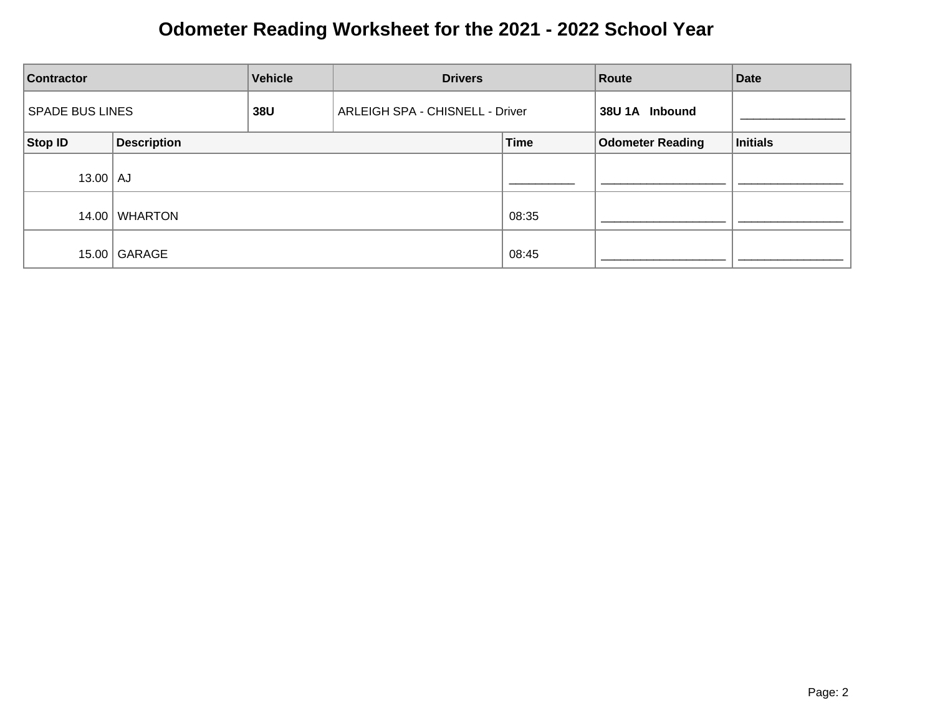| <b>Vehicle</b><br><b>Contractor</b> |                    | <b>Drivers</b>                         | Route |             | <b>Date</b>             |                 |
|-------------------------------------|--------------------|----------------------------------------|-------|-------------|-------------------------|-----------------|
| <b>SPADE BUS LINES</b>              |                    | 38U<br>ARLEIGH SPA - CHISNELL - Driver |       |             | 38U 1A Inbound          |                 |
| Stop ID                             | <b>Description</b> |                                        |       | <b>Time</b> | <b>Odometer Reading</b> | <b>Initials</b> |
| $13.00$ $\vert$ AJ                  |                    |                                        |       |             |                         |                 |
| 14.00                               | <b>WHARTON</b>     |                                        |       | 08:35       |                         |                 |
|                                     | 15.00 GARAGE       |                                        |       | 08:45       |                         |                 |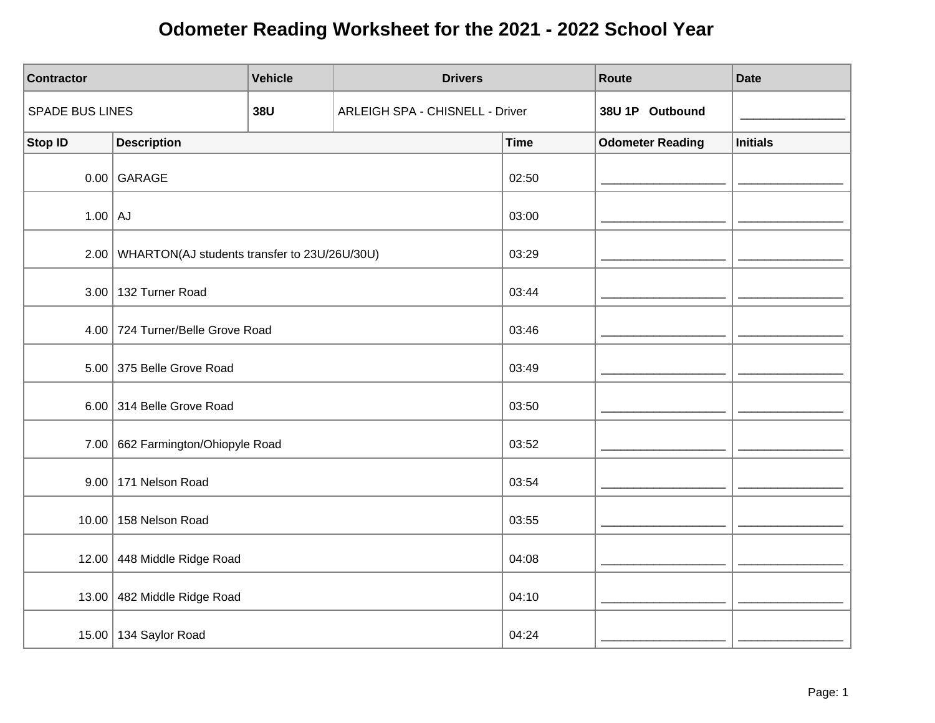| <b>Contractor</b>      |                                                     | <b>Vehicle</b> | <b>Drivers</b>                         |             | Route                   | <b>Date</b>     |
|------------------------|-----------------------------------------------------|----------------|----------------------------------------|-------------|-------------------------|-----------------|
| <b>SPADE BUS LINES</b> |                                                     | <b>38U</b>     | <b>ARLEIGH SPA - CHISNELL - Driver</b> |             | 38U 1P Outbound         |                 |
| <b>Stop ID</b>         | <b>Description</b>                                  |                |                                        | <b>Time</b> | <b>Odometer Reading</b> | <b>Initials</b> |
|                        | $0.00$ GARAGE                                       |                |                                        | 02:50       |                         |                 |
| $1.00$ AJ              |                                                     |                |                                        | 03:00       |                         |                 |
|                        | 2.00   WHARTON(AJ students transfer to 23U/26U/30U) |                |                                        | 03:29       |                         |                 |
|                        | 3.00 132 Turner Road                                |                |                                        | 03:44       |                         |                 |
|                        | 4.00 724 Turner/Belle Grove Road                    |                |                                        | 03:46       |                         |                 |
|                        | 5.00 375 Belle Grove Road                           |                |                                        | 03:49       |                         |                 |
|                        | 6.00 314 Belle Grove Road                           |                |                                        | 03:50       |                         |                 |
|                        | 7.00 662 Farmington/Ohiopyle Road                   |                |                                        | 03:52       |                         |                 |
|                        | 9.00   171 Nelson Road                              |                |                                        | 03:54       |                         |                 |
|                        | 10.00 158 Nelson Road                               |                |                                        | 03:55       |                         |                 |
|                        | 12.00 448 Middle Ridge Road                         |                |                                        | 04:08       |                         |                 |
|                        | 13.00 482 Middle Ridge Road                         |                |                                        | 04:10       |                         |                 |
|                        | 15.00   134 Saylor Road                             |                |                                        | 04:24       |                         |                 |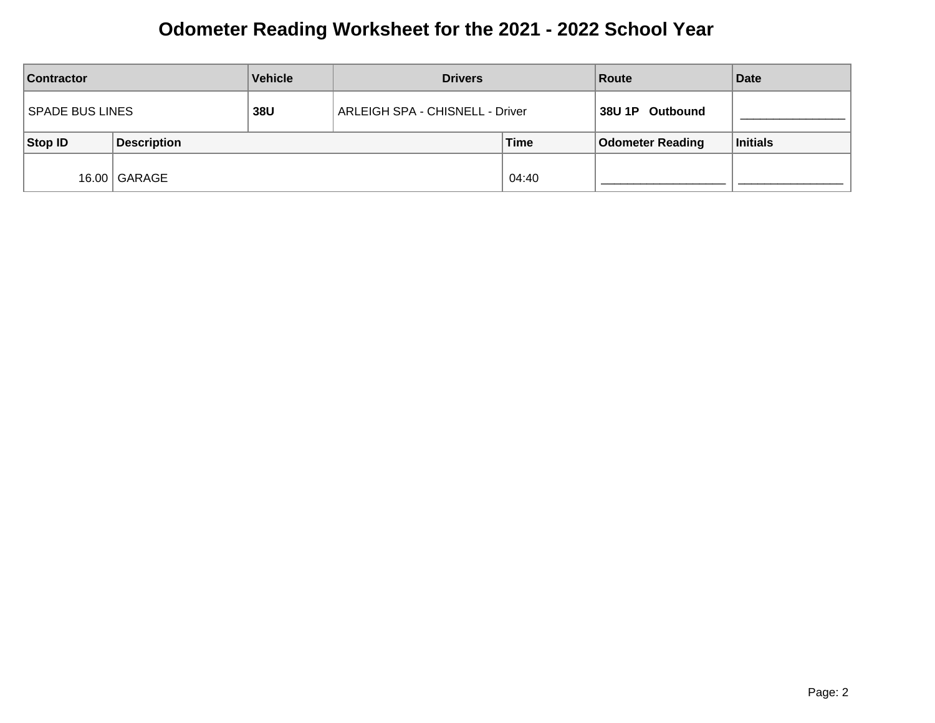| <b>Contractor</b> |                    | <b>Vehicle</b> | <b>Drivers</b>                  |       | Route                   | <b>Date</b>     |
|-------------------|--------------------|----------------|---------------------------------|-------|-------------------------|-----------------|
| SPADE BUS LINES   |                    | 38U            | ARLEIGH SPA - CHISNELL - Driver |       | 38U 1P Outbound         |                 |
| Stop ID           | <b>Description</b> | <b>Time</b>    |                                 |       | <b>Odometer Reading</b> | <b>Initials</b> |
|                   | 16.00 GARAGE       |                |                                 | 04:40 |                         |                 |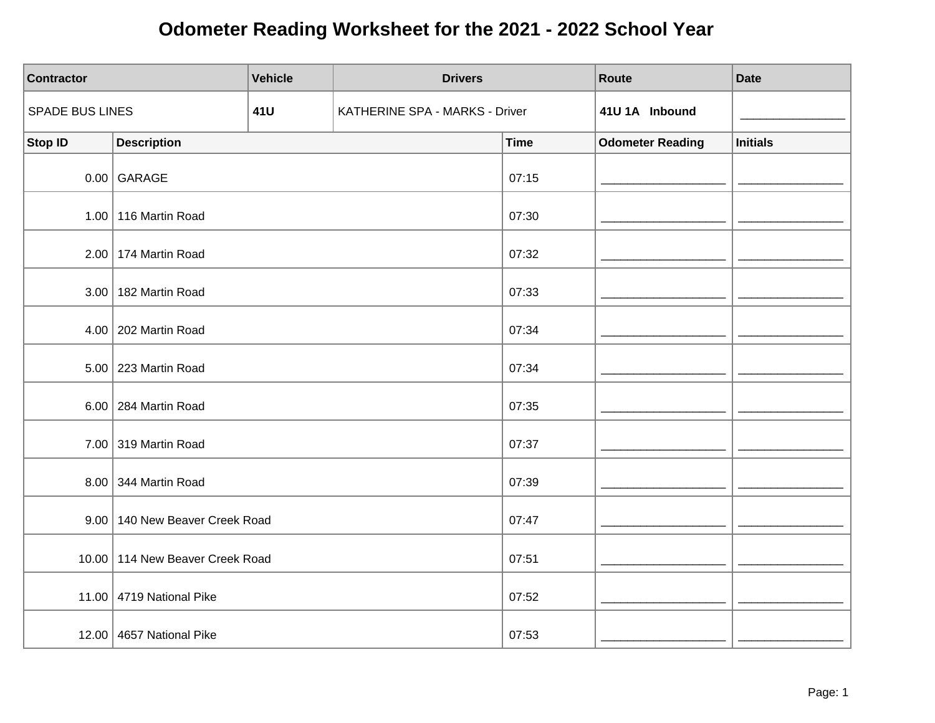| Contractor      |                                 | <b>Vehicle</b> | <b>Drivers</b>                 |       |             | Route                   | <b>Date</b>     |
|-----------------|---------------------------------|----------------|--------------------------------|-------|-------------|-------------------------|-----------------|
| SPADE BUS LINES |                                 | 41U            | KATHERINE SPA - MARKS - Driver |       |             | 41U 1A Inbound          |                 |
| <b>Stop ID</b>  | <b>Description</b>              |                |                                |       | <b>Time</b> | <b>Odometer Reading</b> | <b>Initials</b> |
|                 | $0.00$ GARAGE                   |                |                                |       | 07:15       |                         |                 |
|                 | 1.00 116 Martin Road            |                |                                | 07:30 |             |                         |                 |
|                 | 2.00 174 Martin Road            |                |                                | 07:32 |             |                         |                 |
|                 | 3.00   182 Martin Road          |                |                                |       | 07:33       |                         |                 |
|                 | 4.00   202 Martin Road          |                |                                | 07:34 |             |                         |                 |
|                 | 5.00 223 Martin Road            |                |                                | 07:34 |             |                         |                 |
|                 | 6.00 284 Martin Road            |                |                                |       | 07:35       |                         |                 |
|                 | 7.00 319 Martin Road            |                |                                |       | 07:37       |                         |                 |
|                 | 8.00 344 Martin Road            |                |                                |       | 07:39       |                         |                 |
|                 | 9.00 140 New Beaver Creek Road  |                |                                |       | 07:47       |                         |                 |
|                 | 10.00 114 New Beaver Creek Road |                |                                |       | 07:51       |                         |                 |
|                 | 11.00 4719 National Pike        |                |                                |       | 07:52       |                         |                 |
|                 | 12.00 4657 National Pike        |                |                                |       | 07:53       |                         |                 |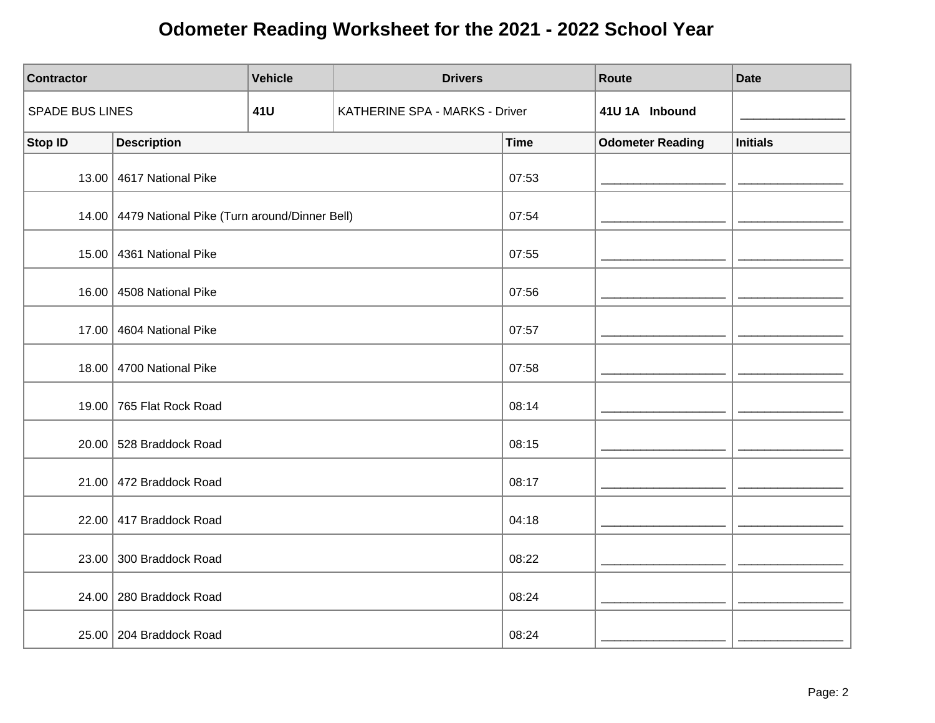| <b>Contractor</b>      |                                                    | <b>Vehicle</b> |                                | <b>Drivers</b> |             | Route                   | <b>Date</b>     |
|------------------------|----------------------------------------------------|----------------|--------------------------------|----------------|-------------|-------------------------|-----------------|
| <b>SPADE BUS LINES</b> |                                                    | 41U            | KATHERINE SPA - MARKS - Driver |                |             | 41U 1A Inbound          |                 |
| <b>Stop ID</b>         | <b>Description</b>                                 |                |                                |                | <b>Time</b> | <b>Odometer Reading</b> | <b>Initials</b> |
|                        | 13.00 4617 National Pike                           |                |                                |                | 07:53       |                         |                 |
|                        | 14.00 4479 National Pike (Turn around/Dinner Bell) |                |                                | 07:54          |             |                         |                 |
|                        | 15.00 4361 National Pike                           |                |                                | 07:55          |             |                         |                 |
|                        | 16.00 4508 National Pike                           |                |                                | 07:56          |             |                         |                 |
| 17.00                  | 4604 National Pike                                 |                |                                | 07:57          |             |                         |                 |
|                        | 18.00 4700 National Pike                           |                |                                | 07:58          |             |                         |                 |
|                        | 19.00 765 Flat Rock Road                           |                |                                |                | 08:14       |                         |                 |
|                        | 20.00 528 Braddock Road                            |                |                                |                | 08:15       |                         |                 |
|                        | 21.00 472 Braddock Road                            |                |                                |                | 08:17       |                         |                 |
|                        | 22.00 417 Braddock Road                            |                |                                |                | 04:18       |                         |                 |
|                        | 23.00 300 Braddock Road                            |                |                                | 08:22          |             |                         |                 |
|                        | 24.00   280 Braddock Road                          |                |                                |                | 08:24       |                         |                 |
|                        | 25.00   204 Braddock Road                          |                |                                |                | 08:24       |                         |                 |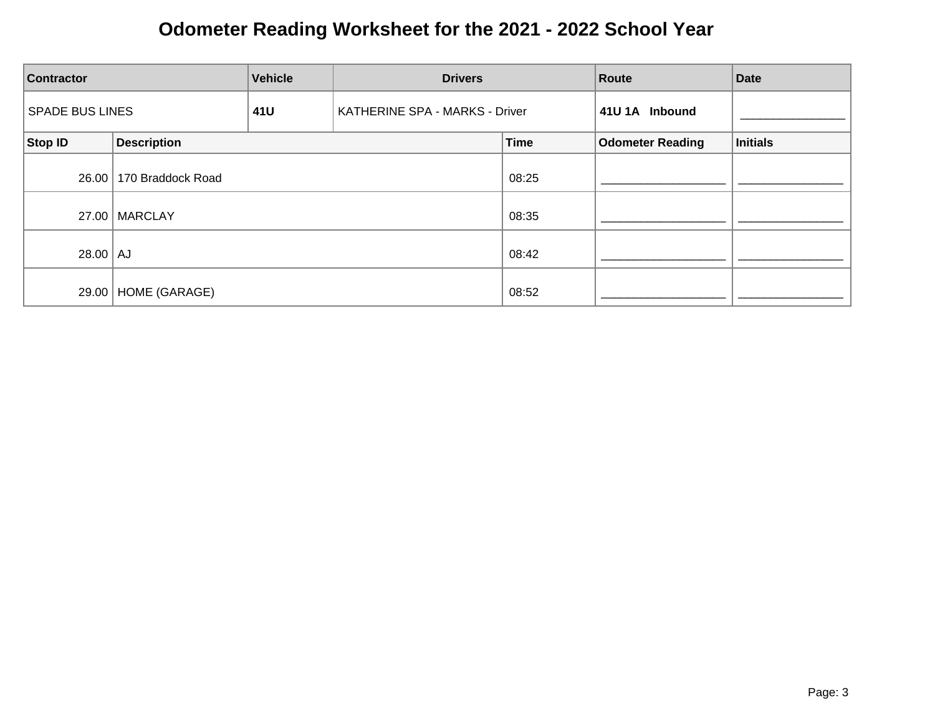| <b>Contractor</b>      | <b>Vehicle</b><br><b>Drivers</b> |     |                                | Route       | <b>Date</b>             |          |
|------------------------|----------------------------------|-----|--------------------------------|-------------|-------------------------|----------|
| <b>SPADE BUS LINES</b> |                                  | 41U | KATHERINE SPA - MARKS - Driver |             | 41U 1A Inbound          |          |
| Stop ID                | <b>Description</b>               |     |                                | <b>Time</b> | <b>Odometer Reading</b> | Initials |
| 26.00                  | 170 Braddock Road                |     |                                | 08:25       |                         |          |
|                        | 27.00   MARCLAY                  |     |                                | 08:35       |                         |          |
| $28.00$ AJ             |                                  |     |                                | 08:42       |                         |          |
| 29.00                  | HOME (GARAGE)                    |     |                                | 08:52       |                         |          |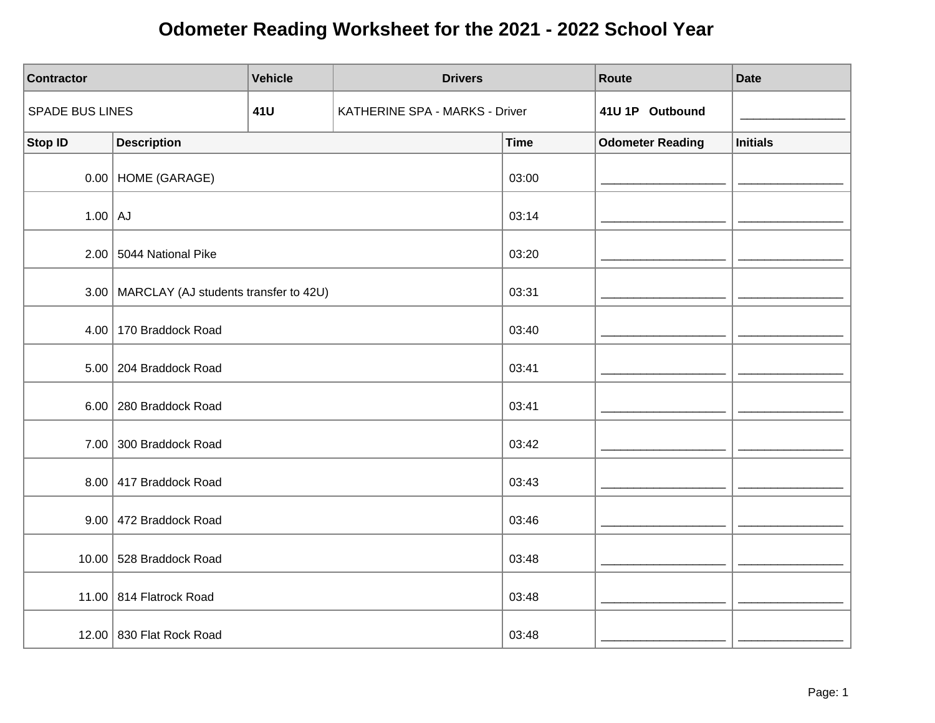| <b>Contractor</b> |                                              | <b>Vehicle</b> | <b>Drivers</b>                 |             | Route                   | <b>Date</b>     |
|-------------------|----------------------------------------------|----------------|--------------------------------|-------------|-------------------------|-----------------|
| SPADE BUS LINES   |                                              | 41U            | KATHERINE SPA - MARKS - Driver |             | 41U 1P Outbound         |                 |
| <b>Stop ID</b>    | <b>Description</b>                           |                |                                | <b>Time</b> | <b>Odometer Reading</b> | <b>Initials</b> |
|                   | $0.00$ HOME (GARAGE)                         |                |                                | 03:00       |                         |                 |
| $1.00$ AJ         |                                              |                |                                | 03:14       |                         |                 |
|                   | 2.00 5044 National Pike                      |                |                                | 03:20       |                         |                 |
|                   | 3.00   MARCLAY (AJ students transfer to 42U) |                |                                | 03:31       |                         |                 |
|                   | 4.00 170 Braddock Road                       |                |                                | 03:40       |                         |                 |
|                   | 5.00 204 Braddock Road                       |                |                                | 03:41       |                         |                 |
|                   | 6.00 280 Braddock Road                       |                |                                | 03:41       |                         |                 |
|                   | 7.00 300 Braddock Road                       |                |                                | 03:42       |                         |                 |
|                   | 8.00 417 Braddock Road                       |                |                                | 03:43       |                         |                 |
|                   | 9.00 472 Braddock Road                       |                |                                | 03:46       |                         |                 |
|                   | 10.00 $\vert$ 528 Braddock Road              |                |                                | 03:48       |                         |                 |
|                   | 11.00 814 Flatrock Road                      |                |                                | 03:48       |                         |                 |
|                   | 12.00 830 Flat Rock Road                     |                |                                | 03:48       |                         |                 |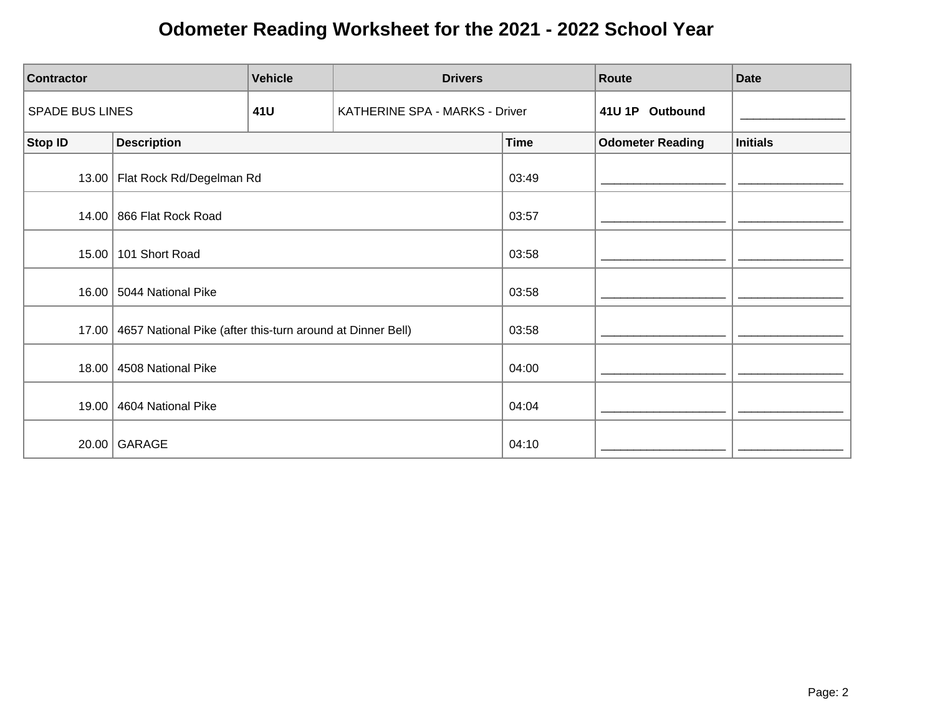| <b>Contractor</b>      | <b>Vehicle</b><br><b>Drivers</b>                           |     |                                | Route       | <b>Date</b>             |                 |
|------------------------|------------------------------------------------------------|-----|--------------------------------|-------------|-------------------------|-----------------|
| <b>SPADE BUS LINES</b> |                                                            | 41U | KATHERINE SPA - MARKS - Driver |             | 41U 1P Outbound         |                 |
| <b>Stop ID</b>         | <b>Description</b>                                         |     |                                | <b>Time</b> | <b>Odometer Reading</b> | <b>Initials</b> |
|                        | 13.00   Flat Rock Rd/Degelman Rd                           |     |                                | 03:49       |                         |                 |
| 14.00                  | 866 Flat Rock Road                                         |     |                                | 03:57       |                         |                 |
| 15.00                  | 101 Short Road                                             |     |                                | 03:58       |                         |                 |
| 16.00                  | 5044 National Pike                                         |     |                                | 03:58       |                         |                 |
| 17.00                  | 4657 National Pike (after this-turn around at Dinner Bell) |     |                                | 03:58       |                         |                 |
| 18.00                  | 4508 National Pike                                         |     |                                | 04:00       |                         |                 |
| 19.00                  | 4604 National Pike                                         |     |                                | 04:04       |                         |                 |
| 20.00                  | GARAGE                                                     |     |                                | 04:10       |                         |                 |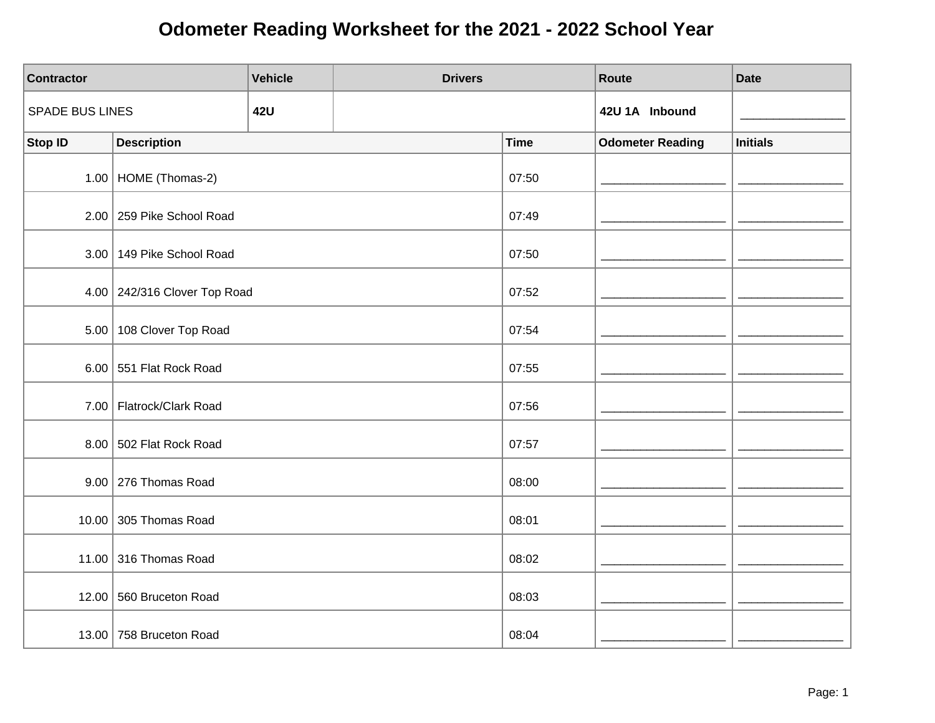| <b>Contractor</b>      |                               | <b>Vehicle</b> | <b>Drivers</b> |             | Route                   | <b>Date</b>     |
|------------------------|-------------------------------|----------------|----------------|-------------|-------------------------|-----------------|
| <b>SPADE BUS LINES</b> |                               | <b>42U</b>     |                |             | 42U 1A Inbound          |                 |
| <b>Stop ID</b>         | <b>Description</b>            |                |                | <b>Time</b> | <b>Odometer Reading</b> | <b>Initials</b> |
|                        | 1.00   HOME (Thomas-2)        |                |                | 07:50       |                         |                 |
|                        | 2.00 259 Pike School Road     |                |                | 07:49       |                         |                 |
|                        | 3.00   149 Pike School Road   |                |                | 07:50       |                         |                 |
|                        | 4.00 242/316 Clover Top Road  |                |                | 07:52       |                         |                 |
|                        | 5.00 108 Clover Top Road      |                |                | 07:54       |                         |                 |
|                        | 6.00 551 Flat Rock Road       |                |                | 07:55       |                         |                 |
|                        | 7.00 Flatrock/Clark Road      |                |                | 07:56       |                         |                 |
|                        | 8.00 502 Flat Rock Road       |                |                | 07:57       |                         |                 |
|                        | $9.00$ 276 Thomas Road        |                |                | 08:00       |                         |                 |
|                        | 10.00 $\vert$ 305 Thomas Road |                |                | 08:01       |                         |                 |
|                        | 11.00 316 Thomas Road         |                |                | 08:02       |                         |                 |
|                        | 12.00 560 Bruceton Road       |                |                | 08:03       |                         |                 |
|                        | 13.00 758 Bruceton Road       |                |                | 08:04       |                         |                 |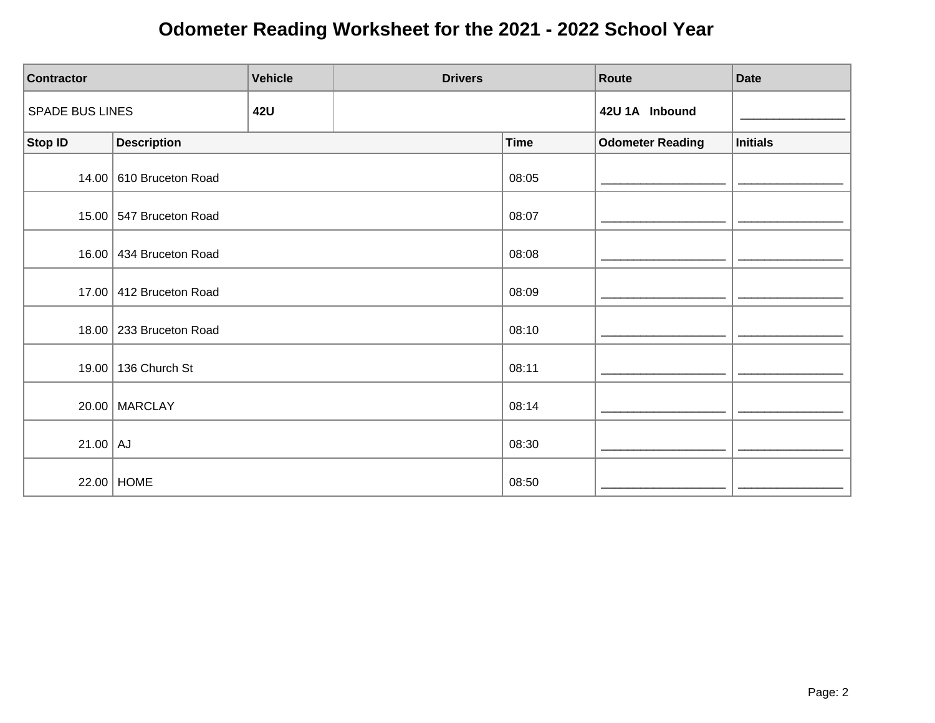| <b>Contractor</b>      |                           | <b>Vehicle</b> | <b>Drivers</b> |             | Route                   | <b>Date</b>     |
|------------------------|---------------------------|----------------|----------------|-------------|-------------------------|-----------------|
| <b>SPADE BUS LINES</b> |                           | <b>42U</b>     |                |             | 42U 1A Inbound          |                 |
| <b>Stop ID</b>         | <b>Description</b>        |                |                | <b>Time</b> | <b>Odometer Reading</b> | <b>Initials</b> |
|                        | 14.00 610 Bruceton Road   |                |                | 08:05       |                         |                 |
|                        | 15.00 547 Bruceton Road   |                |                | 08:07       |                         |                 |
|                        | 16.00 434 Bruceton Road   |                |                | 08:08       |                         |                 |
|                        | 17.00 412 Bruceton Road   |                |                | 08:09       |                         |                 |
|                        | 18.00   233 Bruceton Road |                |                | 08:10       |                         |                 |
|                        | 19.00   136 Church St     |                |                | 08:11       |                         |                 |
|                        | $20.00$ MARCLAY           |                |                | 08:14       |                         |                 |
| $21.00$ AJ             |                           |                |                | 08:30       |                         |                 |
|                        | 22.00 HOME                |                |                | 08:50       |                         |                 |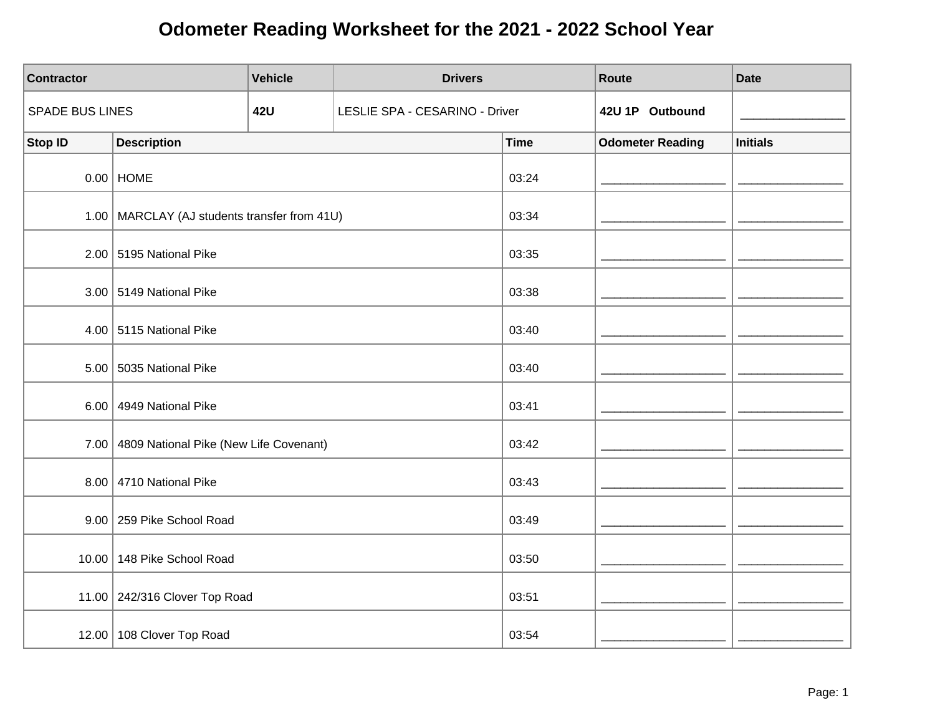| <b>Contractor</b>      |                                                | <b>Vehicle</b> | <b>Drivers</b>                 |             | Route                   | <b>Date</b>     |
|------------------------|------------------------------------------------|----------------|--------------------------------|-------------|-------------------------|-----------------|
| <b>SPADE BUS LINES</b> |                                                | <b>42U</b>     | LESLIE SPA - CESARINO - Driver |             | 42U 1P Outbound         |                 |
| <b>Stop ID</b>         | <b>Description</b>                             |                |                                | <b>Time</b> | <b>Odometer Reading</b> | <b>Initials</b> |
|                        | $0.00$ HOME                                    |                |                                | 03:24       |                         |                 |
|                        | 1.00   MARCLAY (AJ students transfer from 41U) |                |                                | 03:34       |                         |                 |
|                        | $2.00$ 5195 National Pike                      |                |                                | 03:35       |                         |                 |
|                        | 3.00 5149 National Pike                        |                |                                | 03:38       |                         |                 |
|                        | 4.00 $\vert$ 5115 National Pike                |                |                                | 03:40       |                         |                 |
|                        | 5.00 5035 National Pike                        |                |                                | 03:40       |                         |                 |
| 6.00                   | 4949 National Pike                             |                |                                | 03:41       |                         |                 |
|                        | 7.00 4809 National Pike (New Life Covenant)    |                |                                | 03:42       |                         |                 |
|                        | 8.00 4710 National Pike                        |                |                                | 03:43       |                         |                 |
|                        | 9.00 259 Pike School Road                      |                |                                | 03:49       |                         |                 |
|                        | 10.00 148 Pike School Road                     |                |                                | 03:50       |                         |                 |
|                        | 11.00 242/316 Clover Top Road                  |                |                                | 03:51       |                         |                 |
|                        | 12.00 108 Clover Top Road                      |                |                                | 03:54       |                         |                 |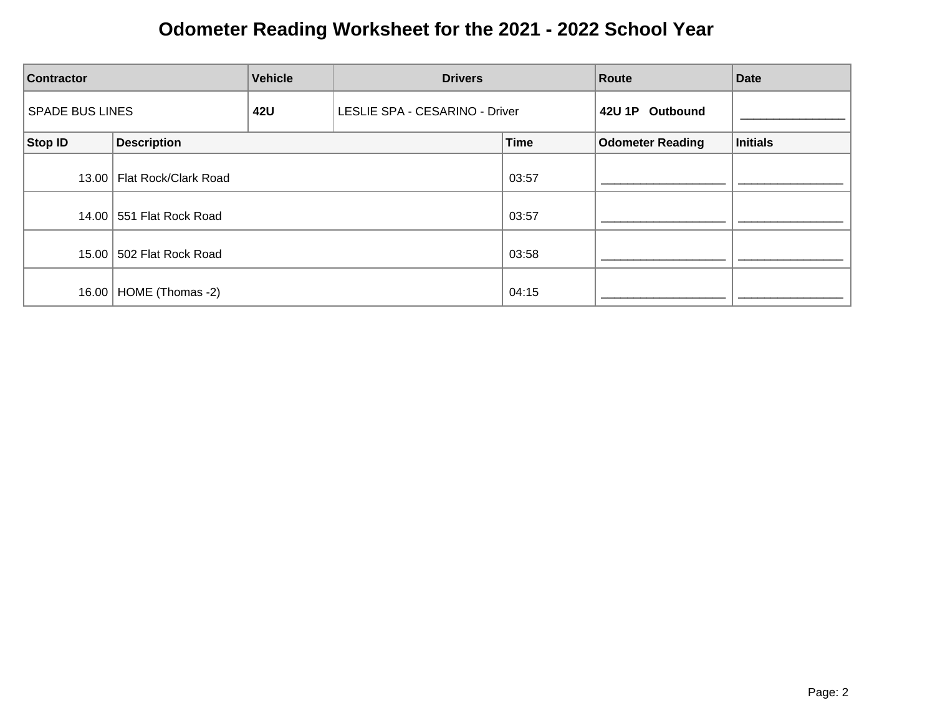| <b>Vehicle</b><br><b>Contractor</b> |                              | <b>Drivers</b> | Route                          |             | <b>Date</b>             |                 |
|-------------------------------------|------------------------------|----------------|--------------------------------|-------------|-------------------------|-----------------|
| <b>SPADE BUS LINES</b>              |                              | 42U            | LESLIE SPA - CESARINO - Driver |             | 42U 1P Outbound         |                 |
| Stop ID                             | <b>Description</b>           |                |                                | <b>Time</b> | <b>Odometer Reading</b> | <b>Initials</b> |
|                                     | 13.00   Flat Rock/Clark Road |                |                                | 03:57       |                         |                 |
|                                     | 14.00 551 Flat Rock Road     |                |                                | 03:57       |                         |                 |
|                                     | 15.00 502 Flat Rock Road     |                |                                | 03:58       |                         |                 |
|                                     | 16.00   HOME (Thomas -2)     |                |                                | 04:15       |                         |                 |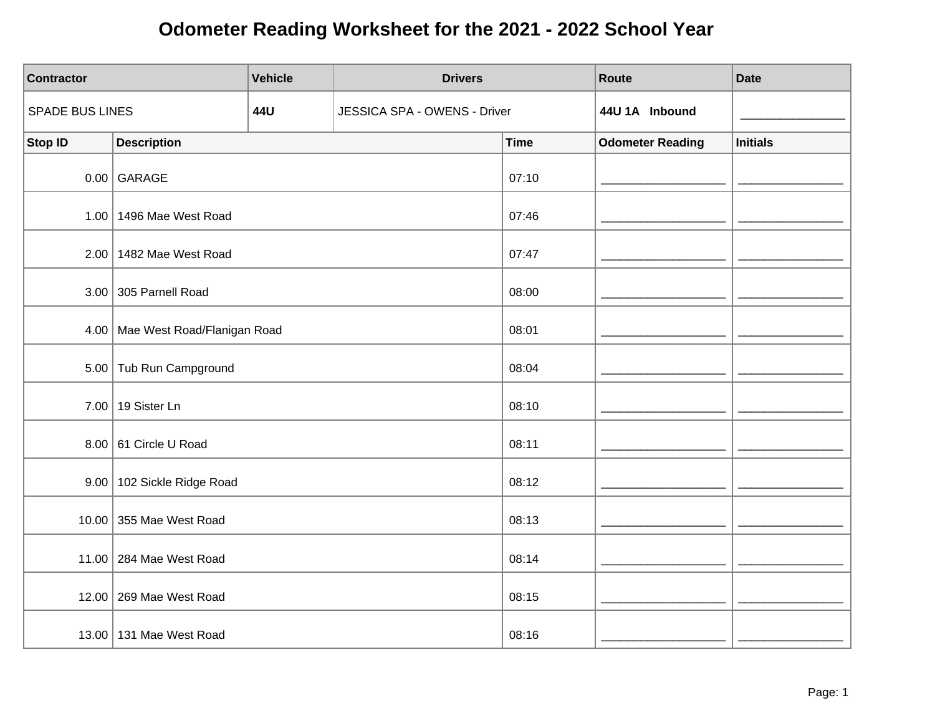| <b>Contractor</b> |                                  | <b>Vehicle</b> | <b>Drivers</b>               |             | Route                   | <b>Date</b>     |
|-------------------|----------------------------------|----------------|------------------------------|-------------|-------------------------|-----------------|
| SPADE BUS LINES   |                                  | 44U            | JESSICA SPA - OWENS - Driver |             | 44U 1A Inbound          |                 |
| <b>Stop ID</b>    | <b>Description</b>               |                |                              | <b>Time</b> | <b>Odometer Reading</b> | <b>Initials</b> |
|                   | $0.00$ GARAGE                    |                |                              | 07:10       |                         |                 |
|                   | 1.00   1496 Mae West Road        |                |                              | 07:46       |                         |                 |
|                   | 2.00 1482 Mae West Road          |                |                              | 07:47       |                         |                 |
|                   | 3.00 305 Parnell Road            |                |                              | 08:00       |                         |                 |
|                   | 4.00 Mae West Road/Flanigan Road |                |                              | 08:01       |                         |                 |
|                   | 5.00 Tub Run Campground          |                |                              | 08:04       |                         |                 |
|                   | 7.00   19 Sister Ln              |                |                              | 08:10       |                         |                 |
|                   | 8.00 61 Circle U Road            |                |                              | 08:11       |                         |                 |
|                   | 9.00   102 Sickle Ridge Road     |                |                              | 08:12       |                         |                 |
|                   | 10.00 355 Mae West Road          |                |                              | 08:13       |                         |                 |
|                   | 11.00 284 Mae West Road          |                |                              | 08:14       |                         |                 |
|                   | 12.00 269 Mae West Road          |                |                              | 08:15       |                         |                 |
|                   | 13.00   131 Mae West Road        |                |                              | 08:16       |                         |                 |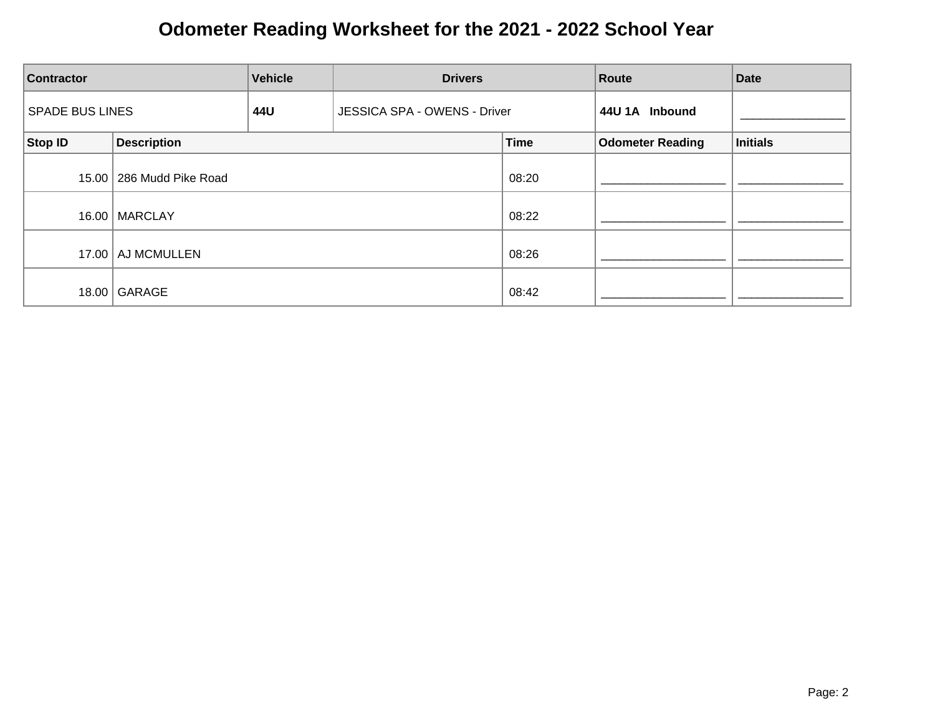| <b>Vehicle</b><br><b>Contractor</b> |                          | <b>Drivers</b> | Route                        |             | <b>Date</b>             |          |
|-------------------------------------|--------------------------|----------------|------------------------------|-------------|-------------------------|----------|
| <b>SPADE BUS LINES</b>              |                          | 44U            | JESSICA SPA - OWENS - Driver |             | 44U 1A Inbound          |          |
| Stop ID                             | <b>Description</b>       |                |                              | <b>Time</b> | <b>Odometer Reading</b> | Initials |
|                                     | 15.00 286 Mudd Pike Road |                |                              | 08:20       |                         |          |
|                                     | 16.00   MARCLAY          |                |                              | 08:22       |                         |          |
|                                     | 17.00   AJ MCMULLEN      |                |                              | 08:26       |                         |          |
| 18.00                               | GARAGE                   |                |                              | 08:42       |                         |          |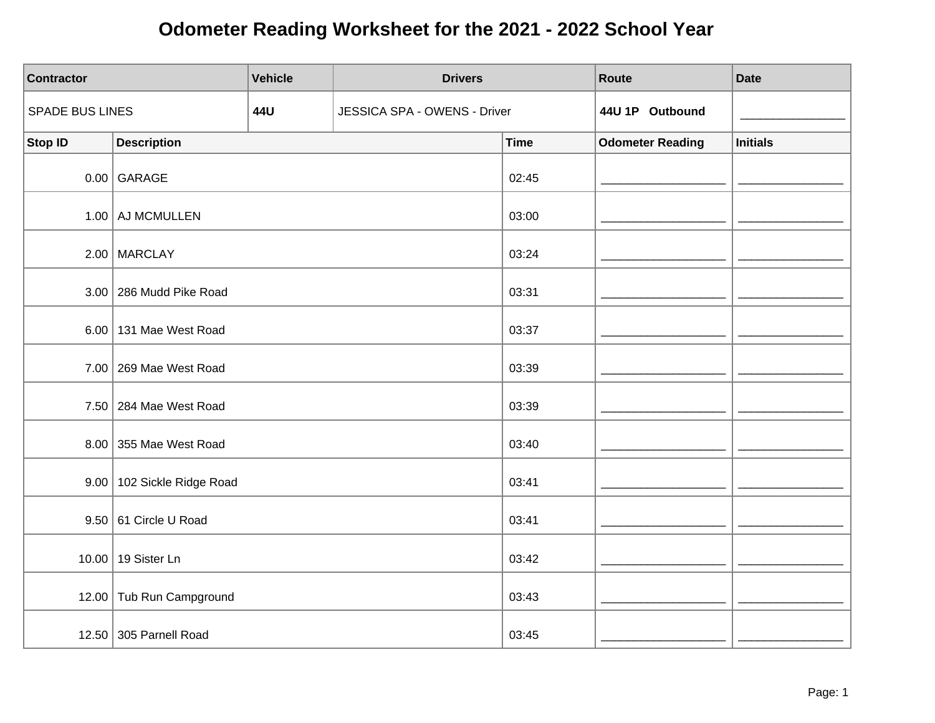| <b>Contractor</b> |                              | <b>Vehicle</b> | <b>Drivers</b>               |             | Route                   | <b>Date</b>     |
|-------------------|------------------------------|----------------|------------------------------|-------------|-------------------------|-----------------|
| SPADE BUS LINES   |                              | 44U            | JESSICA SPA - OWENS - Driver |             | 44U 1P Outbound         |                 |
| <b>Stop ID</b>    | <b>Description</b>           |                |                              | <b>Time</b> | <b>Odometer Reading</b> | <b>Initials</b> |
|                   | $0.00$ GARAGE                |                |                              | 02:45       |                         |                 |
|                   | 1.00 AJ MCMULLEN             |                |                              | 03:00       |                         |                 |
|                   | $2.00$ MARCLAY               |                |                              | 03:24       |                         |                 |
|                   | 3.00 286 Mudd Pike Road      |                |                              | 03:31       |                         |                 |
|                   | 6.00 131 Mae West Road       |                |                              | 03:37       |                         |                 |
|                   | 7.00 269 Mae West Road       |                |                              | 03:39       |                         |                 |
|                   | 7.50 284 Mae West Road       |                |                              | 03:39       |                         |                 |
|                   | 8.00 355 Mae West Road       |                |                              | 03:40       |                         |                 |
|                   | 9.00   102 Sickle Ridge Road |                |                              | 03:41       |                         |                 |
|                   | $9.50$ 61 Circle U Road      |                |                              | 03:41       |                         |                 |
|                   | 10.00 19 Sister Ln           |                |                              | 03:42       |                         |                 |
|                   | 12.00 Tub Run Campground     |                |                              | 03:43       |                         |                 |
|                   | 12.50 305 Parnell Road       |                |                              | 03:45       |                         |                 |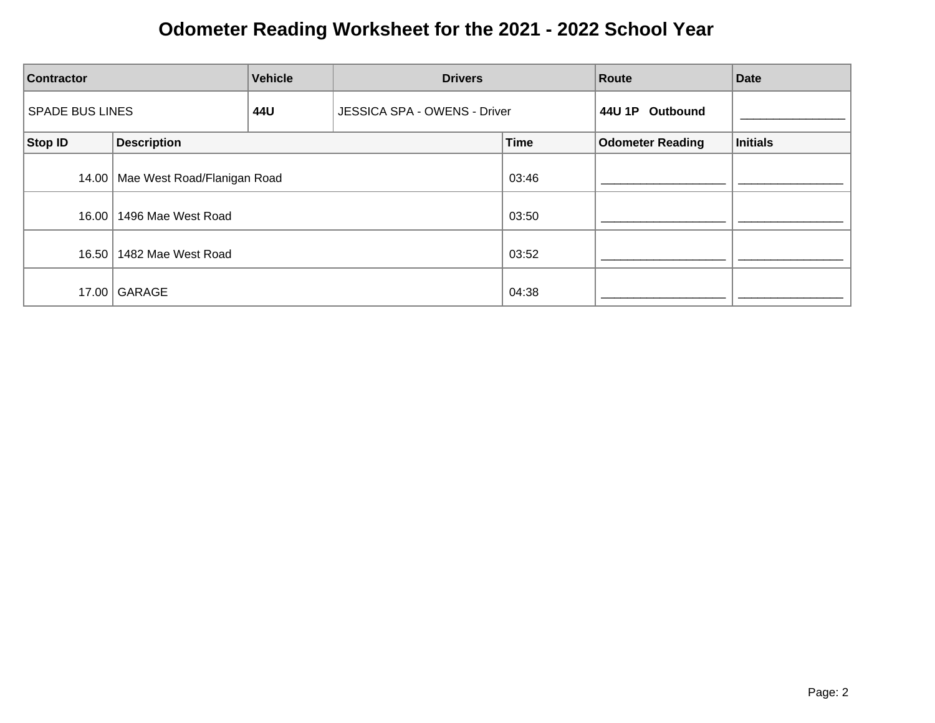| <b>Vehicle</b><br><b>Drivers</b><br><b>Contractor</b> |                                     |     | <b>Route</b>                 | <b>Date</b> |                         |                 |
|-------------------------------------------------------|-------------------------------------|-----|------------------------------|-------------|-------------------------|-----------------|
| <b>SPADE BUS LINES</b>                                |                                     | 44U | JESSICA SPA - OWENS - Driver |             | 44U 1P<br>Outbound      |                 |
| Stop ID                                               | <b>Description</b>                  |     |                              | <b>Time</b> | <b>Odometer Reading</b> | <b>Initials</b> |
|                                                       | 14.00   Mae West Road/Flanigan Road |     |                              | 03:46       |                         |                 |
| 16.00                                                 | 1496 Mae West Road                  |     |                              | 03:50       |                         |                 |
| 16.50                                                 | 1482 Mae West Road                  |     |                              | 03:52       |                         |                 |
|                                                       | 17.00 GARAGE                        |     |                              | 04:38       |                         |                 |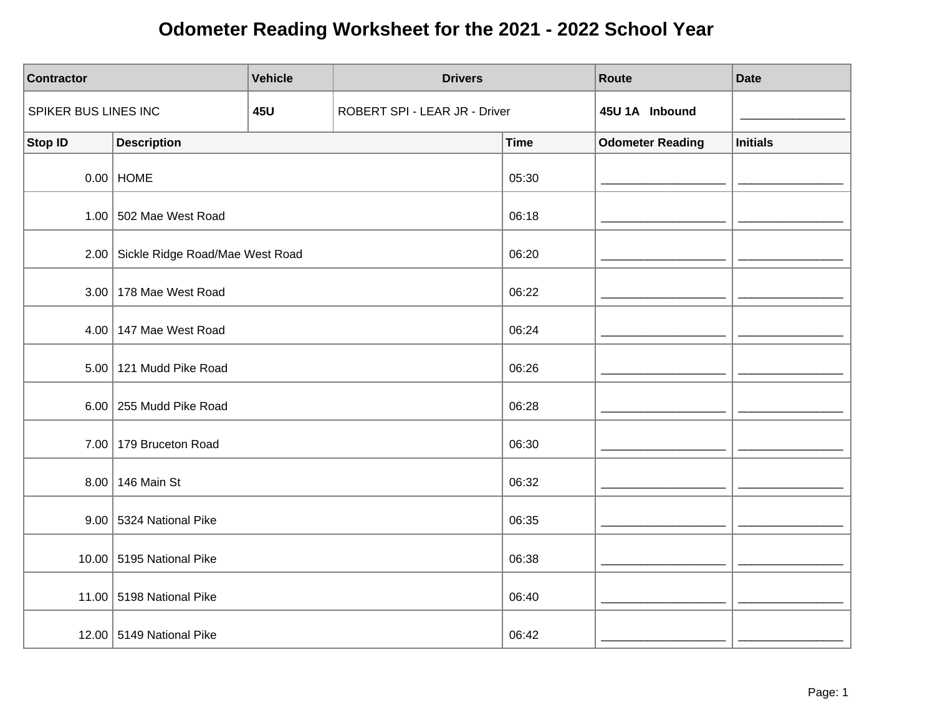| <b>Contractor</b>    |                                      | <b>Vehicle</b> | <b>Drivers</b>                |             | Route                   | <b>Date</b>     |
|----------------------|--------------------------------------|----------------|-------------------------------|-------------|-------------------------|-----------------|
| SPIKER BUS LINES INC |                                      | <b>45U</b>     | ROBERT SPI - LEAR JR - Driver |             | 45U 1A Inbound          |                 |
| <b>Stop ID</b>       | <b>Description</b>                   |                |                               | <b>Time</b> | <b>Odometer Reading</b> | <b>Initials</b> |
|                      | $0.00$ HOME                          |                |                               | 05:30       |                         |                 |
|                      | $1.00$ 502 Mae West Road             |                |                               | 06:18       |                         |                 |
|                      | 2.00 Sickle Ridge Road/Mae West Road |                |                               | 06:20       |                         |                 |
|                      | 3.00   178 Mae West Road             |                |                               | 06:22       |                         |                 |
|                      | 4.00 147 Mae West Road               |                |                               | 06:24       |                         |                 |
|                      | 5.00 121 Mudd Pike Road              |                |                               | 06:26       |                         |                 |
|                      | 6.00 255 Mudd Pike Road              |                |                               | 06:28       |                         |                 |
|                      | 7.00 179 Bruceton Road               |                |                               | 06:30       |                         |                 |
|                      | 8.00   146 Main St                   |                |                               | 06:32       |                         |                 |
|                      | 9.00 5324 National Pike              |                |                               | 06:35       |                         |                 |
|                      | 10.00 5195 National Pike             |                |                               | 06:38       |                         |                 |
|                      | 11.00 5198 National Pike             |                |                               | 06:40       |                         |                 |
|                      | 12.00 5149 National Pike             |                |                               | 06:42       |                         |                 |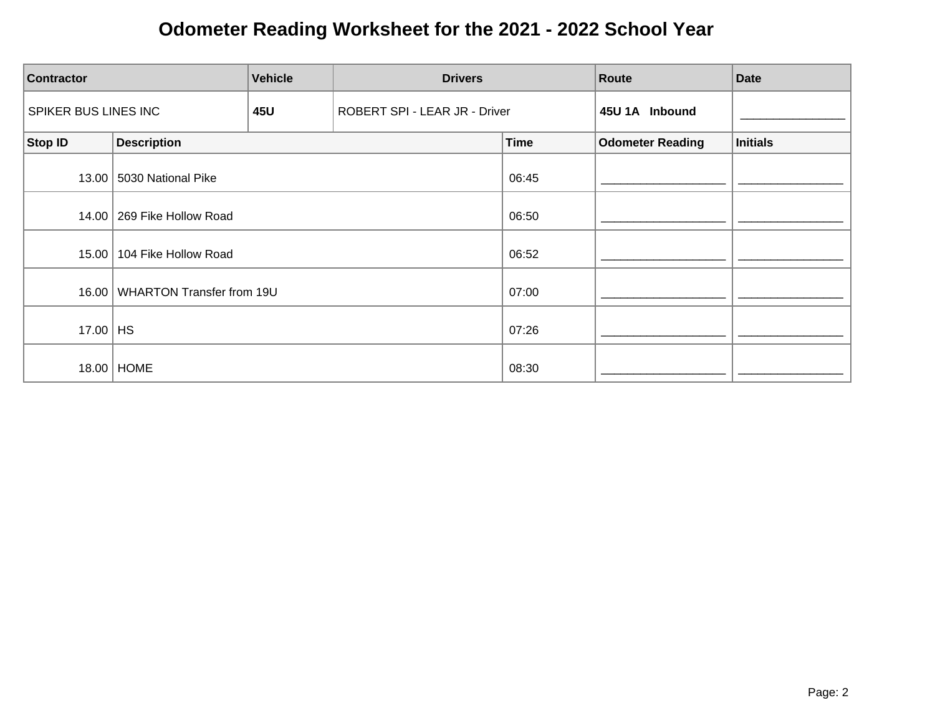| <b>Contractor</b>    | <b>Vehicle</b><br><b>Drivers</b> |     |                               | Route       | <b>Date</b>             |                 |
|----------------------|----------------------------------|-----|-------------------------------|-------------|-------------------------|-----------------|
| SPIKER BUS LINES INC |                                  | 45U | ROBERT SPI - LEAR JR - Driver |             | 45U 1A Inbound          |                 |
| Stop ID              | <b>Description</b>               |     |                               | <b>Time</b> | <b>Odometer Reading</b> | <b>Initials</b> |
| 13.00                | 5030 National Pike               |     |                               | 06:45       |                         |                 |
|                      | 14.00   269 Fike Hollow Road     |     |                               | 06:50       |                         |                 |
| 15.00                | 104 Fike Hollow Road             |     |                               | 06:52       |                         |                 |
| 16.00                | <b>WHARTON Transfer from 19U</b> |     |                               | 07:00       |                         |                 |
| 17.00                | HS                               |     |                               | 07:26       |                         |                 |
|                      | 18.00   HOME                     |     |                               | 08:30       |                         |                 |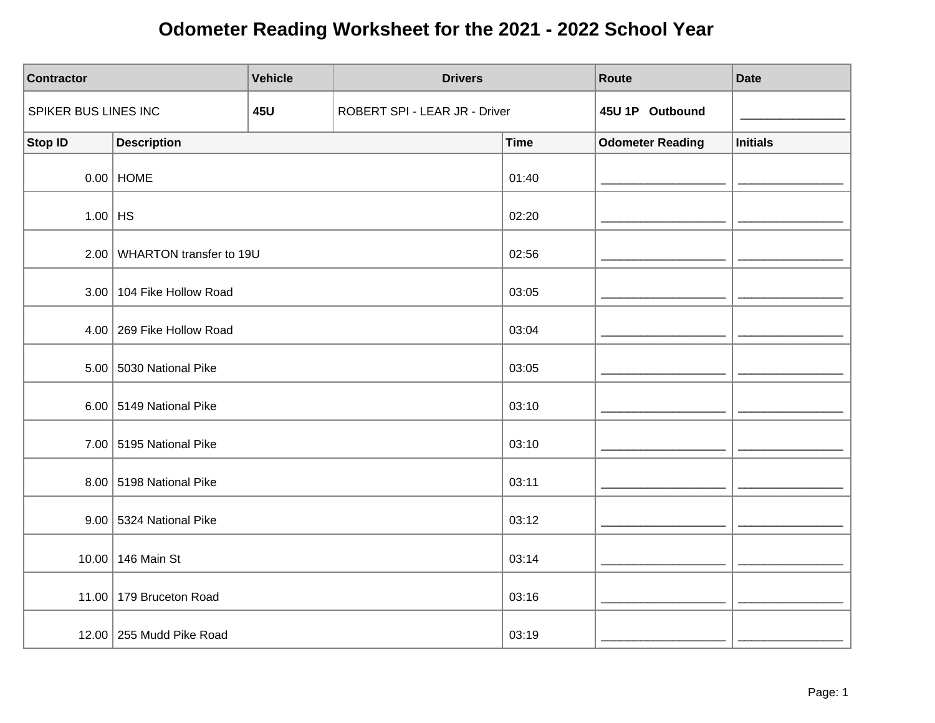| <b>Contractor</b>    |                              | <b>Vehicle</b> | <b>Drivers</b>                |             | Route                   | <b>Date</b>     |
|----------------------|------------------------------|----------------|-------------------------------|-------------|-------------------------|-----------------|
| SPIKER BUS LINES INC |                              | <b>45U</b>     | ROBERT SPI - LEAR JR - Driver |             | 45U 1P Outbound         |                 |
| <b>Stop ID</b>       | <b>Description</b>           |                |                               | <b>Time</b> | <b>Odometer Reading</b> | <b>Initials</b> |
|                      | $0.00$   HOME                |                |                               | 01:40       |                         |                 |
| $1.00$ HS            |                              |                |                               | 02:20       |                         |                 |
|                      | 2.00 WHARTON transfer to 19U |                |                               | 02:56       |                         |                 |
|                      | 3.00   104 Fike Hollow Road  |                |                               | 03:05       |                         |                 |
|                      | 4.00 269 Fike Hollow Road    |                |                               | 03:04       |                         |                 |
|                      | 5.00 5030 National Pike      |                |                               | 03:05       |                         |                 |
|                      | 6.00 5149 National Pike      |                |                               | 03:10       |                         |                 |
|                      | 7.00 5195 National Pike      |                |                               | 03:10       |                         |                 |
|                      | 8.00 5198 National Pike      |                |                               | 03:11       |                         |                 |
|                      | 9.00 5324 National Pike      |                |                               | 03:12       |                         |                 |
|                      | 10.00 146 Main St            |                |                               | 03:14       |                         |                 |
|                      | 11.00   179 Bruceton Road    |                |                               | 03:16       |                         |                 |
|                      | 12.00 255 Mudd Pike Road     |                |                               | 03:19       |                         |                 |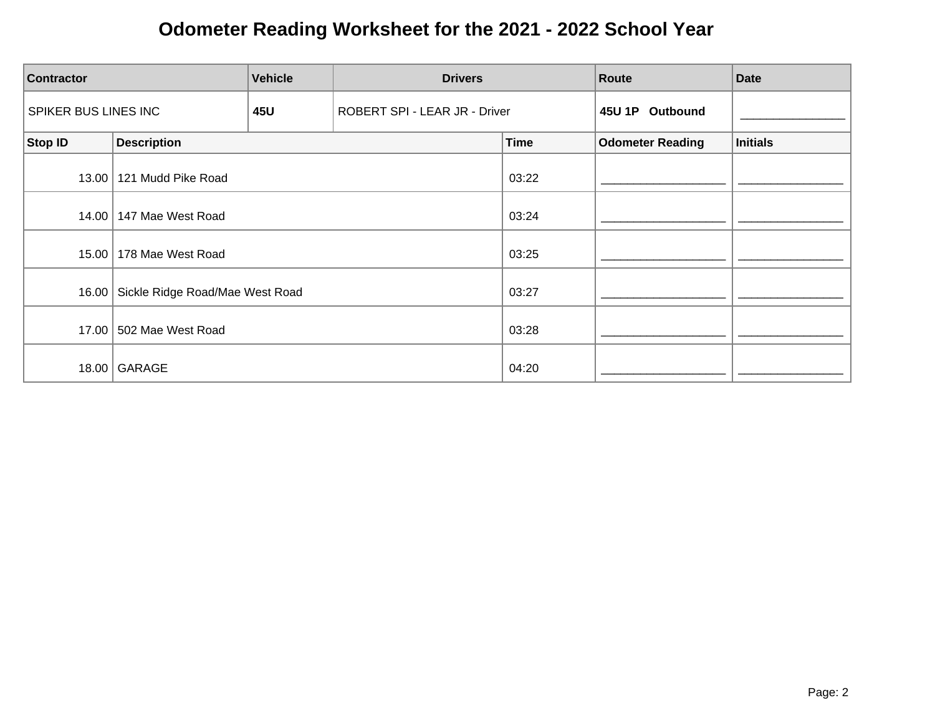| <b>Contractor</b>    |                                 | <b>Vehicle</b> | <b>Drivers</b>                |             | Route                   | <b>Date</b>     |
|----------------------|---------------------------------|----------------|-------------------------------|-------------|-------------------------|-----------------|
| SPIKER BUS LINES INC |                                 | <b>45U</b>     | ROBERT SPI - LEAR JR - Driver |             | 45U 1P Outbound         |                 |
| <b>Stop ID</b>       | <b>Description</b>              |                |                               | <b>Time</b> | <b>Odometer Reading</b> | <b>Initials</b> |
| 13.00                | 121 Mudd Pike Road              |                |                               | 03:22       |                         |                 |
| 14.00                | 147 Mae West Road               |                |                               | 03:24       |                         |                 |
| 15.00                | 178 Mae West Road               |                |                               | 03:25       |                         |                 |
| 16.00                | Sickle Ridge Road/Mae West Road |                |                               | 03:27       |                         |                 |
|                      | 17.00 502 Mae West Road         |                |                               | 03:28       |                         |                 |
| 18.00                | GARAGE                          |                |                               | 04:20       |                         |                 |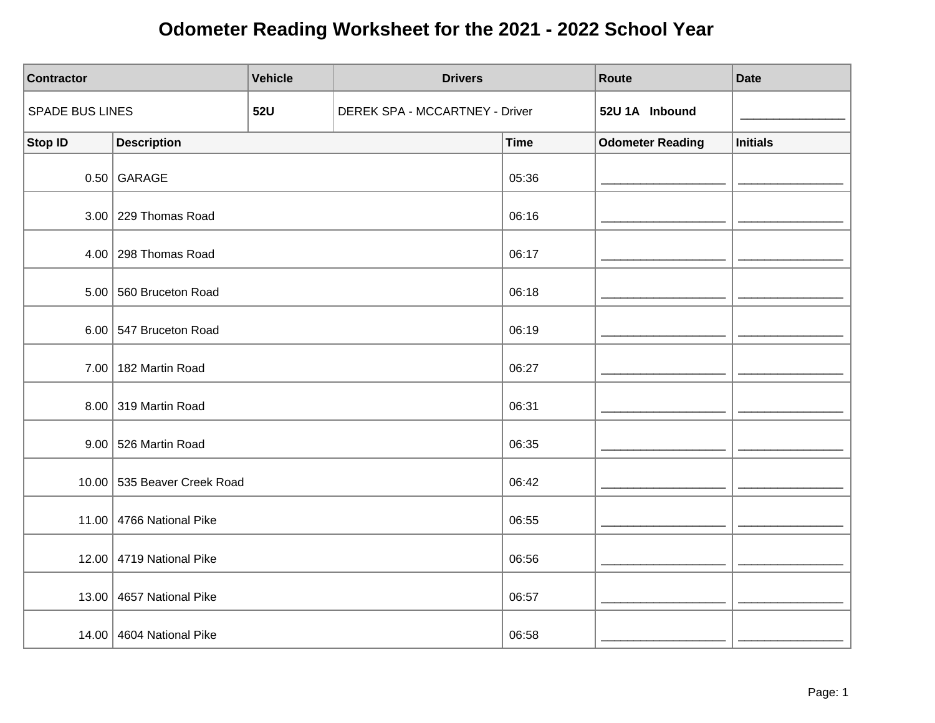| <b>Contractor</b>      |                             | <b>Vehicle</b> | <b>Drivers</b>                 |             | Route                   | <b>Date</b>     |
|------------------------|-----------------------------|----------------|--------------------------------|-------------|-------------------------|-----------------|
| <b>SPADE BUS LINES</b> |                             | <b>52U</b>     | DEREK SPA - MCCARTNEY - Driver |             | 52U 1A Inbound          |                 |
| <b>Stop ID</b>         | <b>Description</b>          |                |                                | <b>Time</b> | <b>Odometer Reading</b> | <b>Initials</b> |
|                        | $0.50$ GARAGE               |                |                                | 05:36       |                         |                 |
|                        | $3.00$ 229 Thomas Road      |                |                                | 06:16       |                         |                 |
|                        | $4.00$ 298 Thomas Road      |                |                                | 06:17       |                         |                 |
|                        | 5.00 560 Bruceton Road      |                |                                | 06:18       |                         |                 |
|                        | 6.00 547 Bruceton Road      |                |                                | 06:19       |                         |                 |
|                        | 7.00 182 Martin Road        |                |                                | 06:27       |                         |                 |
|                        | 8.00 319 Martin Road        |                |                                | 06:31       |                         |                 |
|                        | 9.00 526 Martin Road        |                |                                | 06:35       |                         |                 |
|                        | 10.00 535 Beaver Creek Road |                |                                | 06:42       |                         |                 |
|                        | 11.00 4766 National Pike    |                |                                | 06:55       |                         |                 |
|                        | 12.00 4719 National Pike    |                |                                | 06:56       |                         |                 |
|                        | 13.00 4657 National Pike    |                |                                | 06:57       |                         |                 |
|                        | 14.00 4604 National Pike    |                |                                | 06:58       |                         |                 |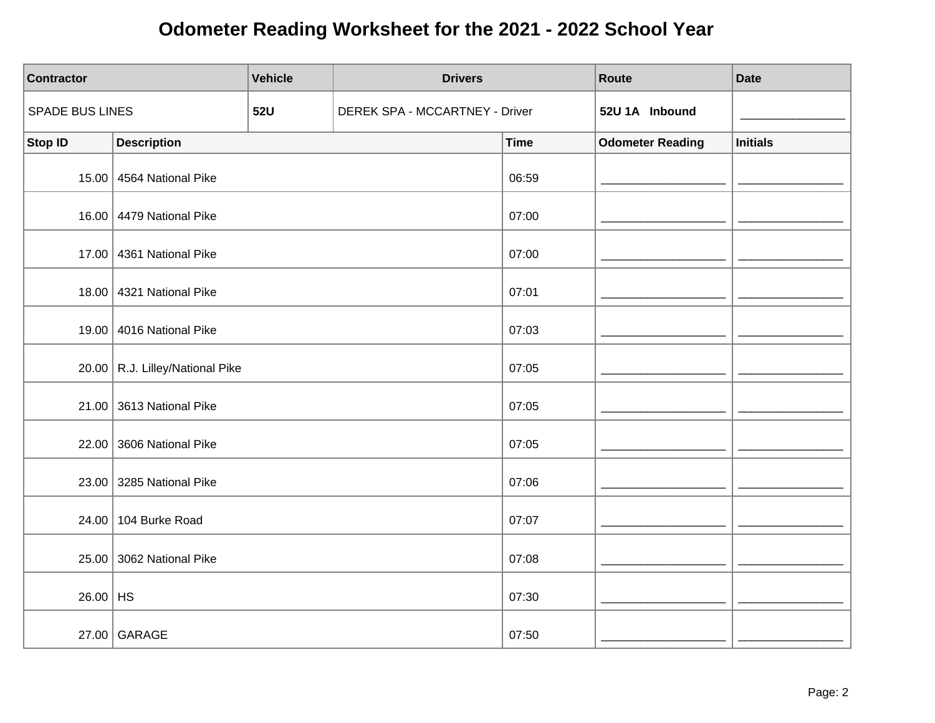| <b>Contractor</b> |                                   | <b>Vehicle</b> | <b>Drivers</b>                 |             | Route                   | <b>Date</b>     |
|-------------------|-----------------------------------|----------------|--------------------------------|-------------|-------------------------|-----------------|
| SPADE BUS LINES   |                                   | <b>52U</b>     | DEREK SPA - MCCARTNEY - Driver |             | 52U 1A Inbound          |                 |
| <b>Stop ID</b>    | <b>Description</b>                |                |                                | <b>Time</b> | <b>Odometer Reading</b> | <b>Initials</b> |
|                   | 15.00 4564 National Pike          |                |                                | 06:59       |                         |                 |
|                   | 16.00 4479 National Pike          |                |                                | 07:00       |                         |                 |
|                   | 17.00 4361 National Pike          |                |                                | 07:00       |                         |                 |
|                   | 18.00 4321 National Pike          |                |                                | 07:01       |                         |                 |
|                   | 19.00 4016 National Pike          |                |                                | 07:03       |                         |                 |
|                   | 20.00   R.J. Lilley/National Pike |                |                                | 07:05       |                         |                 |
|                   | 21.00 3613 National Pike          |                |                                | 07:05       |                         |                 |
|                   | 22.00 3606 National Pike          |                |                                | 07:05       |                         |                 |
|                   | 23.00 3285 National Pike          |                |                                | 07:06       |                         |                 |
|                   | 24.00   104 Burke Road            |                |                                | 07:07       |                         |                 |
|                   | 25.00 3062 National Pike          |                |                                | 07:08       |                         |                 |
| $26.00$ HS        |                                   |                |                                | 07:30       |                         |                 |
|                   | 27.00 GARAGE                      |                |                                | 07:50       |                         |                 |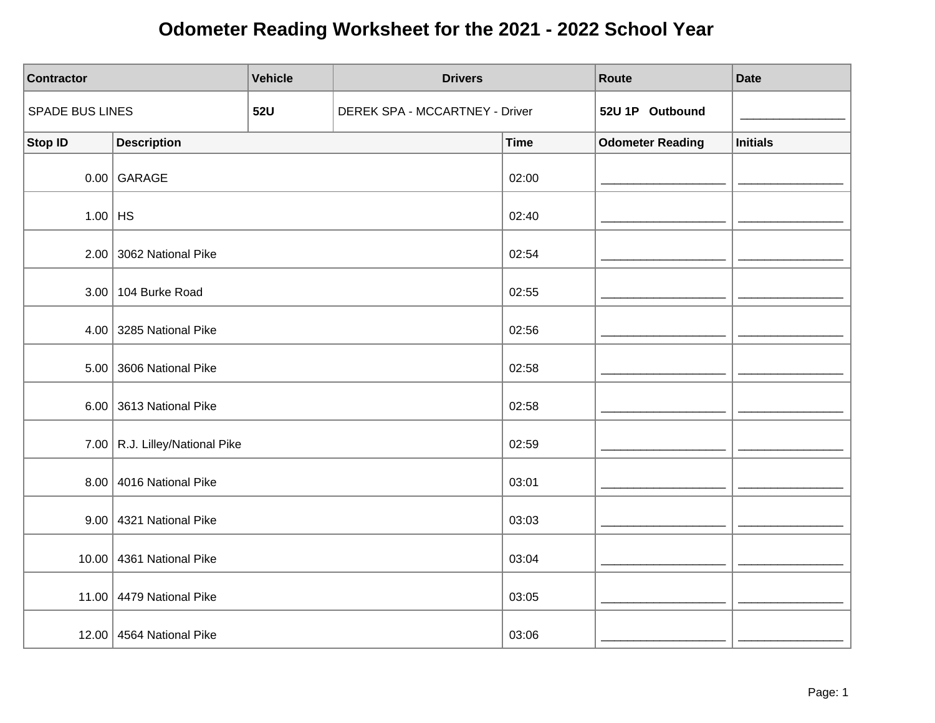| Contractor      |                                | <b>Vehicle</b> | <b>Drivers</b>                 |             | Route                   | <b>Date</b>     |
|-----------------|--------------------------------|----------------|--------------------------------|-------------|-------------------------|-----------------|
| SPADE BUS LINES |                                | <b>52U</b>     | DEREK SPA - MCCARTNEY - Driver |             | 52U 1P Outbound         |                 |
| Stop ID         | <b>Description</b>             |                |                                | <b>Time</b> | <b>Odometer Reading</b> | <b>Initials</b> |
|                 | $0.00$ GARAGE                  |                |                                | 02:00       |                         |                 |
| $1.00$ HS       |                                |                |                                | 02:40       |                         |                 |
|                 | $2.00$ 3062 National Pike      |                |                                | 02:54       |                         |                 |
|                 | 3.00   104 Burke Road          |                |                                | 02:55       |                         |                 |
|                 | 4.00 3285 National Pike        |                |                                | 02:56       |                         |                 |
|                 | $5.00$ 3606 National Pike      |                |                                | 02:58       |                         |                 |
|                 | $6.00$ 3613 National Pike      |                |                                | 02:58       |                         |                 |
|                 | 7.00 R.J. Lilley/National Pike |                |                                | 02:59       |                         |                 |
|                 | 8.00 4016 National Pike        |                |                                | 03:01       |                         |                 |
|                 | $9.00$ 4321 National Pike      |                |                                | 03:03       |                         |                 |
|                 | 10.00 4361 National Pike       |                |                                | 03:04       |                         |                 |
|                 | 11.00 4479 National Pike       |                |                                | 03:05       |                         |                 |
|                 | 12.00 4564 National Pike       |                |                                | 03:06       |                         |                 |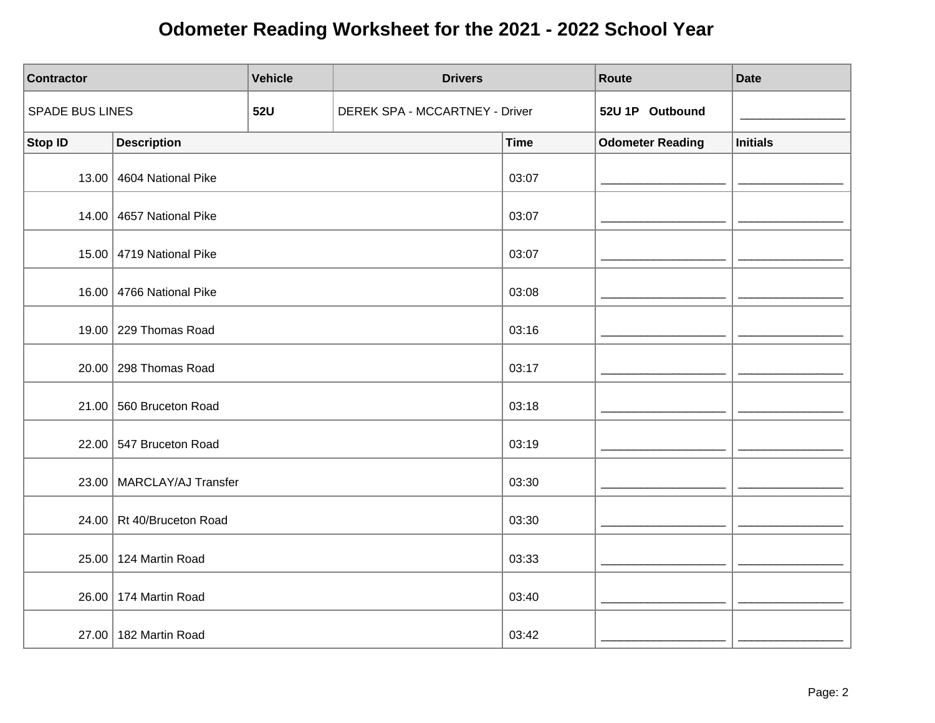| <b>Contractor</b> |                             | <b>Vehicle</b> | <b>Drivers</b>                 |             | Route                   | <b>Date</b>     |
|-------------------|-----------------------------|----------------|--------------------------------|-------------|-------------------------|-----------------|
| SPADE BUS LINES   |                             | <b>52U</b>     | DEREK SPA - MCCARTNEY - Driver |             | 52U 1P Outbound         |                 |
| <b>Stop ID</b>    | <b>Description</b>          |                |                                | <b>Time</b> | <b>Odometer Reading</b> | <b>Initials</b> |
|                   | 13.00 4604 National Pike    |                |                                | 03:07       |                         |                 |
|                   | 14.00 4657 National Pike    |                |                                | 03:07       |                         |                 |
|                   | 15.00 4719 National Pike    |                |                                | 03:07       |                         |                 |
|                   | 16.00 4766 National Pike    |                |                                | 03:08       |                         |                 |
|                   | 19.00 229 Thomas Road       |                |                                | 03:16       |                         |                 |
|                   | 20.00 298 Thomas Road       |                |                                | 03:17       |                         |                 |
|                   | 21.00 560 Bruceton Road     |                |                                | 03:18       |                         |                 |
|                   | 22.00 547 Bruceton Road     |                |                                | 03:19       |                         |                 |
|                   | 23.00   MARCLAY/AJ Transfer |                |                                | 03:30       |                         |                 |
|                   | 24.00 Rt 40/Bruceton Road   |                |                                | 03:30       |                         |                 |
|                   | 25.00 124 Martin Road       |                |                                | 03:33       |                         |                 |
|                   | 26.00   174 Martin Road     |                |                                | 03:40       |                         |                 |
|                   | 27.00   182 Martin Road     |                |                                | 03:42       |                         |                 |